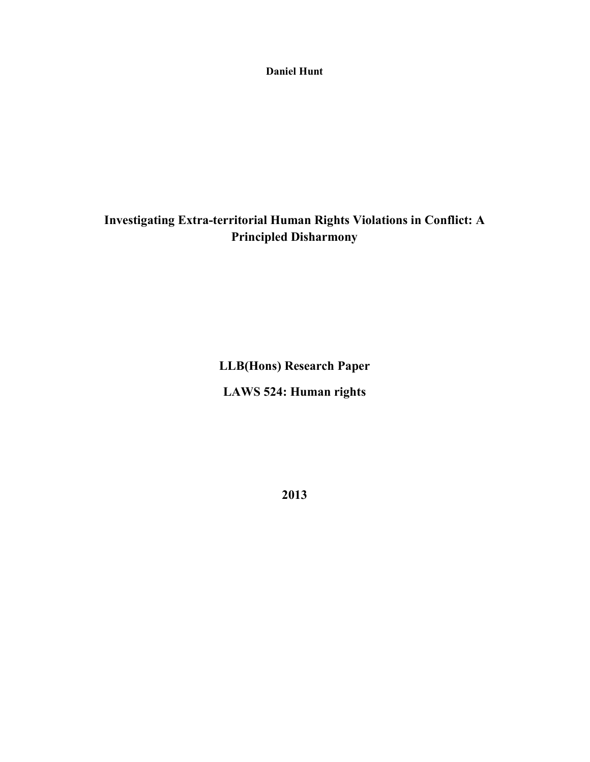**Daniel Hunt** 

# **Investigating Extra-territorial Human Rights Violations in Conflict: A Principled Disharmony**

**LLB(Hons) Research Paper LAWS 524: Human rights** 

**2013**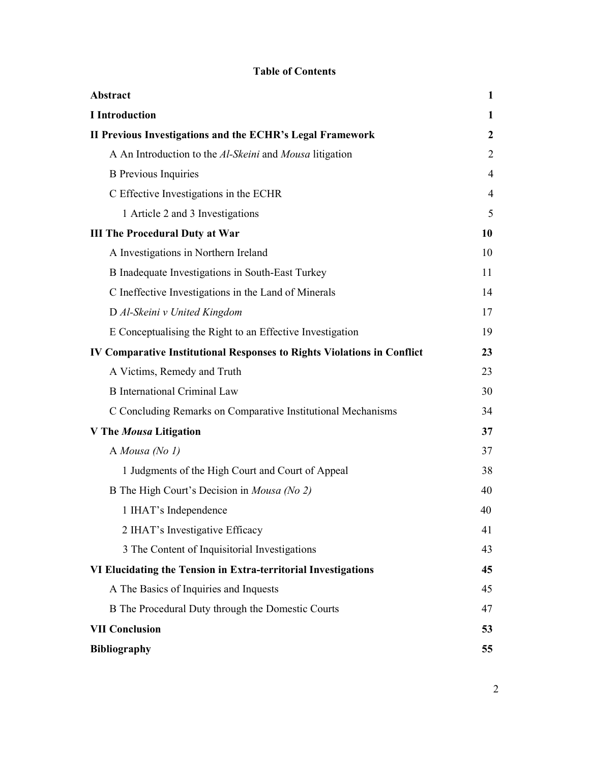## **Table of Contents**

| Abstract                                                                       | 1                |
|--------------------------------------------------------------------------------|------------------|
| <b>I</b> Introduction                                                          | 1                |
| II Previous Investigations and the ECHR's Legal Framework                      | $\boldsymbol{2}$ |
| A An Introduction to the Al-Skeini and Mousa litigation                        | $\overline{2}$   |
| <b>B</b> Previous Inquiries                                                    | $\overline{4}$   |
| C Effective Investigations in the ECHR                                         | $\overline{4}$   |
| 1 Article 2 and 3 Investigations                                               | 5                |
| <b>III The Procedural Duty at War</b>                                          | 10               |
| A Investigations in Northern Ireland                                           | 10               |
| B Inadequate Investigations in South-East Turkey                               | 11               |
| C Ineffective Investigations in the Land of Minerals                           | 14               |
| D Al-Skeini v United Kingdom                                                   | 17               |
| E Conceptualising the Right to an Effective Investigation                      | 19               |
| <b>IV Comparative Institutional Responses to Rights Violations in Conflict</b> | 23               |
| A Victims, Remedy and Truth                                                    | 23               |
| <b>B</b> International Criminal Law                                            | 30               |
| C Concluding Remarks on Comparative Institutional Mechanisms                   | 34               |
| V The Mousa Litigation                                                         | 37               |
| A Mousa (No $1$ )                                                              | 37               |
| 1 Judgments of the High Court and Court of Appeal                              | 38               |
| B The High Court's Decision in Mousa (No 2)                                    | 40               |
| 1 IHAT's Independence                                                          | 40               |
| 2 IHAT's Investigative Efficacy                                                | 41               |
| 3 The Content of Inquisitorial Investigations                                  | 43               |
| VI Elucidating the Tension in Extra-territorial Investigations                 | 45               |
| A The Basics of Inquiries and Inquests                                         | 45               |
| B The Procedural Duty through the Domestic Courts                              | 47               |
| <b>VII Conclusion</b>                                                          | 53               |
| <b>Bibliography</b>                                                            | 55               |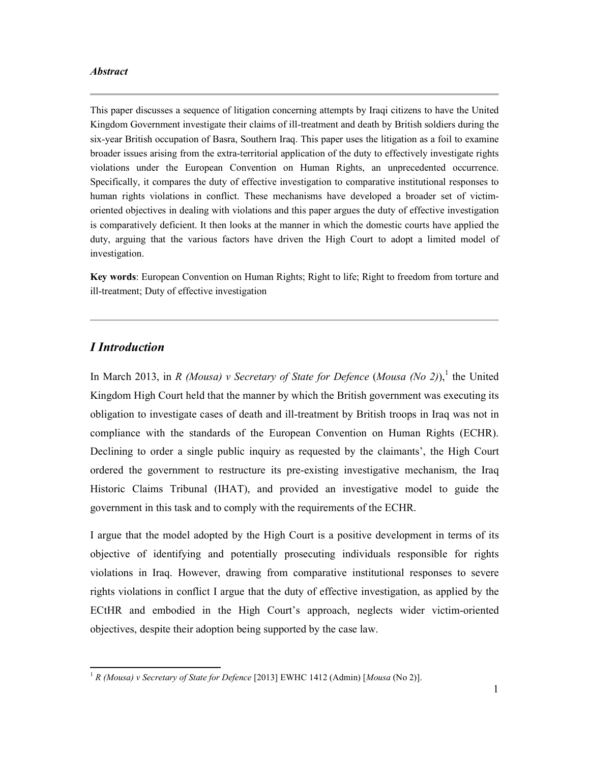#### *Abstract*

This paper discusses a sequence of litigation concerning attempts by Iraqi citizens to have the United Kingdom Government investigate their claims of ill-treatment and death by British soldiers during the six-year British occupation of Basra, Southern Iraq. This paper uses the litigation as a foil to examine broader issues arising from the extra-territorial application of the duty to effectively investigate rights violations under the European Convention on Human Rights, an unprecedented occurrence. Specifically, it compares the duty of effective investigation to comparative institutional responses to human rights violations in conflict. These mechanisms have developed a broader set of victimoriented objectives in dealing with violations and this paper argues the duty of effective investigation is comparatively deficient. It then looks at the manner in which the domestic courts have applied the duty, arguing that the various factors have driven the High Court to adopt a limited model of investigation.

**Key words**: European Convention on Human Rights; Right to life; Right to freedom from torture and ill-treatment; Duty of effective investigation

## *I Introduction*

 $\overline{a}$ 

In March 2013, in *R (Mousa) v Secretary of State for Defence* (*Mousa (No 2*)),<sup>1</sup> the United Kingdom High Court held that the manner by which the British government was executing its obligation to investigate cases of death and ill-treatment by British troops in Iraq was not in compliance with the standards of the European Convention on Human Rights (ECHR). Declining to order a single public inquiry as requested by the claimants', the High Court ordered the government to restructure its pre-existing investigative mechanism, the Iraq Historic Claims Tribunal (IHAT), and provided an investigative model to guide the government in this task and to comply with the requirements of the ECHR.

I argue that the model adopted by the High Court is a positive development in terms of its objective of identifying and potentially prosecuting individuals responsible for rights violations in Iraq. However, drawing from comparative institutional responses to severe rights violations in conflict I argue that the duty of effective investigation, as applied by the ECtHR and embodied in the High Court's approach, neglects wider victim-oriented objectives, despite their adoption being supported by the case law.

<sup>1</sup> *R (Mousa) v Secretary of State for Defence* [2013] EWHC 1412 (Admin) [*Mousa* (No 2)].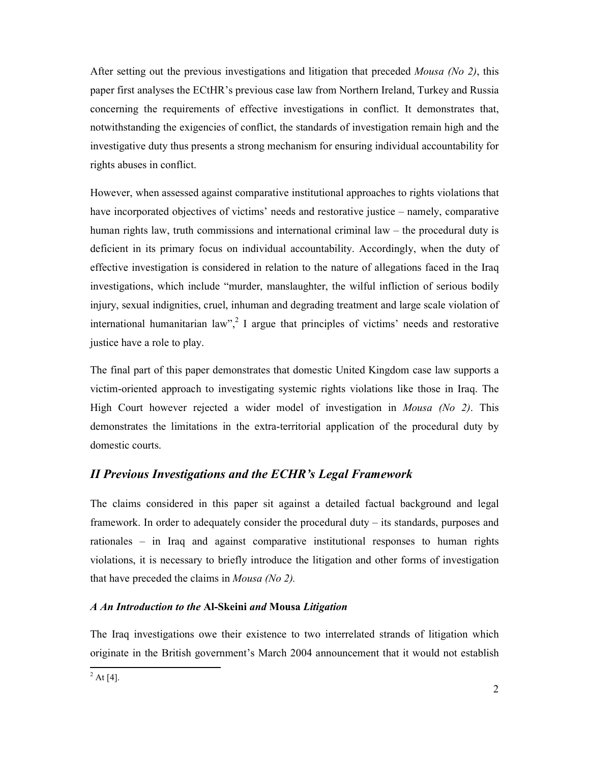After setting out the previous investigations and litigation that preceded *Mousa (No 2)*, this paper first analyses the ECtHR's previous case law from Northern Ireland, Turkey and Russia concerning the requirements of effective investigations in conflict. It demonstrates that, notwithstanding the exigencies of conflict, the standards of investigation remain high and the investigative duty thus presents a strong mechanism for ensuring individual accountability for rights abuses in conflict.

However, when assessed against comparative institutional approaches to rights violations that have incorporated objectives of victims' needs and restorative justice – namely, comparative human rights law, truth commissions and international criminal law – the procedural duty is deficient in its primary focus on individual accountability. Accordingly, when the duty of effective investigation is considered in relation to the nature of allegations faced in the Iraq investigations, which include "murder, manslaughter, the wilful infliction of serious bodily injury, sexual indignities, cruel, inhuman and degrading treatment and large scale violation of international humanitarian  $law^2$ , I argue that principles of victims' needs and restorative justice have a role to play.

The final part of this paper demonstrates that domestic United Kingdom case law supports a victim-oriented approach to investigating systemic rights violations like those in Iraq. The High Court however rejected a wider model of investigation in *Mousa (No 2)*. This demonstrates the limitations in the extra-territorial application of the procedural duty by domestic courts.

## *II Previous Investigations and the ECHR's Legal Framework*

The claims considered in this paper sit against a detailed factual background and legal framework. In order to adequately consider the procedural duty – its standards, purposes and rationales – in Iraq and against comparative institutional responses to human rights violations, it is necessary to briefly introduce the litigation and other forms of investigation that have preceded the claims in *Mousa (No 2).*

## *A An Introduction to the* **Al-Skeini** *and* **Mousa** *Litigation*

The Iraq investigations owe their existence to two interrelated strands of litigation which originate in the British government's March 2004 announcement that it would not establish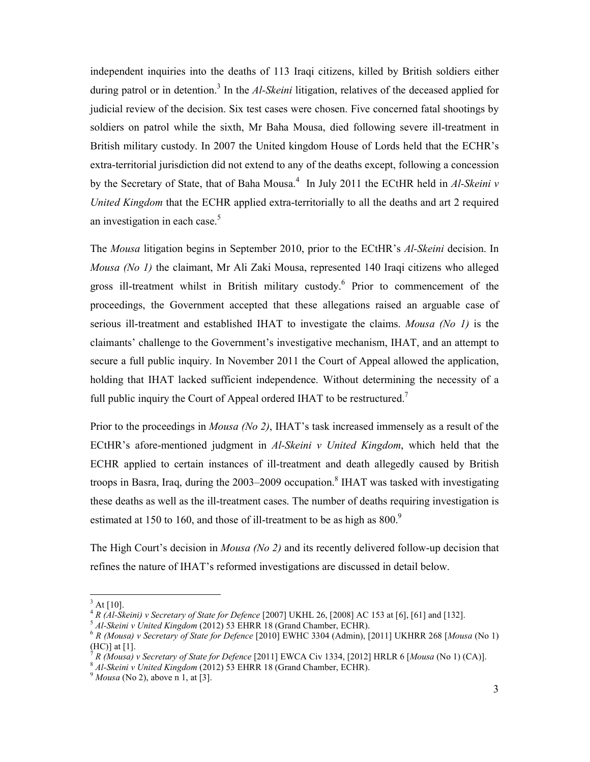independent inquiries into the deaths of 113 Iraqi citizens, killed by British soldiers either during patrol or in detention.<sup>3</sup> In the *Al-Skeini* litigation, relatives of the deceased applied for judicial review of the decision. Six test cases were chosen. Five concerned fatal shootings by soldiers on patrol while the sixth, Mr Baha Mousa, died following severe ill-treatment in British military custody. In 2007 the United kingdom House of Lords held that the ECHR's extra-territorial jurisdiction did not extend to any of the deaths except, following a concession by the Secretary of State, that of Baha Mousa.<sup>4</sup> In July 2011 the ECtHR held in *Al-Skeini v United Kingdom* that the ECHR applied extra-territorially to all the deaths and art 2 required an investigation in each case. $5$ 

The *Mousa* litigation begins in September 2010, prior to the ECtHR's *Al-Skeini* decision. In *Mousa (No 1)* the claimant, Mr Ali Zaki Mousa, represented 140 Iraqi citizens who alleged gross ill-treatment whilst in British military custody.<sup>6</sup> Prior to commencement of the proceedings, the Government accepted that these allegations raised an arguable case of serious ill-treatment and established IHAT to investigate the claims. *Mousa (No 1)* is the claimants' challenge to the Government's investigative mechanism, IHAT, and an attempt to secure a full public inquiry. In November 2011 the Court of Appeal allowed the application, holding that IHAT lacked sufficient independence. Without determining the necessity of a full public inquiry the Court of Appeal ordered IHAT to be restructured.<sup>7</sup>

Prior to the proceedings in *Mousa (No 2)*, IHAT's task increased immensely as a result of the ECtHR's afore-mentioned judgment in *Al-Skeini v United Kingdom*, which held that the ECHR applied to certain instances of ill-treatment and death allegedly caused by British troops in Basra, Iraq, during the 2003–2009 occupation.<sup>8</sup> IHAT was tasked with investigating these deaths as well as the ill-treatment cases. The number of deaths requiring investigation is estimated at 150 to 160, and those of ill-treatment to be as high as  $800.<sup>9</sup>$ 

The High Court's decision in *Mousa (No 2)* and its recently delivered follow-up decision that refines the nature of IHAT's reformed investigations are discussed in detail below.

 $3$  At [10].

<sup>4</sup> *R (Al-Skeini) v Secretary of State for Defence* [2007] UKHL 26, [2008] AC 153 at [6], [61] and [132]. 5 *Al-Skeini v United Kingdom* (2012) 53 EHRR 18 (Grand Chamber, ECHR).

<sup>6</sup> *R (Mousa) v Secretary of State for Defence* [2010] EWHC 3304 (Admin), [2011] UKHRR 268 [*Mousa* (No 1) (HC)] at [1].

<sup>7</sup> *R (Mousa) v Secretary of State for Defence* [2011] EWCA Civ 1334, [2012] HRLR 6 [*Mousa* (No 1) (CA)].

<sup>8</sup> *Al-Skeini v United Kingdom* (2012) 53 EHRR 18 (Grand Chamber, ECHR).

<sup>9</sup> *Mousa* (No 2), above n 1, at [3].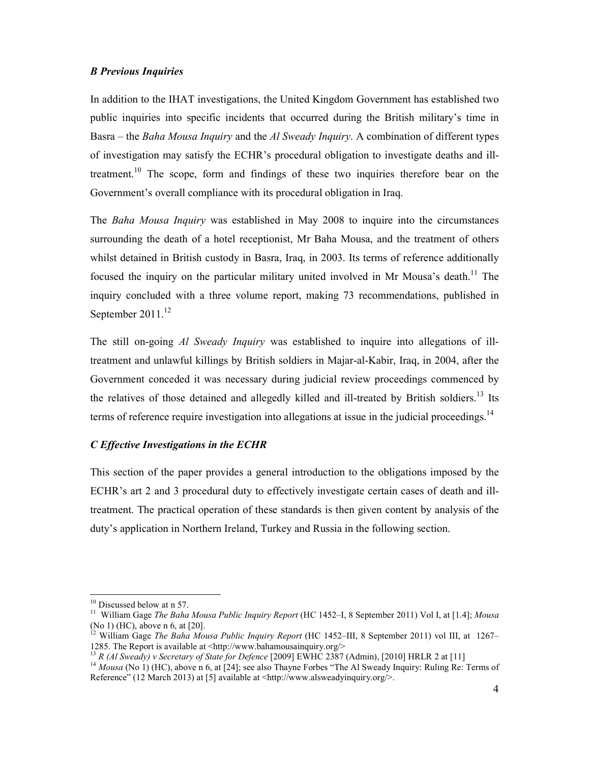### *B Previous Inquiries*

In addition to the IHAT investigations, the United Kingdom Government has established two public inquiries into specific incidents that occurred during the British military's time in Basra – the *Baha Mousa Inquiry* and the *Al Sweady Inquiry*. A combination of different types of investigation may satisfy the ECHR's procedural obligation to investigate deaths and illtreatment.<sup>10</sup> The scope, form and findings of these two inquiries therefore bear on the Government's overall compliance with its procedural obligation in Iraq.

The *Baha Mousa Inquiry* was established in May 2008 to inquire into the circumstances surrounding the death of a hotel receptionist, Mr Baha Mousa, and the treatment of others whilst detained in British custody in Basra, Iraq, in 2003. Its terms of reference additionally focused the inquiry on the particular military united involved in Mr Mousa's death.<sup>11</sup> The inquiry concluded with a three volume report, making 73 recommendations, published in September  $2011$ <sup>12</sup>

The still on-going *Al Sweady Inquiry* was established to inquire into allegations of illtreatment and unlawful killings by British soldiers in Majar-al-Kabir, Iraq, in 2004, after the Government conceded it was necessary during judicial review proceedings commenced by the relatives of those detained and allegedly killed and ill-treated by British soldiers.<sup>13</sup> Its terms of reference require investigation into allegations at issue in the judicial proceedings.<sup>14</sup>

## *C Effective Investigations in the ECHR*

This section of the paper provides a general introduction to the obligations imposed by the ECHR's art 2 and 3 procedural duty to effectively investigate certain cases of death and illtreatment. The practical operation of these standards is then given content by analysis of the duty's application in Northern Ireland, Turkey and Russia in the following section.

<sup>&</sup>lt;sup>10</sup> Discussed below at n 57.

<sup>11</sup> William Gage *The Baha Mousa Public Inquiry Report* (HC 1452–I, 8 September 2011) Vol I, at [1.4]; *Mousa*  (No 1) (HC), above n 6, at [20].

<sup>12</sup> William Gage *The Baha Mousa Public Inquiry Report* (HC 1452–III, 8 September 2011) vol III, at 1267– 1285. The Report is available at <http://www.bahamousainquiry.org/>

<sup>13</sup> *R (Al Sweady) v Secretary of State for Defence* [2009] EWHC 2387 (Admin), [2010] HRLR 2 at [11]

<sup>&</sup>lt;sup>14</sup> *Mousa* (No 1) (HC), above n 6, at [24]; see also Thayne Forbes "The Al Sweady Inquiry: Ruling Re: Terms of Reference" (12 March 2013) at [5] available at <http://www.alsweadyinquiry.org/>.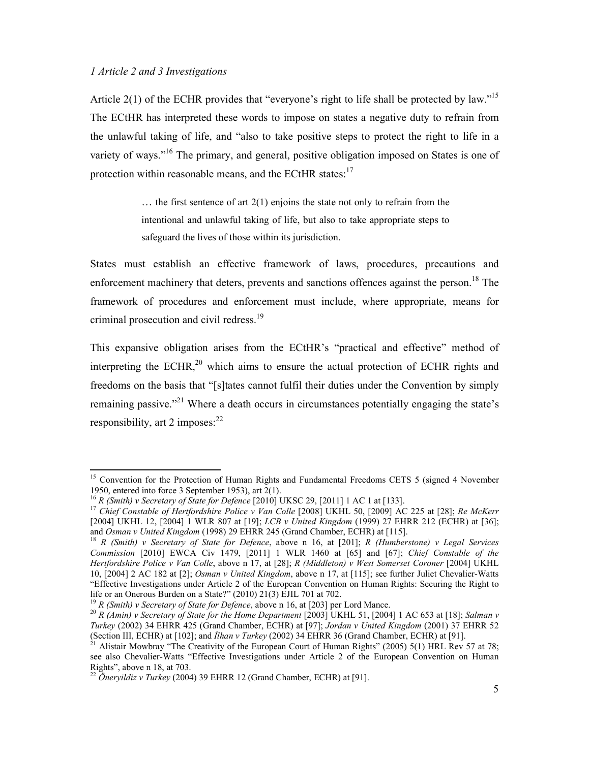### *1 Article 2 and 3 Investigations*

 $\overline{a}$ 

Article 2(1) of the ECHR provides that "everyone's right to life shall be protected by law."<sup>15</sup> The ECtHR has interpreted these words to impose on states a negative duty to refrain from the unlawful taking of life, and "also to take positive steps to protect the right to life in a variety of ways."<sup>16</sup> The primary, and general, positive obligation imposed on States is one of protection within reasonable means, and the ECtHR states: $17$ 

> … the first sentence of art 2(1) enjoins the state not only to refrain from the intentional and unlawful taking of life, but also to take appropriate steps to safeguard the lives of those within its jurisdiction.

States must establish an effective framework of laws, procedures, precautions and enforcement machinery that deters, prevents and sanctions offences against the person.<sup>18</sup> The framework of procedures and enforcement must include, where appropriate, means for criminal prosecution and civil redress.<sup>19</sup>

This expansive obligation arises from the ECtHR's "practical and effective" method of interpreting the ECHR,  $^{20}$  which aims to ensure the actual protection of ECHR rights and freedoms on the basis that "[s]tates cannot fulfil their duties under the Convention by simply remaining passive."<sup>21</sup> Where a death occurs in circumstances potentially engaging the state's responsibility, art 2 imposes: $^{22}$ 

<sup>&</sup>lt;sup>15</sup> Convention for the Protection of Human Rights and Fundamental Freedoms CETS 5 (signed 4 November 1950, entered into force 3 September 1953), art 2(1).

<sup>16</sup> *R (Smith) v Secretary of State for Defence* [2010] UKSC 29, [2011] 1 AC 1 at [133].

<sup>17</sup> *Chief Constable of Hertfordshire Police v Van Colle* [2008] UKHL 50, [2009] AC 225 at [28]; *Re McKerr*  [2004] UKHL 12, [2004] 1 WLR 807 at [19]; *LCB v United Kingdom* (1999) 27 EHRR 212 (ECHR) at [36]; and *Osman v United Kingdom* (1998) 29 EHRR 245 (Grand Chamber, ECHR) at [115].

<sup>18</sup> *R (Smith) v Secretary of State for Defence*, above n 16, at [201]; *R (Humberstone) v Legal Services Commission* [2010] EWCA Civ 1479, [2011] 1 WLR 1460 at [65] and [67]; *Chief Constable of the Hertfordshire Police v Van Colle*, above n 17, at [28]; *R (Middleton) v West Somerset Coroner* [2004] UKHL 10, [2004] 2 AC 182 at [2]; *Osman v United Kingdom*, above n 17, at [115]; see further Juliet Chevalier-Watts "Effective Investigations under Article 2 of the European Convention on Human Rights: Securing the Right to life or an Onerous Burden on a State?" (2010) 21(3) EJIL 701 at 702.

<sup>&</sup>lt;sup>19</sup> *R* (Smith) v Secretary of State for Defence, above n 16, at [203] per Lord Mance.

<sup>20</sup> *R (Amin) v Secretary of State for the Home Department* [2003] UKHL 51, [2004] 1 AC 653 at [18]; *Salman v Turkey* (2002) 34 EHRR 425 (Grand Chamber, ECHR) at [97]; *Jordan v United Kingdom* (2001) 37 EHRR 52 (Section III, ECHR) at [102]; and *Đlhan v Turkey* (2002) 34 EHRR 36 (Grand Chamber, ECHR) at [91].

Alistair Mowbray "The Creativity of the European Court of Human Rights" (2005) 5(1) HRL Rev 57 at 78; see also Chevalier-Watts "Effective Investigations under Article 2 of the European Convention on Human Rights", above n 18, at 703.

<sup>22</sup> *Öneryildiz v Turkey* (2004) 39 EHRR 12 (Grand Chamber, ECHR) at [91].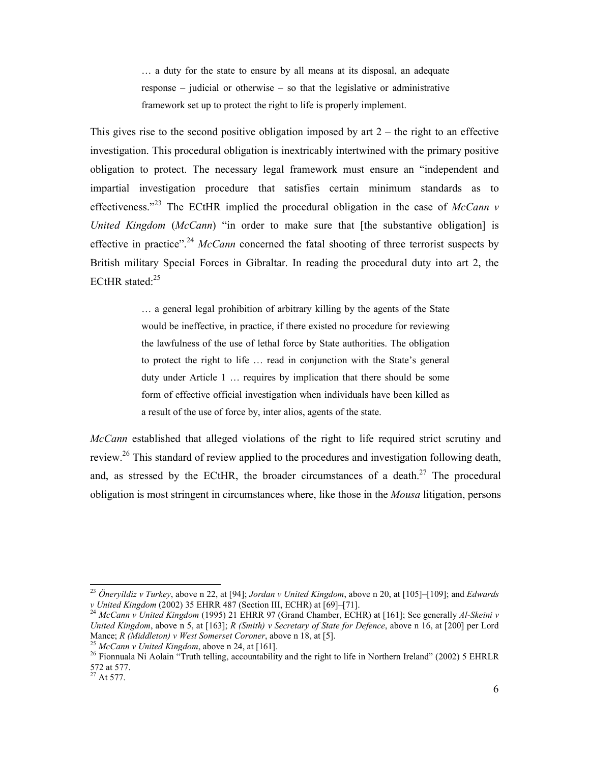… a duty for the state to ensure by all means at its disposal, an adequate response – judicial or otherwise – so that the legislative or administrative framework set up to protect the right to life is properly implement.

This gives rise to the second positive obligation imposed by art  $2$  – the right to an effective investigation. This procedural obligation is inextricably intertwined with the primary positive obligation to protect. The necessary legal framework must ensure an "independent and impartial investigation procedure that satisfies certain minimum standards as to effectiveness."<sup>23</sup> The ECtHR implied the procedural obligation in the case of  $McCann$  v *United Kingdom* (*McCann*) "in order to make sure that [the substantive obligation] is effective in practice".<sup>24</sup> *McCann* concerned the fatal shooting of three terrorist suspects by British military Special Forces in Gibraltar. In reading the procedural duty into art 2, the ECtHR stated:<sup>25</sup>

> … a general legal prohibition of arbitrary killing by the agents of the State would be ineffective, in practice, if there existed no procedure for reviewing the lawfulness of the use of lethal force by State authorities. The obligation to protect the right to life … read in conjunction with the State's general duty under Article 1 … requires by implication that there should be some form of effective official investigation when individuals have been killed as a result of the use of force by, inter alios, agents of the state.

*McCann* established that alleged violations of the right to life required strict scrutiny and review.<sup>26</sup> This standard of review applied to the procedures and investigation following death, and, as stressed by the ECtHR, the broader circumstances of a death.<sup>27</sup> The procedural obligation is most stringent in circumstances where, like those in the *Mousa* litigation, persons

<u>.</u>

<sup>23</sup> *Öneryildiz v Turkey*, above n 22, at [94]; *Jordan v United Kingdom*, above n 20, at [105]–[109]; and *Edwards v United Kingdom* (2002) 35 EHRR 487 (Section III, ECHR) at [69]–[71].

<sup>24</sup> *McCann v United Kingdom* (1995) 21 EHRR 97 (Grand Chamber, ECHR) at [161]; See generally *Al-Skeini v United Kingdom*, above n 5, at [163]; *R (Smith) v Secretary of State for Defence*, above n 16, at [200] per Lord Mance; *R (Middleton) v West Somerset Coroner*, above n 18, at [5].

<sup>25</sup> *McCann v United Kingdom*, above n 24, at [161].

<sup>&</sup>lt;sup>26</sup> Fionnuala Ni Aolain "Truth telling, accountability and the right to life in Northern Ireland" (2002) 5 EHRLR 572 at 577.

 $^{27}$  At 577.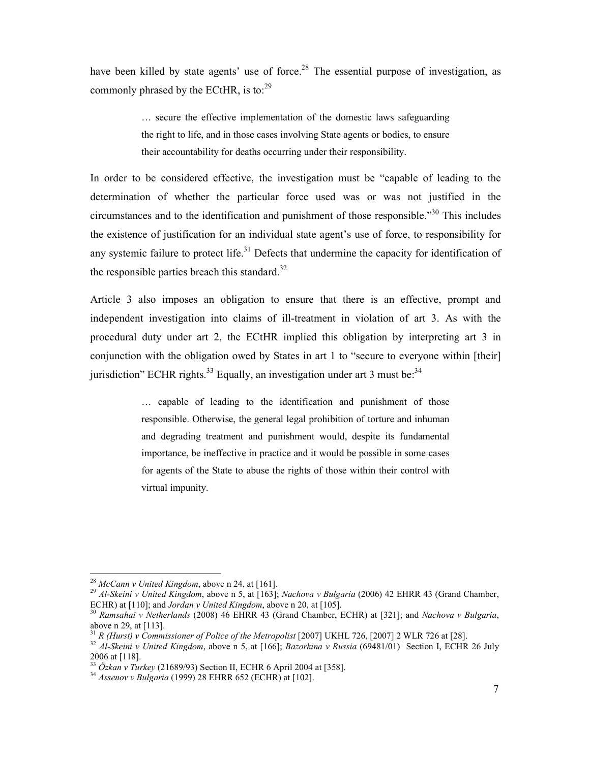have been killed by state agents' use of force.<sup>28</sup> The essential purpose of investigation, as commonly phrased by the ECtHR, is to: $29$ 

> … secure the effective implementation of the domestic laws safeguarding the right to life, and in those cases involving State agents or bodies, to ensure their accountability for deaths occurring under their responsibility.

In order to be considered effective, the investigation must be "capable of leading to the determination of whether the particular force used was or was not justified in the circumstances and to the identification and punishment of those responsible."<sup>30</sup> This includes the existence of justification for an individual state agent's use of force, to responsibility for any systemic failure to protect life.<sup>31</sup> Defects that undermine the capacity for identification of the responsible parties breach this standard. $32$ 

Article 3 also imposes an obligation to ensure that there is an effective, prompt and independent investigation into claims of ill-treatment in violation of art 3. As with the procedural duty under art 2, the ECtHR implied this obligation by interpreting art 3 in conjunction with the obligation owed by States in art 1 to "secure to everyone within [their] jurisdiction" ECHR rights.<sup>33</sup> Equally, an investigation under art 3 must be:<sup>34</sup>

> … capable of leading to the identification and punishment of those responsible. Otherwise, the general legal prohibition of torture and inhuman and degrading treatment and punishment would, despite its fundamental importance, be ineffective in practice and it would be possible in some cases for agents of the State to abuse the rights of those within their control with virtual impunity.

<u>.</u>

<sup>28</sup> *McCann v United Kingdom*, above n 24, at [161].

<sup>29</sup> *Al-Skeini v United Kingdom*, above n 5, at [163]; *Nachova v Bulgaria* (2006) 42 EHRR 43 (Grand Chamber, ECHR) at [110]; and *Jordan v United Kingdom*, above n 20, at [105].

<sup>30</sup> *Ramsahai v Netherlands* (2008) 46 EHRR 43 (Grand Chamber, ECHR) at [321]; and *Nachova v Bulgaria*, above n 29, at [113].

<sup>&</sup>lt;sup>31</sup> *R (Hurst) v Commissioner of Police of the Metropolist* [2007] UKHL 726, [2007] 2 WLR 726 at [28].

<sup>32</sup> *Al-Skeini v United Kingdom*, above n 5, at [166]; *Bazorkina v Russia* (69481/01) Section I, ECHR 26 July 2006 at [118].

<sup>33</sup> *Özkan v Turkey* (21689/93) Section II, ECHR 6 April 2004 at [358].

<sup>34</sup> *Assenov v Bulgaria* (1999) 28 EHRR 652 (ECHR) at [102].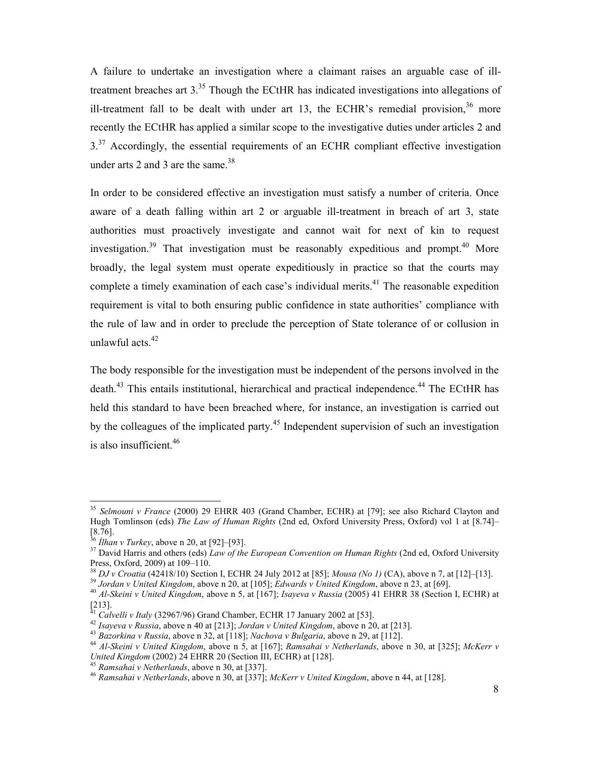A failure to undertake an investigation where a claimant raises an arguable case of illtreatment breaches art  $3^{35}$ . Though the ECtHR has indicated investigations into allegations of ill-treatment fall to be dealt with under art 13, the ECHR's remedial provision, $36$  more recently the ECtHR has applied a similar scope to the investigative duties under articles 2 and  $3<sup>37</sup>$  Accordingly, the essential requirements of an ECHR compliant effective investigation under arts 2 and 3 are the same. $38$ 

In order to be considered effective an investigation must satisfy a number of criteria. Once aware of a death falling within art 2 or arguable ill-treatment in breach of art 3, state authorities must proactively investigate and cannot wait for next of kin to request investigation.<sup>39</sup> That investigation must be reasonably expeditious and prompt.<sup>40</sup> More broadly, the legal system must operate expeditiously in practice so that the courts may complete a timely examination of each case's individual merits.<sup>41</sup> The reasonable expedition requirement is vital to both ensuring public confidence in state authorities' compliance with the rule of law and in order to preclude the perception of State tolerance of or collusion in unlawful acts. $42$ 

The body responsible for the investigation must be independent of the persons involved in the death.<sup>43</sup> This entails institutional, hierarchical and practical independence.<sup>44</sup> The ECtHR has held this standard to have been breached where, for instance, an investigation is carried out by the colleagues of the implicated party.<sup>45</sup> Independent supervision of such an investigation is also insufficient.<sup>46</sup>

<sup>35</sup> *Selmouni v France* (2000) 29 EHRR 403 (Grand Chamber, ECHR) at [79]; see also Richard Clayton and Hugh Tomlinson (eds) *The Law of Human Rights* (2nd ed, Oxford University Press, Oxford) vol 1 at [8.74]– [8.76].

<sup>36</sup> *Đlhan v Turkey*, above n 20, at [92]–[93].

<sup>37</sup> David Harris and others (eds) *Law of the European Convention on Human Rights* (2nd ed, Oxford University Press, Oxford, 2009) at 109–110.

<sup>38</sup> *DJ v Croatia* (42418/10) Section I, ECHR 24 July 2012 at [85]; *Mousa (No 1)* (CA), above n 7, at [12]–[13].

<sup>39</sup> *Jordan v United Kingdom*, above n 20, at [105]; *Edwards v United Kingdom*, above n 23, at [69].

<sup>40</sup> *Al-Skeini v United Kingdom*, above n 5, at [167]; *Isayeva v Russia* (2005) 41 EHRR 38 (Section I, ECHR) at [213].

<sup>41</sup> *Calvelli v Italy* (32967/96) Grand Chamber, ECHR 17 January 2002 at [53].

<sup>42</sup> *Isayeva v Russia*, above n 40 at [213]; *Jordan v United Kingdom*, above n 20, at [213].

<sup>43</sup> *Bazorkina v Russia*, above n 32, at [118]; *Nachova v Bulgaria*, above n 29, at [112].

<sup>44</sup> *Al-Skeini v United Kingdom*, above n 5, at [167]; *Ramsahai v Netherlands*, above n 30, at [325]; *McKerr v United Kingdom* (2002) 24 EHRR 20 (Section III, ECHR) at [128].

<sup>45</sup> *Ramsahai v Netherlands*, above n 30, at [337].

<sup>46</sup> *Ramsahai v Netherlands*, above n 30, at [337]; *McKerr v United Kingdom*, above n 44, at [128].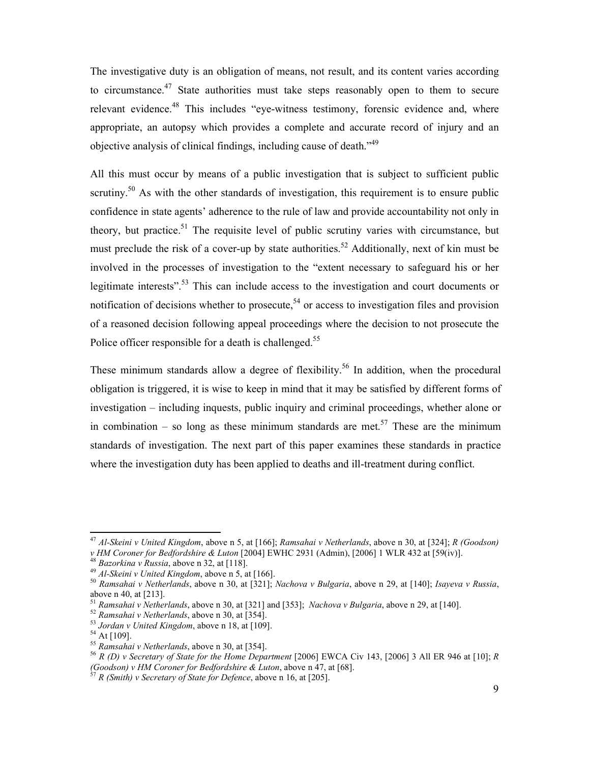The investigative duty is an obligation of means, not result, and its content varies according to circumstance.<sup>47</sup> State authorities must take steps reasonably open to them to secure relevant evidence.<sup>48</sup> This includes "eye-witness testimony, forensic evidence and, where appropriate, an autopsy which provides a complete and accurate record of injury and an objective analysis of clinical findings, including cause of death.<sup>149</sup>

All this must occur by means of a public investigation that is subject to sufficient public scrutiny.<sup>50</sup> As with the other standards of investigation, this requirement is to ensure public confidence in state agents' adherence to the rule of law and provide accountability not only in theory, but practice.<sup>51</sup> The requisite level of public scrutiny varies with circumstance, but must preclude the risk of a cover-up by state authorities.<sup>52</sup> Additionally, next of kin must be involved in the processes of investigation to the "extent necessary to safeguard his or her legitimate interests".<sup>53</sup> This can include access to the investigation and court documents or notification of decisions whether to prosecute,<sup>54</sup> or access to investigation files and provision of a reasoned decision following appeal proceedings where the decision to not prosecute the Police officer responsible for a death is challenged.<sup>55</sup>

These minimum standards allow a degree of flexibility.<sup>56</sup> In addition, when the procedural obligation is triggered, it is wise to keep in mind that it may be satisfied by different forms of investigation – including inquests, public inquiry and criminal proceedings, whether alone or in combination – so long as these minimum standards are met.<sup>57</sup> These are the minimum standards of investigation. The next part of this paper examines these standards in practice where the investigation duty has been applied to deaths and ill-treatment during conflict.

<sup>47</sup> *Al-Skeini v United Kingdom*, above n 5, at [166]; *Ramsahai v Netherlands*, above n 30, at [324]; *R (Goodson) v HM Coroner for Bedfordshire & Luton* [2004] EWHC 2931 (Admin), [2006] 1 WLR 432 at [59(iv)].

<sup>48</sup> *Bazorkina v Russia*, above n 32, at [118].

<sup>49</sup> *Al-Skeini v United Kingdom*, above n 5, at [166].

<sup>50</sup> *Ramsahai v Netherlands*, above n 30, at [321]; *Nachova v Bulgaria*, above n 29, at [140]; *Isayeva v Russia*, above n 40, at [213].

<sup>51</sup> *Ramsahai v Netherlands*, above n 30, at [321] and [353]; *Nachova v Bulgaria*, above n 29, at [140].

<sup>52</sup> *Ramsahai v Netherlands*, above n 30, at [354].

<sup>53</sup> *Jordan v United Kingdom*, above n 18, at [109].

 $^{54}$  At [109].

<sup>55</sup> *Ramsahai v Netherlands*, above n 30, at [354].

<sup>56</sup> *R (D) v Secretary of State for the Home Department* [2006] EWCA Civ 143, [2006] 3 All ER 946 at [10]; *R (Goodson) v HM Coroner for Bedfordshire & Luton*, above n 47, at [68].

<sup>57</sup> *R (Smith) v Secretary of State for Defence*, above n 16, at [205].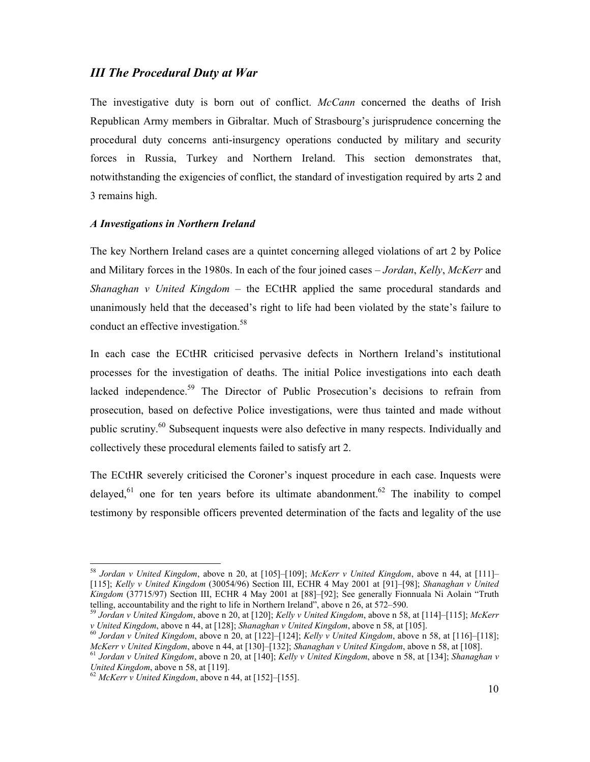## *III The Procedural Duty at War*

The investigative duty is born out of conflict. *McCann* concerned the deaths of Irish Republican Army members in Gibraltar. Much of Strasbourg's jurisprudence concerning the procedural duty concerns anti-insurgency operations conducted by military and security forces in Russia, Turkey and Northern Ireland. This section demonstrates that, notwithstanding the exigencies of conflict, the standard of investigation required by arts 2 and 3 remains high.

## *A Investigations in Northern Ireland*

The key Northern Ireland cases are a quintet concerning alleged violations of art 2 by Police and Military forces in the 1980s. In each of the four joined cases – *Jordan*, *Kelly*, *McKerr* and *Shanaghan v United Kingdom* – the ECtHR applied the same procedural standards and unanimously held that the deceased's right to life had been violated by the state's failure to conduct an effective investigation.<sup>58</sup>

In each case the ECtHR criticised pervasive defects in Northern Ireland's institutional processes for the investigation of deaths. The initial Police investigations into each death lacked independence.<sup>59</sup> The Director of Public Prosecution's decisions to refrain from prosecution, based on defective Police investigations, were thus tainted and made without public scrutiny.<sup>60</sup> Subsequent inquests were also defective in many respects. Individually and collectively these procedural elements failed to satisfy art 2.

The ECtHR severely criticised the Coroner's inquest procedure in each case. Inquests were delayed,<sup>61</sup> one for ten years before its ultimate abandonment.<sup>62</sup> The inability to compel testimony by responsible officers prevented determination of the facts and legality of the use

<sup>58</sup> *Jordan v United Kingdom*, above n 20, at [105]–[109]; *McKerr v United Kingdom*, above n 44, at [111]– [115]; *Kelly v United Kingdom* (30054/96) Section III, ECHR 4 May 2001 at [91]–[98]; *Shanaghan v United Kingdom* (37715/97) Section III, ECHR 4 May 2001 at [88]–[92]; See generally Fionnuala Ni Aolain "Truth telling, accountability and the right to life in Northern Ireland", above n 26, at 572–590.

<sup>59</sup> *Jordan v United Kingdom*, above n 20, at [120]; *Kelly v United Kingdom*, above n 58, at [114]–[115]; *McKerr v United Kingdom*, above n 44, at [128]; *Shanaghan v United Kingdom*, above n 58, at [105].

<sup>60</sup> *Jordan v United Kingdom*, above n 20, at [122]–[124]; *Kelly v United Kingdom*, above n 58, at [116]–[118]; *McKerr v United Kingdom*, above n 44, at [130]–[132]; *Shanaghan v United Kingdom*, above n 58, at [108].

<sup>61</sup> *Jordan v United Kingdom*, above n 20, at [140]; *Kelly v United Kingdom*, above n 58, at [134]; *Shanaghan v United Kingdom*, above n 58, at [119].

<sup>62</sup> *McKerr v United Kingdom*, above n 44, at [152]–[155].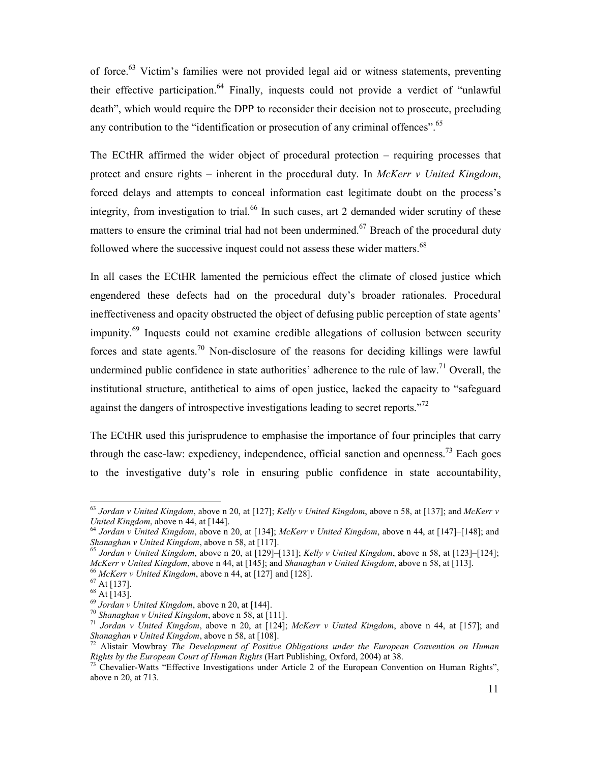of force.<sup>63</sup> Victim's families were not provided legal aid or witness statements, preventing their effective participation.<sup>64</sup> Finally, inquests could not provide a verdict of "unlawful" death", which would require the DPP to reconsider their decision not to prosecute, precluding any contribution to the "identification or prosecution of any criminal offences".<sup>65</sup>

The ECtHR affirmed the wider object of procedural protection – requiring processes that protect and ensure rights – inherent in the procedural duty. In *McKerr v United Kingdom*, forced delays and attempts to conceal information cast legitimate doubt on the process's integrity, from investigation to trial.<sup>66</sup> In such cases, art 2 demanded wider scrutiny of these matters to ensure the criminal trial had not been undermined.<sup>67</sup> Breach of the procedural duty followed where the successive inquest could not assess these wider matters.<sup>68</sup>

In all cases the ECtHR lamented the pernicious effect the climate of closed justice which engendered these defects had on the procedural duty's broader rationales. Procedural ineffectiveness and opacity obstructed the object of defusing public perception of state agents' impunity.<sup>69</sup> Inquests could not examine credible allegations of collusion between security forces and state agents.<sup>70</sup> Non-disclosure of the reasons for deciding killings were lawful undermined public confidence in state authorities' adherence to the rule of law.<sup>71</sup> Overall, the institutional structure, antithetical to aims of open justice, lacked the capacity to "safeguard against the dangers of introspective investigations leading to secret reports.<sup> $2$ </sup>

The ECtHR used this jurisprudence to emphasise the importance of four principles that carry through the case-law: expediency, independence, official sanction and openness.<sup>73</sup> Each goes to the investigative duty's role in ensuring public confidence in state accountability,

<sup>63</sup> *Jordan v United Kingdom*, above n 20, at [127]; *Kelly v United Kingdom*, above n 58, at [137]; and *McKerr v United Kingdom*, above n 44, at [144].

<sup>64</sup> *Jordan v United Kingdom*, above n 20, at [134]; *McKerr v United Kingdom*, above n 44, at [147]–[148]; and *Shanaghan v United Kingdom*, above n 58, at [117].

<sup>65</sup> *Jordan v United Kingdom*, above n 20, at [129]–[131]; *Kelly v United Kingdom*, above n 58, at [123]–[124]; *McKerr v United Kingdom*, above n 44, at [145]; and *Shanaghan v United Kingdom*, above n 58, at [113].

<sup>66</sup> *McKerr v United Kingdom*, above n 44, at [127] and [128].

<sup>67</sup> At [137].

 $68$  At [143].

 $^{69}$  *Jordan v United Kingdom*, above n 20, at [144].

<sup>70</sup> *Shanaghan v United Kingdom*, above n 58, at [111].

<sup>71</sup> *Jordan v United Kingdom*, above n 20, at [124]; *McKerr v United Kingdom*, above n 44, at [157]; and *Shanaghan v United Kingdom*, above n 58, at [108].

<sup>72</sup> Alistair Mowbray *The Development of Positive Obligations under the European Convention on Human Rights by the European Court of Human Rights* (Hart Publishing, Oxford, 2004) at 38.

<sup>&</sup>lt;sup>73</sup> Chevalier-Watts "Effective Investigations under Article 2 of the European Convention on Human Rights", above n 20, at 713.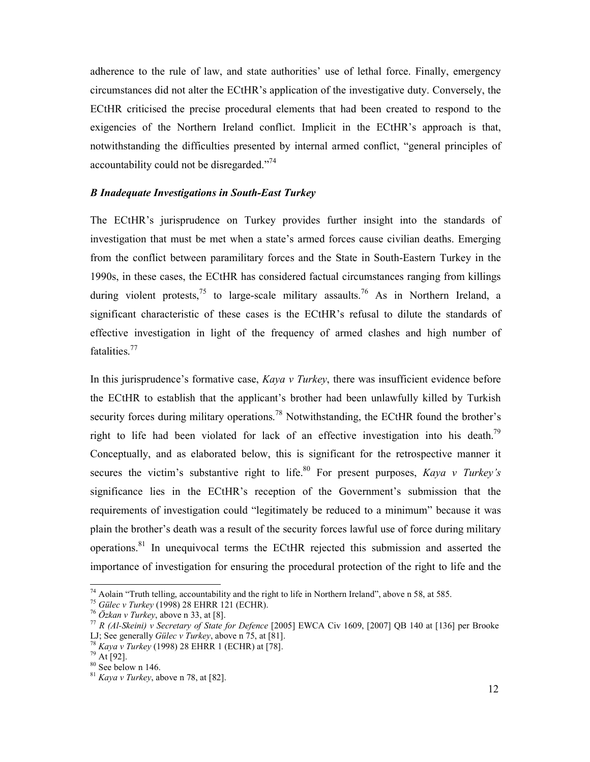adherence to the rule of law, and state authorities' use of lethal force. Finally, emergency circumstances did not alter the ECtHR's application of the investigative duty. Conversely, the ECtHR criticised the precise procedural elements that had been created to respond to the exigencies of the Northern Ireland conflict. Implicit in the ECtHR's approach is that, notwithstanding the difficulties presented by internal armed conflict, "general principles of accountability could not be disregarded."<sup>74</sup>

## *B Inadequate Investigations in South-East Turkey*

The ECtHR's jurisprudence on Turkey provides further insight into the standards of investigation that must be met when a state's armed forces cause civilian deaths. Emerging from the conflict between paramilitary forces and the State in South-Eastern Turkey in the 1990s, in these cases, the ECtHR has considered factual circumstances ranging from killings during violent protests,<sup>75</sup> to large-scale military assaults.<sup>76</sup> As in Northern Ireland, a significant characteristic of these cases is the ECtHR's refusal to dilute the standards of effective investigation in light of the frequency of armed clashes and high number of fatalities.<sup>77</sup>

In this jurisprudence's formative case, *Kaya v Turkey*, there was insufficient evidence before the ECtHR to establish that the applicant's brother had been unlawfully killed by Turkish security forces during military operations.<sup>78</sup> Notwithstanding, the ECtHR found the brother's right to life had been violated for lack of an effective investigation into his death.<sup>79</sup> Conceptually, and as elaborated below, this is significant for the retrospective manner it secures the victim's substantive right to life.<sup>80</sup> For present purposes, *Kaya v Turkey's* significance lies in the ECtHR's reception of the Government's submission that the requirements of investigation could "legitimately be reduced to a minimum" because it was plain the brother's death was a result of the security forces lawful use of force during military operations.<sup>81</sup> In unequivocal terms the ECtHR rejected this submission and asserted the importance of investigation for ensuring the procedural protection of the right to life and the

<u>.</u>

<sup>&</sup>lt;sup>74</sup> Aolain "Truth telling, accountability and the right to life in Northern Ireland", above n 58, at 585.

<sup>75</sup> *Gülec v Turkey* (1998) 28 EHRR 121 (ECHR).

<sup>76</sup> *Özkan v Turkey*, above n 33, at [8].

<sup>77</sup> *R (Al-Skeini) v Secretary of State for Defence* [2005] EWCA Civ 1609, [2007] QB 140 at [136] per Brooke LJ; See generally *Gülec v Turkey*, above n 75, at [81].

<sup>78</sup> *Kaya v Turkey* (1998) 28 EHRR 1 (ECHR) at [78].

 $^{79}$  At [92].

<sup>80</sup> See below n 146.

<sup>81</sup> *Kaya v Turkey*, above n 78, at [82].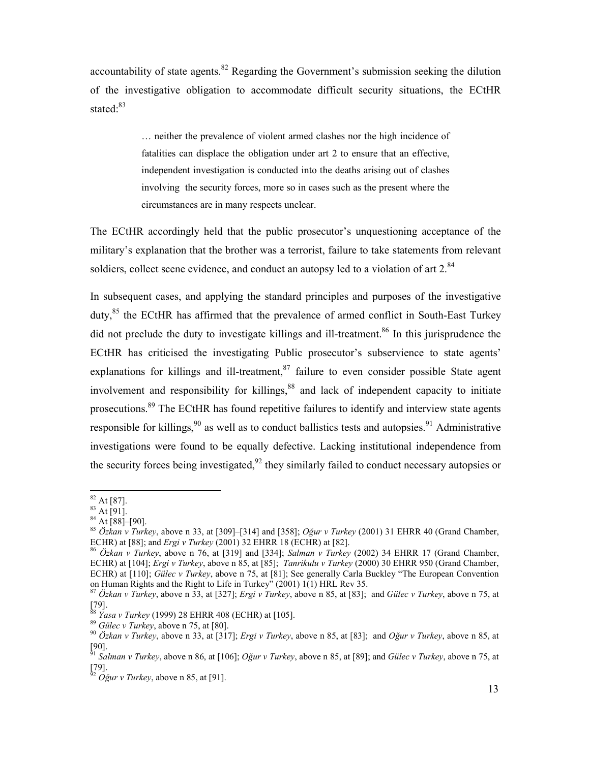accountability of state agents. $82$  Regarding the Government's submission seeking the dilution of the investigative obligation to accommodate difficult security situations, the ECtHR stated:<sup>83</sup>

> … neither the prevalence of violent armed clashes nor the high incidence of fatalities can displace the obligation under art 2 to ensure that an effective, independent investigation is conducted into the deaths arising out of clashes involving the security forces, more so in cases such as the present where the circumstances are in many respects unclear.

The ECtHR accordingly held that the public prosecutor's unquestioning acceptance of the military's explanation that the brother was a terrorist, failure to take statements from relevant soldiers, collect scene evidence, and conduct an autopsy led to a violation of art  $2^{84}$ 

In subsequent cases, and applying the standard principles and purposes of the investigative duty,<sup>85</sup> the ECtHR has affirmed that the prevalence of armed conflict in South-East Turkey did not preclude the duty to investigate killings and ill-treatment.<sup>86</sup> In this jurisprudence the ECtHR has criticised the investigating Public prosecutor's subservience to state agents' explanations for killings and ill-treatment, $87$  failure to even consider possible State agent involvement and responsibility for killings, $88$  and lack of independent capacity to initiate prosecutions.<sup>89</sup> The ECtHR has found repetitive failures to identify and interview state agents responsible for killings,<sup>90</sup> as well as to conduct ballistics tests and autopsies.<sup>91</sup> Administrative investigations were found to be equally defective. Lacking institutional independence from the security forces being investigated,  $92$  they similarly failed to conduct necessary autopsies or

 $82$  At [87].

 $83$  At [91].

<sup>84</sup> At [88]–[90].

<sup>85</sup> *Özkan v Turkey*, above n 33, at [309]–[314] and [358]; *Oğur v Turkey* (2001) 31 EHRR 40 (Grand Chamber, ECHR) at [88]; and *Ergi v Turkey* (2001) 32 EHRR 18 (ECHR) at [82].

<sup>86</sup> *Özkan v Turkey*, above n 76, at [319] and [334]; *Salman v Turkey* (2002) 34 EHRR 17 (Grand Chamber, ECHR) at [104]; *Ergi v Turkey*, above n 85, at [85]; *Tanrikulu v Turkey* (2000) 30 EHRR 950 (Grand Chamber, ECHR) at [110]; *Gülec v Turkey*, above n 75, at [81]; See generally Carla Buckley "The European Convention on Human Rights and the Right to Life in Turkey" (2001) 1(1) HRL Rev 35.

<sup>87</sup> *Özkan v Turkey*, above n 33, at [327]; *Ergi v Turkey*, above n 85, at [83]; and *Gülec v Turkey*, above n 75, at [79].

<sup>88</sup> *Yasa v Turkey* (1999) 28 EHRR 408 (ECHR) at [105].

<sup>89</sup> *Gülec v Turkey*, above n 75, at [80].

<sup>90</sup> *Özkan v Turkey*, above n 33, at [317]; *Ergi v Turkey*, above n 85, at [83]; and *Oğur v Turkey*, above n 85, at [90].

<sup>91</sup> *Salman v Turkey*, above n 86, at [106]; *Oğur v Turkey*, above n 85, at [89]; and *Gülec v Turkey*, above n 75, at [79].

 $^{52}$   $O\check{g}$ *ur v Turkey*, above n 85, at [91].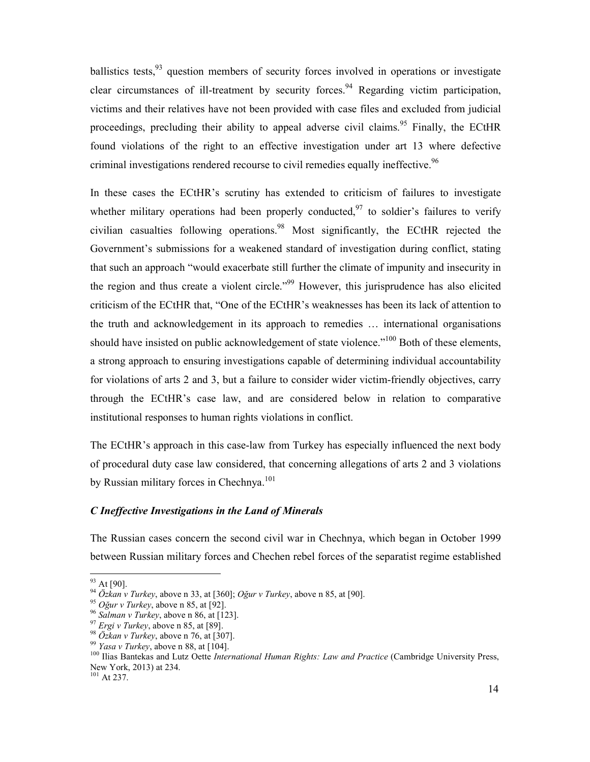ballistics tests,<sup>93</sup> question members of security forces involved in operations or investigate clear circumstances of ill-treatment by security forces.<sup>94</sup> Regarding victim participation, victims and their relatives have not been provided with case files and excluded from judicial proceedings, precluding their ability to appeal adverse civil claims.<sup>95</sup> Finally, the ECtHR found violations of the right to an effective investigation under art 13 where defective criminal investigations rendered recourse to civil remedies equally ineffective.<sup>96</sup>

In these cases the ECtHR's scrutiny has extended to criticism of failures to investigate whether military operations had been properly conducted,  $\frac{97}{10}$  to soldier's failures to verify civilian casualties following operations.<sup>98</sup> Most significantly, the ECtHR rejected the Government's submissions for a weakened standard of investigation during conflict, stating that such an approach "would exacerbate still further the climate of impunity and insecurity in the region and thus create a violent circle."<sup>99</sup> However, this jurisprudence has also elicited criticism of the ECtHR that, "One of the ECtHR's weaknesses has been its lack of attention to the truth and acknowledgement in its approach to remedies … international organisations should have insisted on public acknowledgement of state violence."<sup>100</sup> Both of these elements, a strong approach to ensuring investigations capable of determining individual accountability for violations of arts 2 and 3, but a failure to consider wider victim-friendly objectives, carry through the ECtHR's case law, and are considered below in relation to comparative institutional responses to human rights violations in conflict.

The ECtHR's approach in this case-law from Turkey has especially influenced the next body of procedural duty case law considered, that concerning allegations of arts 2 and 3 violations by Russian military forces in Chechnya.<sup>101</sup>

### *C Ineffective Investigations in the Land of Minerals*

The Russian cases concern the second civil war in Chechnya, which began in October 1999 between Russian military forces and Chechen rebel forces of the separatist regime established

<u>.</u>

<sup>93</sup> At [90].

<sup>94</sup> *Özkan v Turkey*, above n 33, at [360]; *Oğur v Turkey*, above n 85, at [90].

<sup>95</sup> *Oğur v Turkey*, above n 85, at [92].

<sup>96</sup> *Salman v Turkey*, above n 86, at [123].

<sup>97</sup> *Ergi v Turkey*, above n 85, at [89].

<sup>98</sup> *Özkan v Turkey*, above n 76, at [307].

<sup>99</sup> *Yasa v Turkey*, above n 88, at [104].

<sup>&</sup>lt;sup>100</sup> Ilias Bantekas and Lutz Oette *International Human Rights: Law and Practice* (Cambridge University Press, New York, 2013) at 234.

 $101$  At 237.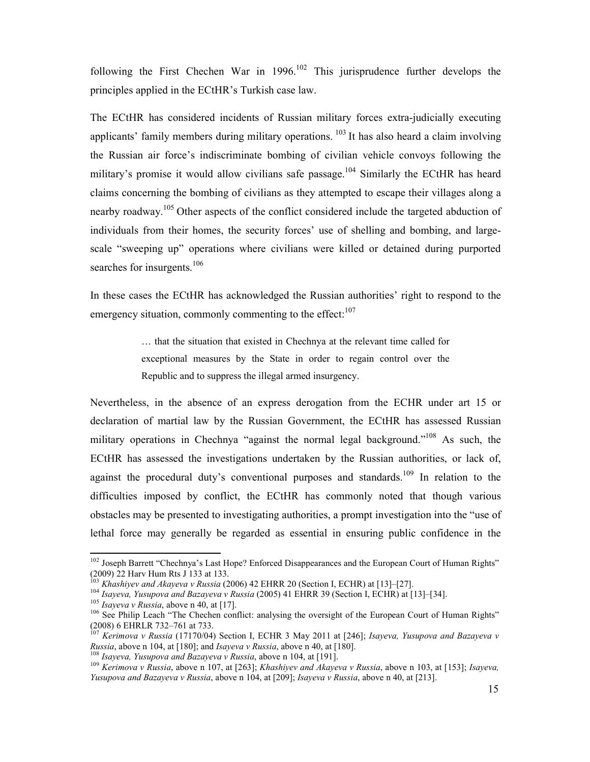following the First Chechen War in  $1996$ <sup>102</sup> This jurisprudence further develops the principles applied in the ECtHR's Turkish case law.

The ECtHR has considered incidents of Russian military forces extra-judicially executing applicants' family members during military operations. <sup>103</sup> It has also heard a claim involving the Russian air force's indiscriminate bombing of civilian vehicle convoys following the military's promise it would allow civilians safe passage.<sup>104</sup> Similarly the ECtHR has heard claims concerning the bombing of civilians as they attempted to escape their villages along a nearby roadway.<sup>105</sup> Other aspects of the conflict considered include the targeted abduction of individuals from their homes, the security forces' use of shelling and bombing, and largescale "sweeping up" operations where civilians were killed or detained during purported searches for insurgents.<sup>106</sup>

In these cases the ECtHR has acknowledged the Russian authorities' right to respond to the emergency situation, commonly commenting to the effect: $107$ 

> … that the situation that existed in Chechnya at the relevant time called for exceptional measures by the State in order to regain control over the Republic and to suppress the illegal armed insurgency.

Nevertheless, in the absence of an express derogation from the ECHR under art 15 or declaration of martial law by the Russian Government, the ECtHR has assessed Russian military operations in Chechnya "against the normal legal background."<sup>108</sup> As such, the ECtHR has assessed the investigations undertaken by the Russian authorities, or lack of, against the procedural duty's conventional purposes and standards.<sup>109</sup> In relation to the difficulties imposed by conflict, the ECtHR has commonly noted that though various obstacles may be presented to investigating authorities, a prompt investigation into the "use of lethal force may generally be regarded as essential in ensuring public confidence in the

<sup>&</sup>lt;sup>102</sup> Joseph Barrett "Chechnya's Last Hope? Enforced Disappearances and the European Court of Human Rights" (2009) 22 Harv Hum Rts J 133 at 133.

<sup>103</sup> *Khashiyev and Akayeva v Russia* (2006) 42 EHRR 20 (Section I, ECHR) at [13]–[27].

<sup>104</sup> *Isayeva, Yusupova and Bazayeva v Russia* (2005) 41 EHRR 39 (Section I, ECHR) at [13]–[34].

<sup>105</sup> *Isayeva v Russia*, above n 40, at [17].

<sup>&</sup>lt;sup>106</sup> See Philip Leach "The Chechen conflict: analysing the oversight of the European Court of Human Rights" (2008) 6 EHRLR 732–761 at 733.

<sup>107</sup> *Kerimova v Russia* (17170/04) Section I, ECHR 3 May 2011 at [246]; *Isayeva, Yusupova and Bazayeva v Russia*, above n 104, at [180]; and *Isayeva v Russia*, above n 40, at [180].

<sup>108</sup> *Isayeva, Yusupova and Bazayeva v Russia*, above n 104, at [191].

<sup>109</sup> *Kerimova v Russia*, above n 107, at [263]; *Khashiyev and Akayeva v Russia*, above n 103, at [153]; *Isayeva, Yusupova and Bazayeva v Russia*, above n 104, at [209]; *Isayeva v Russia*, above n 40, at [213].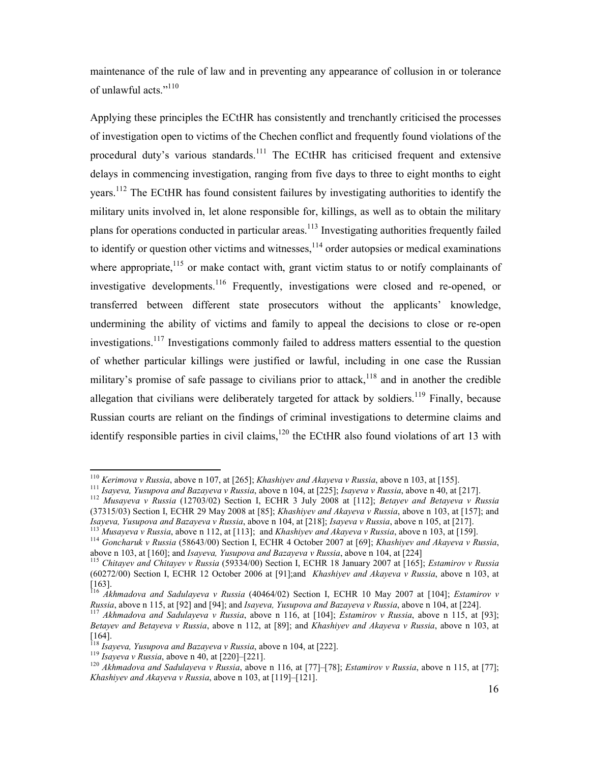maintenance of the rule of law and in preventing any appearance of collusion in or tolerance of unlawful acts."<sup>110</sup>

Applying these principles the ECtHR has consistently and trenchantly criticised the processes of investigation open to victims of the Chechen conflict and frequently found violations of the procedural duty's various standards.<sup>111</sup> The ECtHR has criticised frequent and extensive delays in commencing investigation, ranging from five days to three to eight months to eight years.<sup>112</sup> The ECtHR has found consistent failures by investigating authorities to identify the military units involved in, let alone responsible for, killings, as well as to obtain the military plans for operations conducted in particular areas.<sup>113</sup> Investigating authorities frequently failed to identify or question other victims and witnesses,  $114$  order autopsies or medical examinations where appropriate, $115$  or make contact with, grant victim status to or notify complainants of investigative developments.<sup>116</sup> Frequently, investigations were closed and re-opened, or transferred between different state prosecutors without the applicants' knowledge, undermining the ability of victims and family to appeal the decisions to close or re-open investigations.<sup>117</sup> Investigations commonly failed to address matters essential to the question of whether particular killings were justified or lawful, including in one case the Russian military's promise of safe passage to civilians prior to attack,<sup>118</sup> and in another the credible allegation that civilians were deliberately targeted for attack by soldiers.<sup>119</sup> Finally, because Russian courts are reliant on the findings of criminal investigations to determine claims and identify responsible parties in civil claims, $120$  the ECtHR also found violations of art 13 with

<sup>110</sup> *Kerimova v Russia*, above n 107, at [265]; *Khashiyev and Akayeva v Russia*, above n 103, at [155].

<sup>111</sup> *Isayeva, Yusupova and Bazayeva v Russia*, above n 104, at [225]; *Isayeva v Russia*, above n 40, at [217].

<sup>112</sup> *Musayeva v Russia* (12703/02) Section I, ECHR 3 July 2008 at [112]; *Betayev and Betayeva v Russia*  (37315/03) Section I, ECHR 29 May 2008 at [85]; *Khashiyev and Akayeva v Russia*, above n 103, at [157]; and *Isayeva, Yusupova and Bazayeva v Russia*, above n 104, at [218]; *Isayeva v Russia*, above n 105, at [217].

<sup>113</sup> *Musayeva v Russia*, above n 112, at [113]; and *Khashiyev and Akayeva v Russia*, above n 103, at [159].

<sup>114</sup> *Goncharuk v Russia* (58643/00) Section I, ECHR 4 October 2007 at [69]; *Khashiyev and Akayeva v Russia*, above n 103, at [160]; and *Isayeva, Yusupova and Bazayeva v Russia*, above n 104, at [224]

<sup>115</sup> *Chitayev and Chitayev v Russia* (59334/00) Section I, ECHR 18 January 2007 at [165]; *Estamirov v Russia*  (60272/00) Section I, ECHR 12 October 2006 at [91];and *Khashiyev and Akayeva v Russia*, above n 103, at [163].

<sup>116</sup> *Akhmadova and Sadulayeva v Russia* (40464/02) Section I, ECHR 10 May 2007 at [104]; *Estamirov v Russia*, above n 115, at [92] and [94]; and *Isayeva, Yusupova and Bazayeva v Russia*, above n 104, at [224].

<sup>117</sup> *Akhmadova and Sadulayeva v Russia*, above n 116, at [104]; *Estamirov v Russia*, above n 115, at [93]; *Betayev and Betayeva v Russia*, above n 112, at [89]; and *Khashiyev and Akayeva v Russia*, above n 103, at  $[164]$ .

<sup>&</sup>lt;sup>18</sup> *Isayeva, Yusupova and Bazayeva v Russia*, above n 104, at [222].

<sup>119</sup> *Isayeva v Russia*, above n 40, at [220]–[221].

<sup>120</sup> *Akhmadova and Sadulayeva v Russia*, above n 116, at [77]–[78]; *Estamirov v Russia*, above n 115, at [77]; *Khashiyev and Akayeva v Russia*, above n 103, at [119]–[121].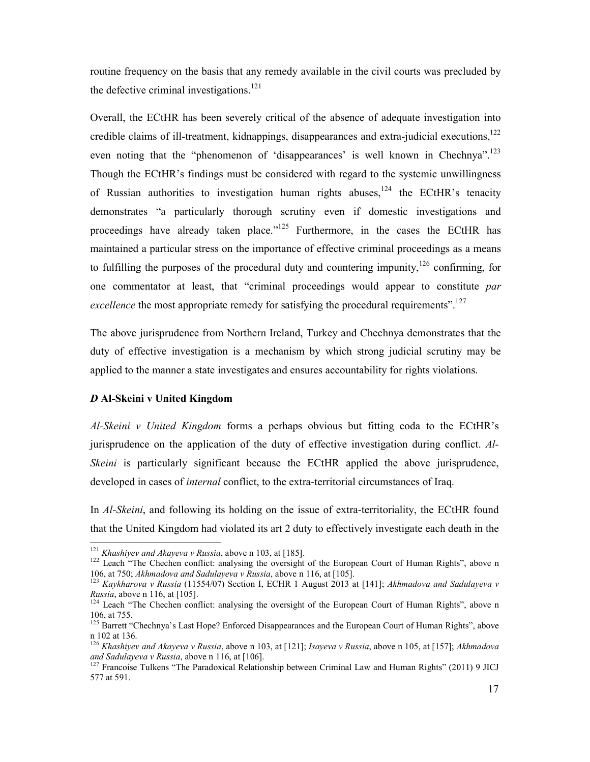routine frequency on the basis that any remedy available in the civil courts was precluded by the defective criminal investigations.<sup>121</sup>

Overall, the ECtHR has been severely critical of the absence of adequate investigation into credible claims of ill-treatment, kidnappings, disappearances and extra-judicial executions, $122$ even noting that the "phenomenon of 'disappearances' is well known in Chechnya".<sup>123</sup> Though the ECtHR's findings must be considered with regard to the systemic unwillingness of Russian authorities to investigation human rights abuses,  $124$  the ECtHR's tenacity demonstrates "a particularly thorough scrutiny even if domestic investigations and proceedings have already taken place."<sup>125</sup> Furthermore, in the cases the ECtHR has maintained a particular stress on the importance of effective criminal proceedings as a means to fulfilling the purposes of the procedural duty and countering impunity,  $126$  confirming, for one commentator at least, that "criminal proceedings would appear to constitute *par excellence* the most appropriate remedy for satisfying the procedural requirements".<sup>127</sup>

The above jurisprudence from Northern Ireland, Turkey and Chechnya demonstrates that the duty of effective investigation is a mechanism by which strong judicial scrutiny may be applied to the manner a state investigates and ensures accountability for rights violations.

## *D* **Al-Skeini v United Kingdom**

*Al-Skeini v United Kingdom* forms a perhaps obvious but fitting coda to the ECtHR's jurisprudence on the application of the duty of effective investigation during conflict. *Al-Skeini* is particularly significant because the ECtHR applied the above jurisprudence, developed in cases of *internal* conflict, to the extra-territorial circumstances of Iraq.

In *Al-Skeini*, and following its holding on the issue of extra-territoriality, the ECtHR found that the United Kingdom had violated its art 2 duty to effectively investigate each death in the  $\overline{a}$ 

<sup>121</sup> *Khashiyev and Akayeva v Russia*, above n 103, at [185].

<sup>&</sup>lt;sup>122</sup> Leach "The Chechen conflict: analysing the oversight of the European Court of Human Rights", above n 106, at 750; *Akhmadova and Sadulayeva v Russia*, above n 116, at [105].

<sup>123</sup> *Kaykharova v Russia* (11554/07) Section I, ECHR 1 August 2013 at [141]; *Akhmadova and Sadulayeva v Russia*, above n 116, at [105].

<sup>&</sup>lt;sup>124</sup> Leach "The Chechen conflict: analysing the oversight of the European Court of Human Rights", above n 106, at 755.

<sup>&</sup>lt;sup>125</sup> Barrett "Chechnya's Last Hope? Enforced Disappearances and the European Court of Human Rights", above n 102 at 136.

<sup>126</sup> *Khashiyev and Akayeva v Russia*, above n 103, at [121]; *Isayeva v Russia*, above n 105, at [157]; *Akhmadova and Sadulayeva v Russia*, above n 116, at [106].

 $127$  Francoise Tulkens "The Paradoxical Relationship between Criminal Law and Human Rights" (2011) 9 JICJ 577 at 591.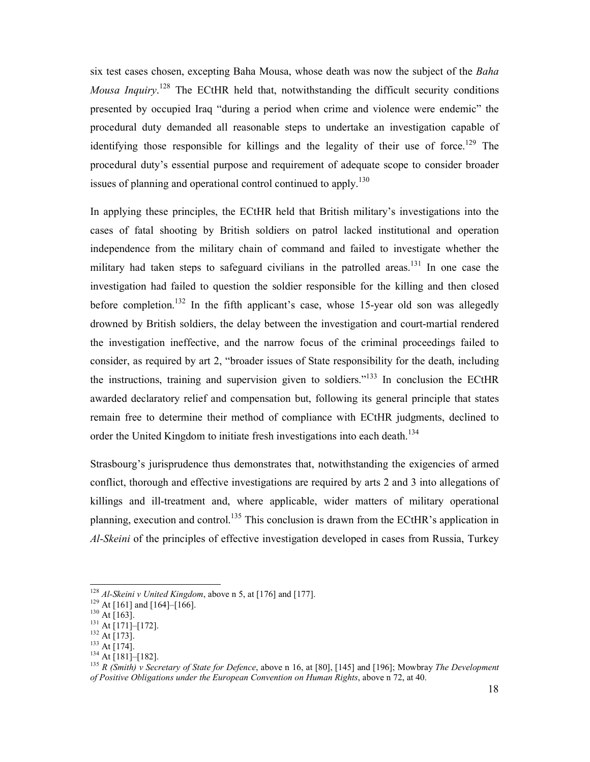six test cases chosen, excepting Baha Mousa, whose death was now the subject of the *Baha*  Mousa Inquiry.<sup>128</sup> The ECtHR held that, notwithstanding the difficult security conditions presented by occupied Iraq "during a period when crime and violence were endemic" the procedural duty demanded all reasonable steps to undertake an investigation capable of identifying those responsible for killings and the legality of their use of force.<sup>129</sup> The procedural duty's essential purpose and requirement of adequate scope to consider broader issues of planning and operational control continued to apply.<sup>130</sup>

In applying these principles, the ECtHR held that British military's investigations into the cases of fatal shooting by British soldiers on patrol lacked institutional and operation independence from the military chain of command and failed to investigate whether the military had taken steps to safeguard civilians in the patrolled areas.<sup>131</sup> In one case the investigation had failed to question the soldier responsible for the killing and then closed before completion.<sup>132</sup> In the fifth applicant's case, whose 15-year old son was allegedly drowned by British soldiers, the delay between the investigation and court-martial rendered the investigation ineffective, and the narrow focus of the criminal proceedings failed to consider, as required by art 2, "broader issues of State responsibility for the death, including the instructions, training and supervision given to soldiers."<sup>133</sup> In conclusion the ECtHR awarded declaratory relief and compensation but, following its general principle that states remain free to determine their method of compliance with ECtHR judgments, declined to order the United Kingdom to initiate fresh investigations into each death.<sup>134</sup>

Strasbourg's jurisprudence thus demonstrates that, notwithstanding the exigencies of armed conflict, thorough and effective investigations are required by arts 2 and 3 into allegations of killings and ill-treatment and, where applicable, wider matters of military operational planning, execution and control.<sup>135</sup> This conclusion is drawn from the ECtHR's application in *Al-Skeini* of the principles of effective investigation developed in cases from Russia, Turkey

<u>.</u>

<sup>128</sup> *Al-Skeini v United Kingdom*, above n 5, at [176] and [177].

 $129$  At [161] and [164]–[166].

 $130$  At [163].

 $^{131}$  At [171]–[172].

 $132$  At [173].

 $^{133}$  At [174].

 $^{134}$  At [181]–[182].

<sup>135</sup> *R (Smith) v Secretary of State for Defence*, above n 16, at [80], [145] and [196]; Mowbray *The Development of Positive Obligations under the European Convention on Human Rights*, above n 72, at 40.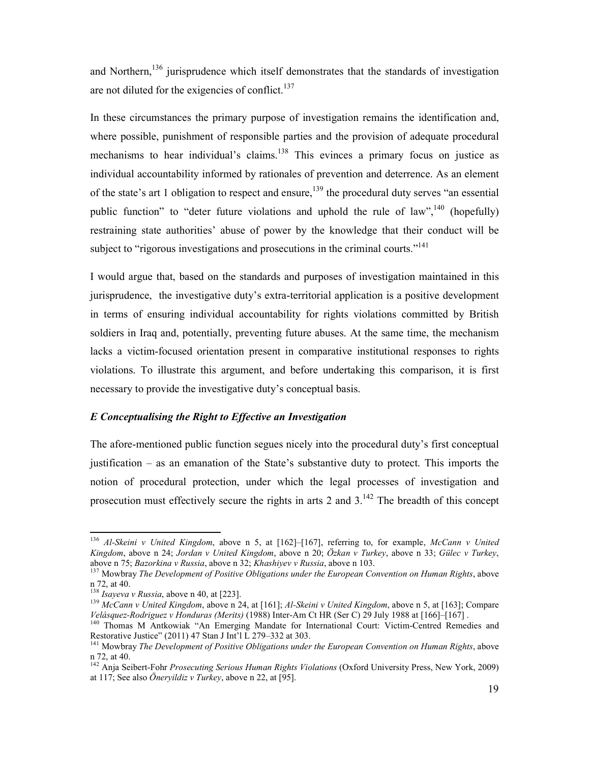and Northern,  $136$  jurisprudence which itself demonstrates that the standards of investigation are not diluted for the exigencies of conflict.<sup>137</sup>

In these circumstances the primary purpose of investigation remains the identification and, where possible, punishment of responsible parties and the provision of adequate procedural mechanisms to hear individual's claims.<sup>138</sup> This evinces a primary focus on justice as individual accountability informed by rationales of prevention and deterrence. As an element of the state's art 1 obligation to respect and ensure,<sup>139</sup> the procedural duty serves "an essential public function" to "deter future violations and uphold the rule of law",  $^{140}$  (hopefully) restraining state authorities' abuse of power by the knowledge that their conduct will be subject to "rigorous investigations and prosecutions in the criminal courts."<sup>141</sup>

I would argue that, based on the standards and purposes of investigation maintained in this jurisprudence, the investigative duty's extra-territorial application is a positive development in terms of ensuring individual accountability for rights violations committed by British soldiers in Iraq and, potentially, preventing future abuses. At the same time, the mechanism lacks a victim-focused orientation present in comparative institutional responses to rights violations. To illustrate this argument, and before undertaking this comparison, it is first necessary to provide the investigative duty's conceptual basis.

### *E Conceptualising the Right to Effective an Investigation*

The afore-mentioned public function segues nicely into the procedural duty's first conceptual justification – as an emanation of the State's substantive duty to protect. This imports the notion of procedural protection, under which the legal processes of investigation and prosecution must effectively secure the rights in arts 2 and  $3^{142}$ . The breadth of this concept

<sup>136</sup> *Al-Skeini v United Kingdom*, above n 5, at [162]–[167], referring to, for example, *McCann v United Kingdom*, above n 24; *Jordan v United Kingdom*, above n 20; *Özkan v Turkey*, above n 33; *Gülec v Turkey*, above n 75; *Bazorkina v Russia*, above n 32; *Khashiyev v Russia*, above n 103.

<sup>&</sup>lt;sup>137</sup> Mowbray *The Development of Positive Obligations under the European Convention on Human Rights*, above n 72, at 40.

 $\frac{138}{138}$  *Isayeva v Russia*, above n 40, at [223].

<sup>139</sup> *McCann v United Kingdom*, above n 24, at [161]; *Al-Skeini v United Kingdom*, above n 5, at [163]; Compare *Velásquez-Rodriguez v Honduras (Merits)* (1988) Inter-Am Ct HR (Ser C) 29 July 1988 at [166]–[167] .

<sup>&</sup>lt;sup>140</sup> Thomas M Antkowiak "An Emerging Mandate for International Court: Victim-Centred Remedies and Restorative Justice" (2011) 47 Stan J Int'l L 279–332 at 303.

<sup>&</sup>lt;sup>141</sup> Mowbray *The Development of Positive Obligations under the European Convention on Human Rights*, above n 72, at 40.

<sup>142</sup> Anja Seibert-Fohr *Prosecuting Serious Human Rights Violations* (Oxford University Press, New York, 2009) at 117; See also *Öneryildiz v Turkey*, above n 22, at [95].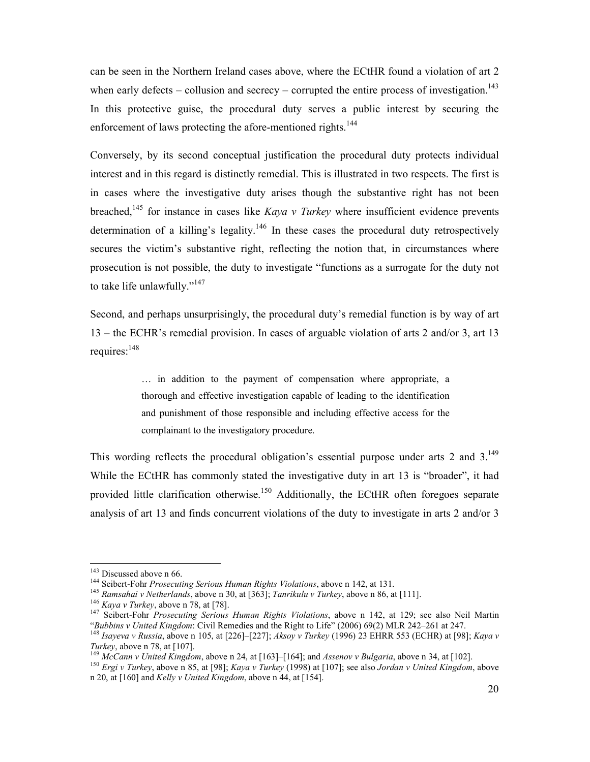can be seen in the Northern Ireland cases above, where the ECtHR found a violation of art 2 when early defects – collusion and secrecy – corrupted the entire process of investigation.<sup>143</sup> In this protective guise, the procedural duty serves a public interest by securing the enforcement of laws protecting the afore-mentioned rights.<sup>144</sup>

Conversely, by its second conceptual justification the procedural duty protects individual interest and in this regard is distinctly remedial. This is illustrated in two respects. The first is in cases where the investigative duty arises though the substantive right has not been breached,<sup>145</sup> for instance in cases like *Kaya v Turkey* where insufficient evidence prevents determination of a killing's legality.<sup>146</sup> In these cases the procedural duty retrospectively secures the victim's substantive right, reflecting the notion that, in circumstances where prosecution is not possible, the duty to investigate "functions as a surrogate for the duty not to take life unlawfully."<sup>147</sup>

Second, and perhaps unsurprisingly, the procedural duty's remedial function is by way of art 13 – the ECHR's remedial provision. In cases of arguable violation of arts 2 and/or 3, art 13 requires:<sup>148</sup>

> … in addition to the payment of compensation where appropriate, a thorough and effective investigation capable of leading to the identification and punishment of those responsible and including effective access for the complainant to the investigatory procedure.

This wording reflects the procedural obligation's essential purpose under arts 2 and  $3^{149}$ . While the ECtHR has commonly stated the investigative duty in art 13 is "broader", it had provided little clarification otherwise.<sup>150</sup> Additionally, the ECtHR often foregoes separate analysis of art 13 and finds concurrent violations of the duty to investigate in arts 2 and/or 3

<sup>&</sup>lt;sup>143</sup> Discussed above n 66.

<sup>144</sup> Seibert-Fohr *Prosecuting Serious Human Rights Violations*, above n 142, at 131.

<sup>145</sup> *Ramsahai v Netherlands*, above n 30, at [363]; *Tanrikulu v Turkey*, above n 86, at [111].

<sup>146</sup> *Kaya v Turkey*, above n 78, at [78].

<sup>147</sup> Seibert-Fohr *Prosecuting Serious Human Rights Violations*, above n 142, at 129; see also Neil Martin "*Bubbins v United Kingdom*: Civil Remedies and the Right to Life" (2006) 69(2) MLR 242–261 at 247.

<sup>148</sup> *Isayeva v Russia*, above n 105, at [226]–[227]; *Aksoy v Turkey* (1996) 23 EHRR 553 (ECHR) at [98]; *Kaya v Turkey*, above n 78, at [107].

<sup>149</sup> *McCann v United Kingdom*, above n 24, at [163]–[164]; and *Assenov v Bulgaria*, above n 34, at [102].

<sup>150</sup> *Ergi v Turkey*, above n 85, at [98]; *Kaya v Turkey* (1998) at [107]; see also *Jordan v United Kingdom*, above n 20, at [160] and *Kelly v United Kingdom*, above n 44, at [154].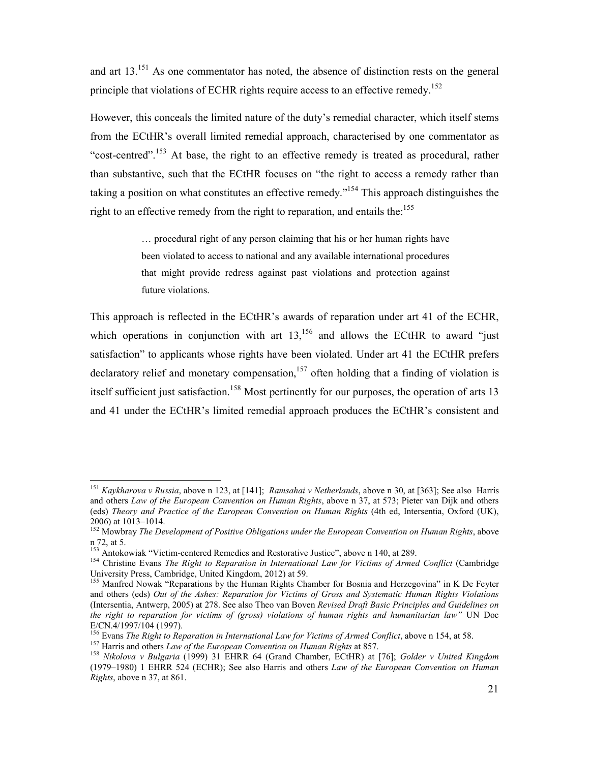and art 13.<sup>151</sup> As one commentator has noted, the absence of distinction rests on the general principle that violations of ECHR rights require access to an effective remedy.<sup>152</sup>

However, this conceals the limited nature of the duty's remedial character, which itself stems from the ECtHR's overall limited remedial approach, characterised by one commentator as "cost-centred".<sup>153</sup> At base, the right to an effective remedy is treated as procedural, rather than substantive, such that the ECtHR focuses on "the right to access a remedy rather than taking a position on what constitutes an effective remedy.<sup>154</sup> This approach distinguishes the right to an effective remedy from the right to reparation, and entails the:<sup>155</sup>

> … procedural right of any person claiming that his or her human rights have been violated to access to national and any available international procedures that might provide redress against past violations and protection against future violations.

This approach is reflected in the ECtHR's awards of reparation under art 41 of the ECHR, which operations in conjunction with art  $13$ ,<sup>156</sup> and allows the ECtHR to award "just satisfaction" to applicants whose rights have been violated. Under art 41 the ECtHR prefers declaratory relief and monetary compensation,<sup>157</sup> often holding that a finding of violation is itself sufficient just satisfaction.<sup>158</sup> Most pertinently for our purposes, the operation of arts 13 and 41 under the ECtHR's limited remedial approach produces the ECtHR's consistent and

<sup>151</sup> *Kaykharova v Russia*, above n 123, at [141]; *Ramsahai v Netherlands*, above n 30, at [363]; See also Harris and others *Law of the European Convention on Human Rights*, above n 37, at 573; Pieter van Dijk and others (eds) *Theory and Practice of the European Convention on Human Rights* (4th ed, Intersentia, Oxford (UK), 2006) at 1013–1014.

<sup>152</sup> Mowbray *The Development of Positive Obligations under the European Convention on Human Rights*, above n 72, at 5.

<sup>&</sup>lt;sup>153</sup> Antokowiak "Victim-centered Remedies and Restorative Justice", above n 140, at 289.

<sup>&</sup>lt;sup>154</sup> Christine Evans *The Right to Reparation in International Law for Victims of Armed Conflict* (Cambridge University Press, Cambridge, United Kingdom, 2012) at 59.

<sup>&</sup>lt;sup>155</sup> Manfred Nowak "Reparations by the Human Rights Chamber for Bosnia and Herzegovina" in K De Feyter and others (eds) *Out of the Ashes: Reparation for Victims of Gross and Systematic Human Rights Violations*  (Intersentia, Antwerp, 2005) at 278. See also Theo van Boven *Revised Draft Basic Principles and Guidelines on the right to reparation for victims of (gross) violations of human rights and humanitarian law"* UN Doc E/CN.4/1997/104 (1997).

<sup>156</sup> Evans *The Right to Reparation in International Law for Victims of Armed Conflict*, above n 154, at 58.

<sup>&</sup>lt;sup>157</sup> Harris and others *Law of the European Convention on Human Rights* at 857.

<sup>158</sup> *Nikolova v Bulgaria* (1999) 31 EHRR 64 (Grand Chamber, ECtHR) at [76]; *Golder v United Kingdom*  (1979–1980) 1 EHRR 524 (ECHR); See also Harris and others *Law of the European Convention on Human Rights*, above n 37, at 861.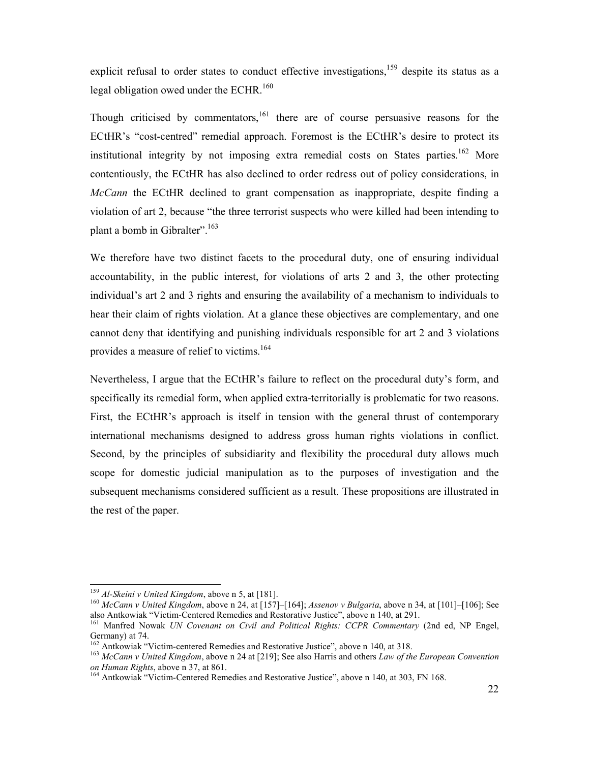explicit refusal to order states to conduct effective investigations,<sup>159</sup> despite its status as a legal obligation owed under the ECHR.<sup>160</sup>

Though criticised by commentators, $161$  there are of course persuasive reasons for the ECtHR's "cost-centred" remedial approach. Foremost is the ECtHR's desire to protect its institutional integrity by not imposing extra remedial costs on States parties.<sup>162</sup> More contentiously, the ECtHR has also declined to order redress out of policy considerations, in *McCann* the ECtHR declined to grant compensation as inappropriate, despite finding a violation of art 2, because "the three terrorist suspects who were killed had been intending to plant a bomb in Gibralter".<sup>163</sup>

We therefore have two distinct facets to the procedural duty, one of ensuring individual accountability, in the public interest, for violations of arts 2 and 3, the other protecting individual's art 2 and 3 rights and ensuring the availability of a mechanism to individuals to hear their claim of rights violation. At a glance these objectives are complementary, and one cannot deny that identifying and punishing individuals responsible for art 2 and 3 violations provides a measure of relief to victims.<sup>164</sup>

Nevertheless, I argue that the ECtHR's failure to reflect on the procedural duty's form, and specifically its remedial form, when applied extra-territorially is problematic for two reasons. First, the ECtHR's approach is itself in tension with the general thrust of contemporary international mechanisms designed to address gross human rights violations in conflict. Second, by the principles of subsidiarity and flexibility the procedural duty allows much scope for domestic judicial manipulation as to the purposes of investigation and the subsequent mechanisms considered sufficient as a result. These propositions are illustrated in the rest of the paper.

<u>.</u>

<sup>159</sup> *Al-Skeini v United Kingdom*, above n 5, at [181].

<sup>160</sup> *McCann v United Kingdom*, above n 24, at [157]–[164]; *Assenov v Bulgaria*, above n 34, at [101]–[106]; See also Antkowiak "Victim-Centered Remedies and Restorative Justice", above n 140, at 291.

<sup>&</sup>lt;sup>161</sup> Manfred Nowak *UN Covenant on Civil and Political Rights: CCPR Commentary (2nd ed, NP Engel,* Germany) at 74.

<sup>&</sup>lt;sup>162</sup> Antkowiak "Victim-centered Remedies and Restorative Justice", above n 140, at 318.

<sup>163</sup> *McCann v United Kingdom*, above n 24 at [219]; See also Harris and others *Law of the European Convention on Human Rights*, above n 37, at 861.

<sup>&</sup>lt;sup>164</sup> Antkowiak "Victim-Centered Remedies and Restorative Justice", above n 140, at 303, FN 168.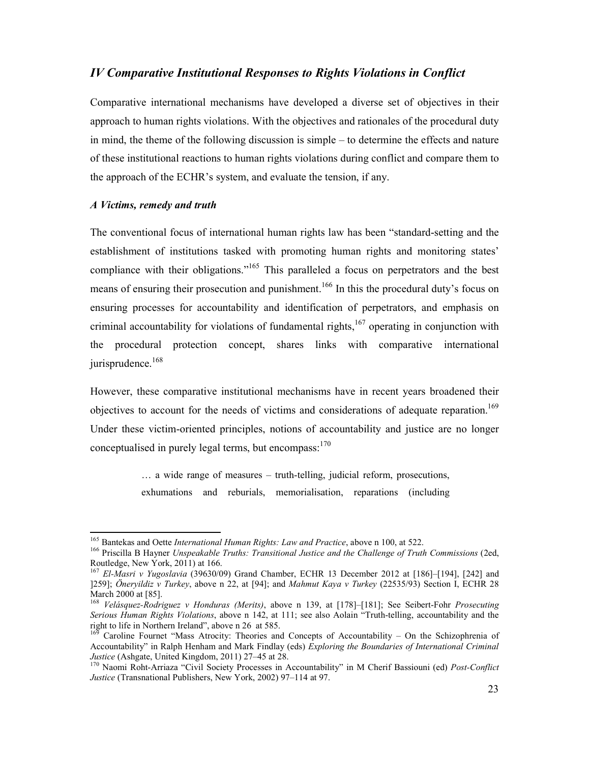## *IV Comparative Institutional Responses to Rights Violations in Conflict*

Comparative international mechanisms have developed a diverse set of objectives in their approach to human rights violations. With the objectives and rationales of the procedural duty in mind, the theme of the following discussion is simple – to determine the effects and nature of these institutional reactions to human rights violations during conflict and compare them to the approach of the ECHR's system, and evaluate the tension, if any.

#### *A Victims, remedy and truth*

 $\overline{a}$ 

The conventional focus of international human rights law has been "standard-setting and the establishment of institutions tasked with promoting human rights and monitoring states' compliance with their obligations."<sup>165</sup> This paralleled a focus on perpetrators and the best means of ensuring their prosecution and punishment.<sup>166</sup> In this the procedural duty's focus on ensuring processes for accountability and identification of perpetrators, and emphasis on criminal accountability for violations of fundamental rights, $167$  operating in conjunction with the procedural protection concept, shares links with comparative international jurisprudence.<sup>168</sup>

However, these comparative institutional mechanisms have in recent years broadened their objectives to account for the needs of victims and considerations of adequate reparation.<sup>169</sup> Under these victim-oriented principles, notions of accountability and justice are no longer conceptualised in purely legal terms, but encompass:  $170$ 

> … a wide range of measures – truth-telling, judicial reform, prosecutions, exhumations and reburials, memorialisation, reparations (including

<sup>165</sup> Bantekas and Oette *International Human Rights: Law and Practice*, above n 100, at 522.

<sup>166</sup> Priscilla B Hayner *Unspeakable Truths: Transitional Justice and the Challenge of Truth Commissions* (2ed, Routledge, New York, 2011) at 166.

<sup>167</sup> *El-Masri v Yugoslavia* (39630/09) Grand Chamber, ECHR 13 December 2012 at [186]–[194], [242] and ]259]; *Öneryildiz v Turkey*, above n 22, at [94]; and *Mahmut Kaya v Turkey* (22535/93) Section I, ECHR 28 March 2000 at [85].

<sup>168</sup> *Velásquez-Rodriguez v Honduras (Merits)*, above n 139, at [178]–[181]; See Seibert-Fohr *Prosecuting Serious Human Rights Violations*, above n 142, at 111; see also Aolain "Truth-telling, accountability and the right to life in Northern Ireland", above n 26 at 585.

<sup>169</sup> Caroline Fournet "Mass Atrocity: Theories and Concepts of Accountability – On the Schizophrenia of Accountability" in Ralph Henham and Mark Findlay (eds) *Exploring the Boundaries of International Criminal Justice* (Ashgate, United Kingdom, 2011) 27–45 at 28.

<sup>170</sup> Naomi Roht-Arriaza "Civil Society Processes in Accountability" in M Cherif Bassiouni (ed) *Post-Conflict Justice* (Transnational Publishers, New York, 2002) 97–114 at 97.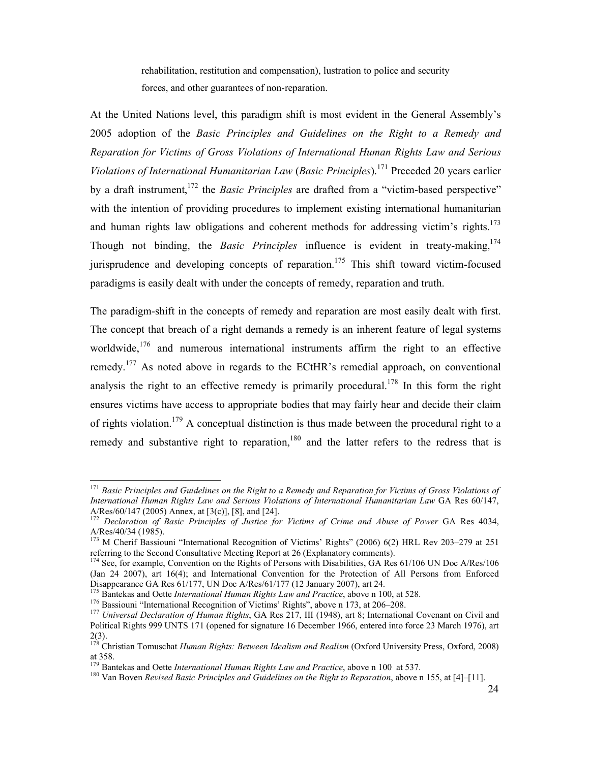rehabilitation, restitution and compensation), lustration to police and security forces, and other guarantees of non-reparation.

At the United Nations level, this paradigm shift is most evident in the General Assembly's 2005 adoption of the *Basic Principles and Guidelines on the Right to a Remedy and Reparation for Victims of Gross Violations of International Human Rights Law and Serious Violations of International Humanitarian Law* (*Basic Principles*).<sup>171</sup> Preceded 20 years earlier by a draft instrument,<sup>172</sup> the *Basic Principles* are drafted from a "victim-based perspective" with the intention of providing procedures to implement existing international humanitarian and human rights law obligations and coherent methods for addressing victim's rights.<sup>173</sup> Though not binding, the *Basic Principles* influence is evident in treaty-making,<sup>174</sup> jurisprudence and developing concepts of reparation.<sup>175</sup> This shift toward victim-focused paradigms is easily dealt with under the concepts of remedy, reparation and truth.

The paradigm-shift in the concepts of remedy and reparation are most easily dealt with first. The concept that breach of a right demands a remedy is an inherent feature of legal systems worldwide,  $176$  and numerous international instruments affirm the right to an effective remedy.<sup>177</sup> As noted above in regards to the ECtHR's remedial approach, on conventional analysis the right to an effective remedy is primarily procedural.<sup>178</sup> In this form the right ensures victims have access to appropriate bodies that may fairly hear and decide their claim of rights violation.<sup>179</sup> A conceptual distinction is thus made between the procedural right to a remedy and substantive right to reparation,  $180$  and the latter refers to the redress that is

<sup>&</sup>lt;sup>171</sup> Basic Principles and Guidelines on the Right to a Remedy and Reparation for Victims of Gross Violations of *International Human Rights Law and Serious Violations of International Humanitarian Law* GA Res 60/147, A/Res/60/147 (2005) Annex, at [3(c)], [8], and [24].

<sup>&</sup>lt;sup>172</sup> Declaration of Basic Principles of Justice for Victims of Crime and Abuse of Power GA Res 4034, A/Res/40/34 (1985).

<sup>&</sup>lt;sup>173</sup> M Cherif Bassiouni "International Recognition of Victims' Rights" (2006) 6(2) HRL Rev 203–279 at 251 referring to the Second Consultative Meeting Report at 26 (Explanatory comments).

<sup>&</sup>lt;sup>174</sup> See, for example, Convention on the Rights of Persons with Disabilities, GA Res 61/106 UN Doc A/Res/106 (Jan 24 2007), art 16(4); and International Convention for the Protection of All Persons from Enforced Disappearance GA Res 61/177, UN Doc A/Res/61/177 (12 January 2007), art 24.

<sup>&</sup>lt;sup>175</sup> Bantekas and Oette *International Human Rights Law and Practice*, above n 100, at 528.

<sup>&</sup>lt;sup>176</sup> Bassiouni "International Recognition of Victims' Rights", above n 173, at 206–208.

<sup>177</sup> *Universal Declaration of Human Rights*, GA Res 217, III (1948), art 8; International Covenant on Civil and Political Rights 999 UNTS 171 (opened for signature 16 December 1966, entered into force 23 March 1976), art 2(3).

<sup>178</sup> Christian Tomuschat *Human Rights: Between Idealism and Realism* (Oxford University Press, Oxford, 2008) at 358.

<sup>179</sup> Bantekas and Oette *International Human Rights Law and Practice*, above n 100 at 537.

<sup>180</sup> Van Boven *Revised Basic Principles and Guidelines on the Right to Reparation*, above n 155, at [4]–[11].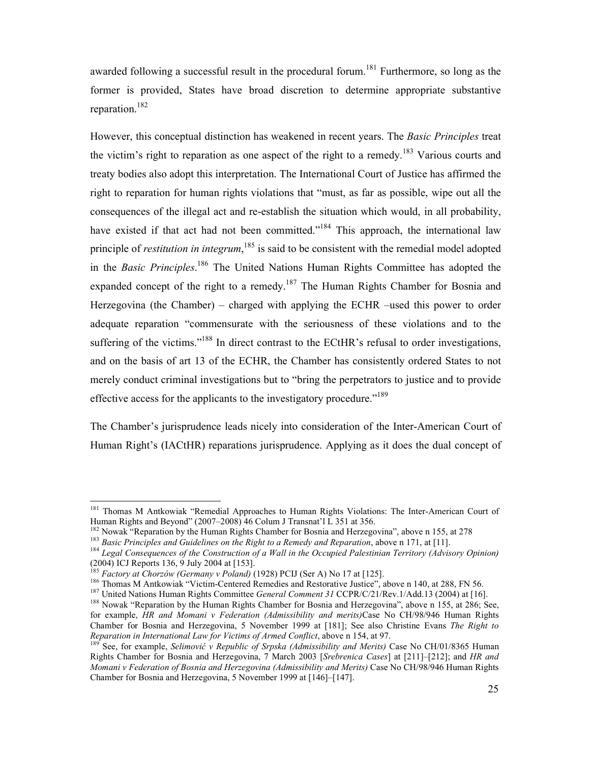awarded following a successful result in the procedural forum.<sup>181</sup> Furthermore, so long as the former is provided, States have broad discretion to determine appropriate substantive reparation.<sup>182</sup>

However, this conceptual distinction has weakened in recent years. The *Basic Principles* treat the victim's right to reparation as one aspect of the right to a remedy.<sup>183</sup> Various courts and treaty bodies also adopt this interpretation. The International Court of Justice has affirmed the right to reparation for human rights violations that "must, as far as possible, wipe out all the consequences of the illegal act and re-establish the situation which would, in all probability, have existed if that act had not been committed."<sup>184</sup> This approach, the international law principle of *restitution in integrum*,<sup>185</sup> is said to be consistent with the remedial model adopted in the *Basic Principles*. <sup>186</sup> The United Nations Human Rights Committee has adopted the expanded concept of the right to a remedy.<sup>187</sup> The Human Rights Chamber for Bosnia and Herzegovina (the Chamber) – charged with applying the ECHR –used this power to order adequate reparation "commensurate with the seriousness of these violations and to the suffering of the victims."<sup>188</sup> In direct contrast to the ECtHR's refusal to order investigations, and on the basis of art 13 of the ECHR, the Chamber has consistently ordered States to not merely conduct criminal investigations but to "bring the perpetrators to justice and to provide effective access for the applicants to the investigatory procedure."<sup>189</sup>

The Chamber's jurisprudence leads nicely into consideration of the Inter-American Court of Human Right's (IACtHR) reparations jurisprudence. Applying as it does the dual concept of

<sup>&</sup>lt;sup>181</sup> Thomas M Antkowiak "Remedial Approaches to Human Rights Violations: The Inter-American Court of Human Rights and Beyond" (2007–2008) 46 Colum J Transnat'l L 351 at 356.

<sup>&</sup>lt;sup>182</sup> Nowak "Reparation by the Human Rights Chamber for Bosnia and Herzegovina", above n 155, at 278

<sup>183</sup> *Basic Principles and Guidelines on the Right to a Remedy and Reparation*, above n 171, at [11].

<sup>184</sup> *Legal Consequences of the Construction of a Wall in the Occupied Palestinian Territory (Advisory Opinion)*  (2004) ICJ Reports 136, 9 July 2004 at [153].

<sup>185</sup> *Factory at Chorzów (Germany v Poland)* (1928) PCIJ (Ser A) No 17 at [125].

<sup>&</sup>lt;sup>186</sup> Thomas M Antkowiak "Victim-Centered Remedies and Restorative Justice", above n 140, at 288, FN 56.

<sup>187</sup> United Nations Human Rights Committee *General Comment 31* CCPR/C/21/Rev.1/Add.13 (2004) at [16]. <sup>188</sup> Nowak "Reparation by the Human Rights Chamber for Bosnia and Herzegovina", above n 155, at 286; See,

for example, *HR and Momani v Federation (Admissibility and merits)*Case No CH/98/946 Human Rights Chamber for Bosnia and Herzegovina, 5 November 1999 at [181]; See also Christine Evans *The Right to Reparation in International Law for Victims of Armed Conflict*, above n 154, at 97.<br><sup>189</sup> See for customs of *liver* in the state of *liver* and *conflict*, above n 154, at 97.

<sup>189</sup> See, for example, *Selimović v Republic of Srpska (Admissibility and Merits)* Case No CH/01/8365 Human Rights Chamber for Bosnia and Herzegovina, 7 March 2003 [*Srebrenica Cases*] at [211]–[212]; and *HR and Momani v Federation of Bosnia and Herzegovina (Admissibility and Merits)* Case No CH/98/946 Human Rights Chamber for Bosnia and Herzegovina, 5 November 1999 at [146]–[147].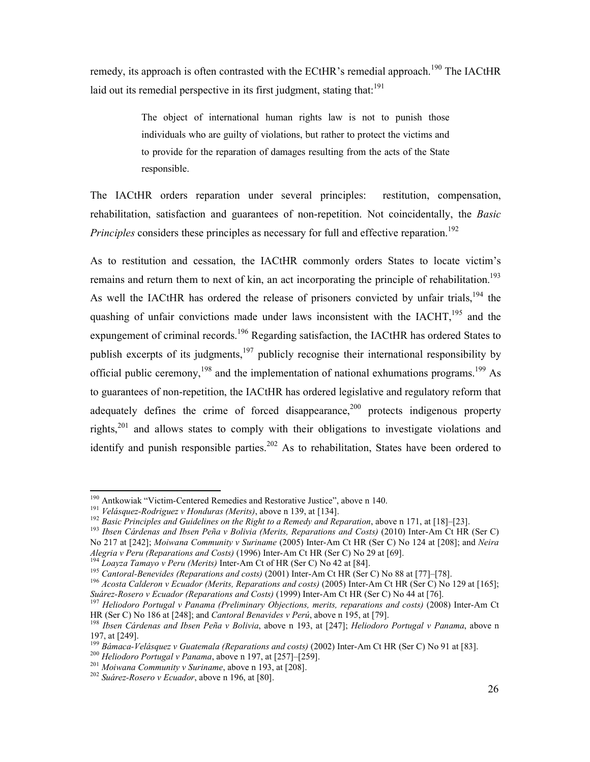remedy, its approach is often contrasted with the ECtHR's remedial approach.<sup>190</sup> The IACtHR laid out its remedial perspective in its first judgment, stating that: $191$ 

> The object of international human rights law is not to punish those individuals who are guilty of violations, but rather to protect the victims and to provide for the reparation of damages resulting from the acts of the State responsible.

The IACtHR orders reparation under several principles: restitution, compensation, rehabilitation, satisfaction and guarantees of non-repetition. Not coincidentally, the *Basic Principles* considers these principles as necessary for full and effective reparation.<sup>192</sup>

As to restitution and cessation, the IACtHR commonly orders States to locate victim's remains and return them to next of kin, an act incorporating the principle of rehabilitation.<sup>193</sup> As well the IACtHR has ordered the release of prisoners convicted by unfair trials.<sup>194</sup> the quashing of unfair convictions made under laws inconsistent with the  $IACHT<sub>195</sub><sup>195</sup>$  and the expungement of criminal records.<sup>196</sup> Regarding satisfaction, the IACtHR has ordered States to publish excerpts of its judgments, $197$  publicly recognise their international responsibility by official public ceremony,<sup>198</sup> and the implementation of national exhumations programs.<sup>199</sup> As to guarantees of non-repetition, the IACtHR has ordered legislative and regulatory reform that adequately defines the crime of forced disappearance,  $200$  protects indigenous property rights, $201$  and allows states to comply with their obligations to investigate violations and identify and punish responsible parties.<sup>202</sup> As to rehabilitation, States have been ordered to

 $\overline{a}$ 

<sup>194</sup> *Loayza Tamayo v Peru (Merits)* Inter-Am Ct of HR (Ser C) No 42 at [84].

<sup>190</sup> Antkowiak "Victim-Centered Remedies and Restorative Justice", above n 140.

<sup>191</sup> *Velásquez-Rodriguez v Honduras (Merits)*, above n 139, at [134].

<sup>&</sup>lt;sup>192</sup> Basic Principles and Guidelines on the Right to a Remedy and Reparation, above n 171, at [18]–[23].

<sup>&</sup>lt;sup>193</sup> *Ibsen Cárdenas and Ibsen Peña v Bolivia (Merits, Reparations and Costs)* (2010) Inter-Am Ct HR (Ser C) No 217 at [242]; *Moiwana Community v Suriname* (2005) Inter-Am Ct HR (Ser C) No 124 at [208]; and *Neira Alegria v Peru (Reparations and Costs)* (1996) Inter-Am Ct HR (Ser C) No 29 at [69].

<sup>195</sup> *Cantoral-Benevides (Reparations and costs)* (2001) Inter-Am Ct HR (Ser C) No 88 at [77]–[78].

<sup>&</sup>lt;sup>196</sup> Acosta Calderon v Ecuador (Merits, Reparations and costs) (2005) Inter-Am Ct HR (Ser C) No 129 at [165]; *Suárez-Rosero v Ecuador (Reparations and Costs)* (1999) Inter-Am Ct HR (Ser C) No 44 at [76].

<sup>&</sup>lt;sup>197</sup> Heliodoro Portugal v Panama (Preliminary Objections, merits, reparations and costs) (2008) Inter-Am Ct HR (Ser C) No 186 at [248]; and *Cantoral Benavides v Perú*, above n 195, at [79].

<sup>198</sup> *Ibsen Cárdenas and Ibsen Peña v Bolivia*, above n 193, at [247]; *Heliodoro Portugal v Panama*, above n 197, at [249].

<sup>&</sup>lt;sup>199</sup> Bámaca-Velásquez v Guatemala (Reparations and costs) (2002) Inter-Am Ct HR (Ser C) No 91 at [83].

<sup>200</sup> *Heliodoro Portugal v Panama*, above n 197, at [257]–[259].

<sup>201</sup> *Moiwana Community v Suriname*, above n 193, at [208].

<sup>202</sup> *Suárez-Rosero v Ecuador*, above n 196, at [80].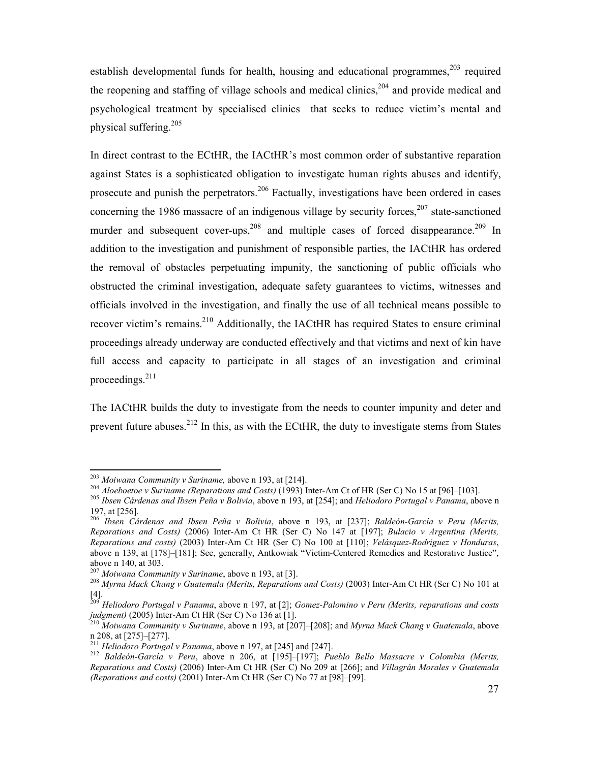establish developmental funds for health, housing and educational programmes,  $203$  required the reopening and staffing of village schools and medical clinics,  $204$  and provide medical and psychological treatment by specialised clinics that seeks to reduce victim's mental and physical suffering.<sup>205</sup>

In direct contrast to the ECtHR, the IACtHR's most common order of substantive reparation against States is a sophisticated obligation to investigate human rights abuses and identify, prosecute and punish the perpetrators.<sup>206</sup> Factually, investigations have been ordered in cases concerning the 1986 massacre of an indigenous village by security forces,<sup>207</sup> state-sanctioned murder and subsequent cover-ups,  $208$  and multiple cases of forced disappearance.  $209$  In addition to the investigation and punishment of responsible parties, the IACtHR has ordered the removal of obstacles perpetuating impunity, the sanctioning of public officials who obstructed the criminal investigation, adequate safety guarantees to victims, witnesses and officials involved in the investigation, and finally the use of all technical means possible to recover victim's remains.<sup>210</sup> Additionally, the IACtHR has required States to ensure criminal proceedings already underway are conducted effectively and that victims and next of kin have full access and capacity to participate in all stages of an investigation and criminal proceedings.<sup>211</sup>

The IACtHR builds the duty to investigate from the needs to counter impunity and deter and prevent future abuses.<sup>212</sup> In this, as with the ECtHR, the duty to investigate stems from States

<sup>203</sup> *Moiwana Community v Suriname,* above n 193, at [214].

<sup>204</sup> *Aloeboetoe v Suriname (Reparations and Costs)* (1993) Inter-Am Ct of HR (Ser C) No 15 at [96]–[103].

<sup>205</sup> *Ibsen Cárdenas and Ibsen Peña v Bolivia*, above n 193, at [254]; and *Heliodoro Portugal v Panama*, above n 197, at [256].

<sup>206</sup> *Ibsen Cárdenas and Ibsen Peña v Bolivia*, above n 193, at [237]; *Baldeón-García v Peru (Merits, Reparations and Costs)* (2006) Inter-Am Ct HR (Ser C) No 147 at [197]; *Bulacio v Argentina (Merits, Reparations and costs)* (2003) Inter-Am Ct HR (Ser C) No 100 at [110]; *Velásquez-Rodriguez v Honduras*, above n 139, at [178]–[181]; See, generally, Antkowiak "Victim-Centered Remedies and Restorative Justice", above n 140, at 303.

*Moiwana Community v Suriname*, above n 193, at [3].

<sup>&</sup>lt;sup>208</sup> *Myrna Mack Chang v Guatemala (Merits, Reparations and Costs)* (2003) Inter-Am Ct HR (Ser C) No 101 at [4].

<sup>209</sup> *Heliodoro Portugal v Panama*, above n 197, at [2]; *Gomez-Palomino v Peru (Merits, reparations and costs judgment)* (2005) Inter-Am Ct HR (Ser C) No 136 at [1].

<sup>210</sup> *Moiwana Community v Suriname*, above n 193, at [207]–[208]; and *Myrna Mack Chang v Guatemala*, above n 208, at [275]–[277].

<sup>211</sup> *Heliodoro Portugal v Panama*, above n 197, at [245] and [247].

<sup>212</sup> *Baldeón-García v Peru*, above n 206, at [195]–[197]; *Pueblo Bello Massacre v Colombia (Merits, Reparations and Costs)* (2006) Inter-Am Ct HR (Ser C) No 209 at [266]; and *Villagrán Morales v Guatemala (Reparations and costs)* (2001) Inter-Am Ct HR (Ser C) No 77 at [98]–[99].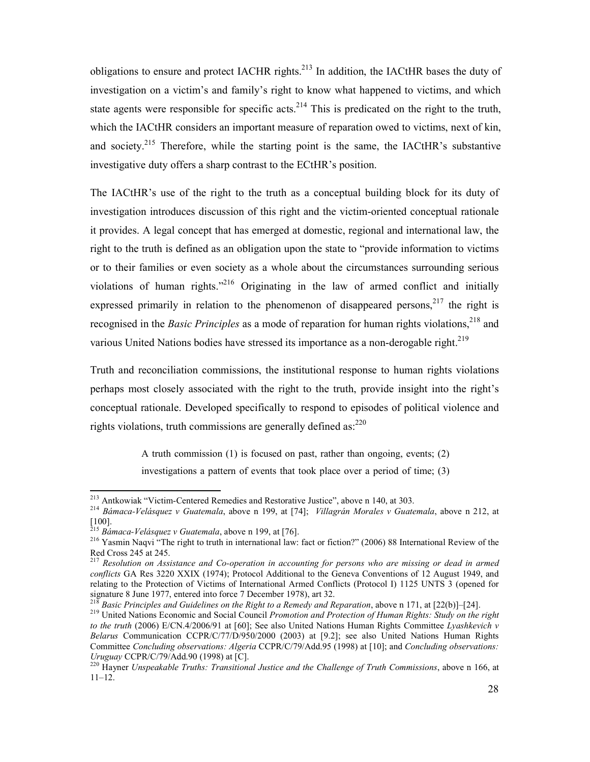obligations to ensure and protect IACHR rights.<sup>213</sup> In addition, the IACtHR bases the duty of investigation on a victim's and family's right to know what happened to victims, and which state agents were responsible for specific acts.<sup>214</sup> This is predicated on the right to the truth, which the IACtHR considers an important measure of reparation owed to victims, next of kin, and society.<sup>215</sup> Therefore, while the starting point is the same, the IACtHR's substantive investigative duty offers a sharp contrast to the ECtHR's position.

The IACtHR's use of the right to the truth as a conceptual building block for its duty of investigation introduces discussion of this right and the victim-oriented conceptual rationale it provides. A legal concept that has emerged at domestic, regional and international law, the right to the truth is defined as an obligation upon the state to "provide information to victims or to their families or even society as a whole about the circumstances surrounding serious violations of human rights. $n^{216}$  Originating in the law of armed conflict and initially expressed primarily in relation to the phenomenon of disappeared persons,  $2^{17}$  the right is recognised in the *Basic Principles* as a mode of reparation for human rights violations, <sup>218</sup> and various United Nations bodies have stressed its importance as a non-derogable right.<sup>219</sup>

Truth and reconciliation commissions, the institutional response to human rights violations perhaps most closely associated with the right to the truth, provide insight into the right's conceptual rationale. Developed specifically to respond to episodes of political violence and rights violations, truth commissions are generally defined as: $^{220}$ 

> A truth commission (1) is focused on past, rather than ongoing, events; (2) investigations a pattern of events that took place over a period of time; (3)

 $\overline{a}$ 

<sup>218</sup> *Basic Principles and Guidelines on the Right to a Remedy and Reparation*, above n 171, at [22(b)]–[24].

<sup>213</sup> Antkowiak "Victim-Centered Remedies and Restorative Justice", above n 140, at 303.

<sup>214</sup> *Bámaca-Velásquez v Guatemala*, above n 199, at [74]; *Villagrán Morales v Guatemala*, above n 212, at [100].

<sup>215</sup> *Bámaca-Velásquez v Guatemala*, above n 199, at [76].

<sup>&</sup>lt;sup>216</sup> Yasmin Naqvi<sup>"</sup> The right to truth in international law: fact or fiction?" (2006) 88 International Review of the Red Cross 245 at 245.

<sup>217</sup> *Resolution on Assistance and Co-operation in accounting for persons who are missing or dead in armed conflicts* GA Res 3220 XXIX (1974); Protocol Additional to the Geneva Conventions of 12 August 1949, and relating to the Protection of Victims of International Armed Conflicts (Protocol I) 1125 UNTS 3 (opened for signature 8 June 1977, entered into force 7 December 1978), art 32.

<sup>219</sup> United Nations Economic and Social Council *Promotion and Protection of Human Rights: Study on the right to the truth* (2006) E/CN.4/2006/91 at [60]; See also United Nations Human Rights Committee *Lyashkevich v Belarus* Communication CCPR/C/77/D/950/2000 (2003) at [9.2]; see also United Nations Human Rights Committee *Concluding observations: Algeria* CCPR/C/79/Add.95 (1998) at [10]; and *Concluding observations: Uruguay* CCPR/C/79/Add.90 (1998) at [C].

<sup>220</sup> Hayner *Unspeakable Truths: Transitional Justice and the Challenge of Truth Commissions*, above n 166, at 11–12.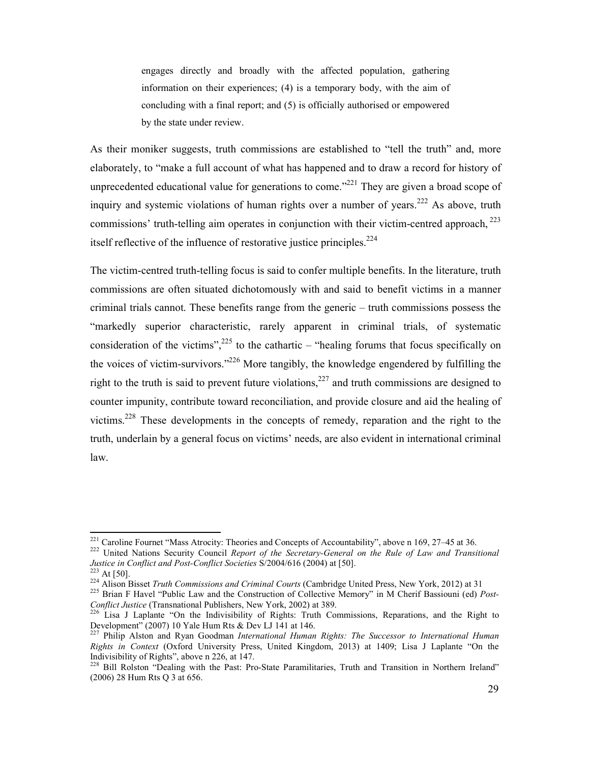engages directly and broadly with the affected population, gathering information on their experiences; (4) is a temporary body, with the aim of concluding with a final report; and (5) is officially authorised or empowered by the state under review.

As their moniker suggests, truth commissions are established to "tell the truth" and, more elaborately, to "make a full account of what has happened and to draw a record for history of unprecedented educational value for generations to come."<sup>221</sup> They are given a broad scope of inquiry and systemic violations of human rights over a number of years.<sup>222</sup> As above, truth commissions' truth-telling aim operates in conjunction with their victim-centred approach,  $223$ itself reflective of the influence of restorative justice principles. $^{224}$ 

The victim-centred truth-telling focus is said to confer multiple benefits. In the literature, truth commissions are often situated dichotomously with and said to benefit victims in a manner criminal trials cannot. These benefits range from the generic – truth commissions possess the "markedly superior characteristic, rarely apparent in criminal trials, of systematic consideration of the victims",  $225$  to the cathartic – "healing forums that focus specifically on the voices of victim-survivors."<sup>226</sup> More tangibly, the knowledge engendered by fulfilling the right to the truth is said to prevent future violations,  $227$  and truth commissions are designed to counter impunity, contribute toward reconciliation, and provide closure and aid the healing of victims.<sup>228</sup> These developments in the concepts of remedy, reparation and the right to the truth, underlain by a general focus on victims' needs, are also evident in international criminal law.

<sup>&</sup>lt;sup>221</sup> Caroline Fournet "Mass Atrocity: Theories and Concepts of Accountability", above n 169, 27–45 at 36.

<sup>&</sup>lt;sup>222</sup> United Nations Security Council Report of the Secretary-General on the Rule of Law and Transitional *Justice in Conflict and Post-Conflict Societies* S/2004/616 (2004) at [50].

 $223$  At [50].

<sup>224</sup> Alison Bisset *Truth Commissions and Criminal Courts* (Cambridge United Press, New York, 2012) at 31

<sup>&</sup>lt;sup>225</sup> Brian F Havel "Public Law and the Construction of Collective Memory" in M Cherif Bassiouni (ed) *Post-Conflict Justice* (Transnational Publishers, New York, 2002) at 389.

<sup>&</sup>lt;sup>226</sup> Lisa J Laplante "On the Indivisibility of Rights: Truth Commissions, Reparations, and the Right to Development" (2007) 10 Yale Hum Rts & Dev LJ 141 at 146.

<sup>227</sup> Philip Alston and Ryan Goodman *International Human Rights: The Successor to International Human Rights in Context* (Oxford University Press, United Kingdom, 2013) at 1409; Lisa J Laplante "On the Indivisibility of Rights", above n 226, at 147.

<sup>&</sup>lt;sup>228</sup> Bill Rolston "Dealing with the Past: Pro-State Paramilitaries, Truth and Transition in Northern Ireland" (2006) 28 Hum Rts Q 3 at 656.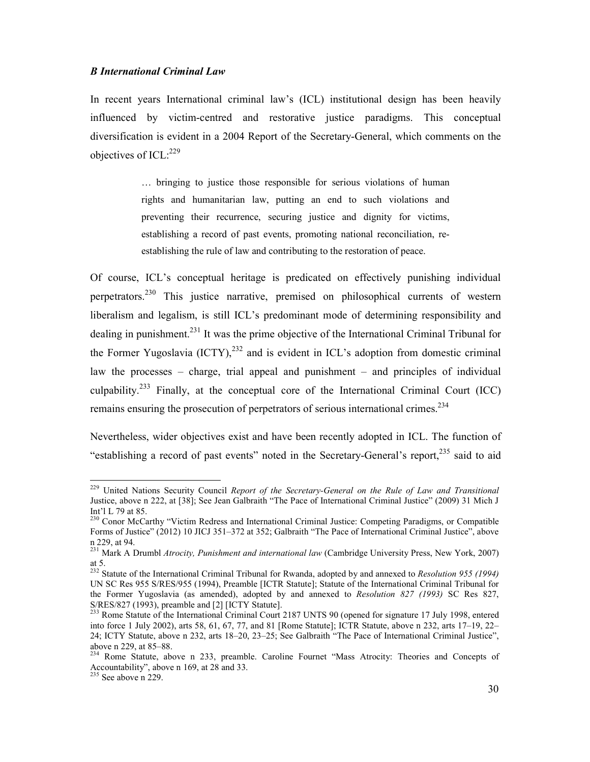#### *B International Criminal Law*

In recent years International criminal law's (ICL) institutional design has been heavily influenced by victim-centred and restorative justice paradigms. This conceptual diversification is evident in a 2004 Report of the Secretary-General, which comments on the objectives of  $ICL:^{229}$ 

> … bringing to justice those responsible for serious violations of human rights and humanitarian law, putting an end to such violations and preventing their recurrence, securing justice and dignity for victims, establishing a record of past events, promoting national reconciliation, reestablishing the rule of law and contributing to the restoration of peace.

Of course, ICL's conceptual heritage is predicated on effectively punishing individual perpetrators.<sup>230</sup> This justice narrative, premised on philosophical currents of western liberalism and legalism, is still ICL's predominant mode of determining responsibility and dealing in punishment.<sup>231</sup> It was the prime objective of the International Criminal Tribunal for the Former Yugoslavia  $(ICTY)$ ,<sup>232</sup> and is evident in ICL's adoption from domestic criminal law the processes – charge, trial appeal and punishment – and principles of individual culpability.<sup>233</sup> Finally, at the conceptual core of the International Criminal Court (ICC) remains ensuring the prosecution of perpetrators of serious international crimes.<sup>234</sup>

Nevertheless, wider objectives exist and have been recently adopted in ICL. The function of "establishing a record of past events" noted in the Secretary-General's report,<sup>235</sup> said to aid

<sup>229</sup> United Nations Security Council *Report of the Secretary-General on the Rule of Law and Transitional*  Justice, above n 222, at [38]; See Jean Galbraith "The Pace of International Criminal Justice" (2009) 31 Mich J Int'l L 79 at 85.

<sup>&</sup>lt;sup>230</sup> Conor McCarthy "Victim Redress and International Criminal Justice: Competing Paradigms, or Compatible Forms of Justice" (2012) 10 JICJ 351–372 at 352; Galbraith "The Pace of International Criminal Justice", above n 229, at 94.

<sup>231</sup> Mark A Drumbl *Atrocity, Punishment and international law* (Cambridge University Press, New York, 2007) at 5.

<sup>232</sup> Statute of the International Criminal Tribunal for Rwanda, adopted by and annexed to *Resolution 955 (1994)* UN SC Res 955 S/RES/955 (1994), Preamble [ICTR Statute]; Statute of the International Criminal Tribunal for the Former Yugoslavia (as amended), adopted by and annexed to *Resolution 827 (1993)* SC Res 827, S/RES/827 (1993), preamble and [2] [ICTY Statute].

<sup>&</sup>lt;sup>233</sup> Rome Statute of the International Criminal Court 2187 UNTS 90 (opened for signature 17 July 1998, entered into force 1 July 2002), arts 58, 61, 67, 77, and 81 [Rome Statute]; ICTR Statute, above n 232, arts 17–19, 22– 24; ICTY Statute, above n 232, arts 18–20, 23–25; See Galbraith "The Pace of International Criminal Justice", above n 229, at 85–88.

<sup>&</sup>lt;sup>234</sup> Rome Statute, above n 233, preamble. Caroline Fournet "Mass Atrocity: Theories and Concepts of Accountability", above n 169, at 28 and 33.

 $235$  See above n 229.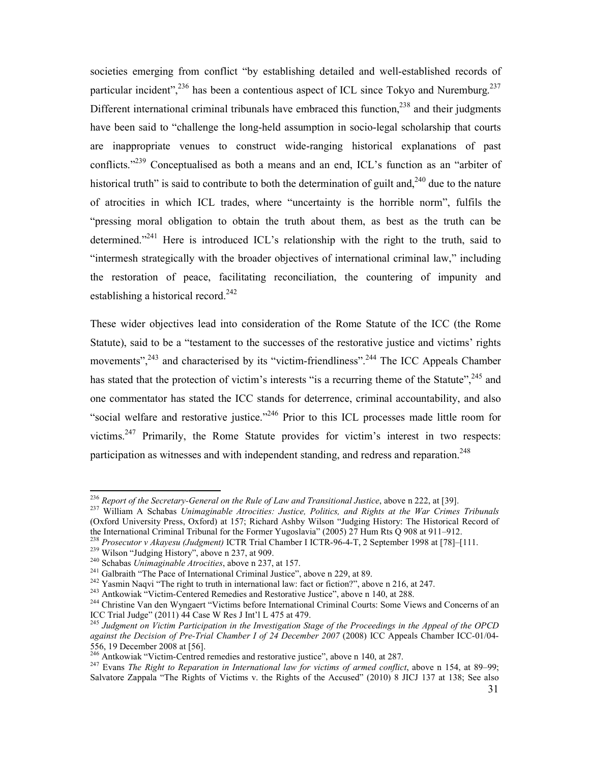societies emerging from conflict "by establishing detailed and well-established records of particular incident",  $236$  has been a contentious aspect of ICL since Tokyo and Nuremburg.  $237$ Different international criminal tribunals have embraced this function, $^{238}$  and their judgments have been said to "challenge the long-held assumption in socio-legal scholarship that courts are inappropriate venues to construct wide-ranging historical explanations of past conflicts."<sup>239</sup> Conceptualised as both a means and an end, ICL's function as an "arbiter of historical truth" is said to contribute to both the determination of guilt and, $240$  due to the nature of atrocities in which ICL trades, where "uncertainty is the horrible norm", fulfils the "pressing moral obligation to obtain the truth about them, as best as the truth can be determined."<sup>241</sup> Here is introduced ICL's relationship with the right to the truth, said to "intermesh strategically with the broader objectives of international criminal law," including the restoration of peace, facilitating reconciliation, the countering of impunity and establishing a historical record.<sup>242</sup>

These wider objectives lead into consideration of the Rome Statute of the ICC (the Rome Statute), said to be a "testament to the successes of the restorative justice and victims' rights movements",<sup>243</sup> and characterised by its "victim-friendliness".<sup>244</sup> The ICC Appeals Chamber has stated that the protection of victim's interests "is a recurring theme of the Statute",<sup>245</sup> and one commentator has stated the ICC stands for deterrence, criminal accountability, and also "social welfare and restorative justice."<sup>246</sup> Prior to this ICL processes made little room for victims.<sup>247</sup> Primarily, the Rome Statute provides for victim's interest in two respects: participation as witnesses and with independent standing, and redress and reparation.<sup>248</sup>

<sup>&</sup>lt;sup>236</sup> *Report of the Secretary-General on the Rule of Law and Transitional Justice*, above n 222, at [39].

<sup>237</sup> William A Schabas *Unimaginable Atrocities: Justice, Politics, and Rights at the War Crimes Tribunals*  (Oxford University Press, Oxford) at 157; Richard Ashby Wilson "Judging History: The Historical Record of the International Criminal Tribunal for the Former Yugoslavia" (2005) 27 Hum Rts Q 908 at 911–912.

<sup>238</sup> *Prosecutor v Akayesu (Judgment)* ICTR Trial Chamber I ICTR-96-4-T, 2 September 1998 at [78]–[111.

 $^{239}$  Wilson "Judging History", above n 237, at 909.

<sup>240</sup> Schabas *Unimaginable Atrocities*, above n 237, at 157.

<sup>&</sup>lt;sup>241</sup> Galbraith "The Pace of International Criminal Justice", above n 229, at 89.

<sup>&</sup>lt;sup>242</sup> Yasmin Naqvi "The right to truth in international law: fact or fiction?", above n 216, at 247.

<sup>&</sup>lt;sup>243</sup> Antkowiak "Victim-Centered Remedies and Restorative Justice", above n 140, at 288.

<sup>&</sup>lt;sup>244</sup> Christine Van den Wyngaert "Victims before International Criminal Courts: Some Views and Concerns of an ICC Trial Judge" (2011) 44 Case W Res J Int'l L 475 at 479.

<sup>245</sup> *Judgment on Victim Participation in the Investigation Stage of the Proceedings in the Appeal of the OPCD against the Decision of Pre-Trial Chamber I of 24 December 2007* (2008) ICC Appeals Chamber ICC-01/04- 556, 19 December 2008 at [56].

<sup>&</sup>lt;sup>246</sup> Antkowiak "Victim-Centred remedies and restorative justice", above n 140, at 287.

<sup>247</sup> Evans *The Right to Reparation in International law for victims of armed conflict*, above n 154, at 89–99; Salvatore Zappala "The Rights of Victims v. the Rights of the Accused" (2010) 8 JICJ 137 at 138; See also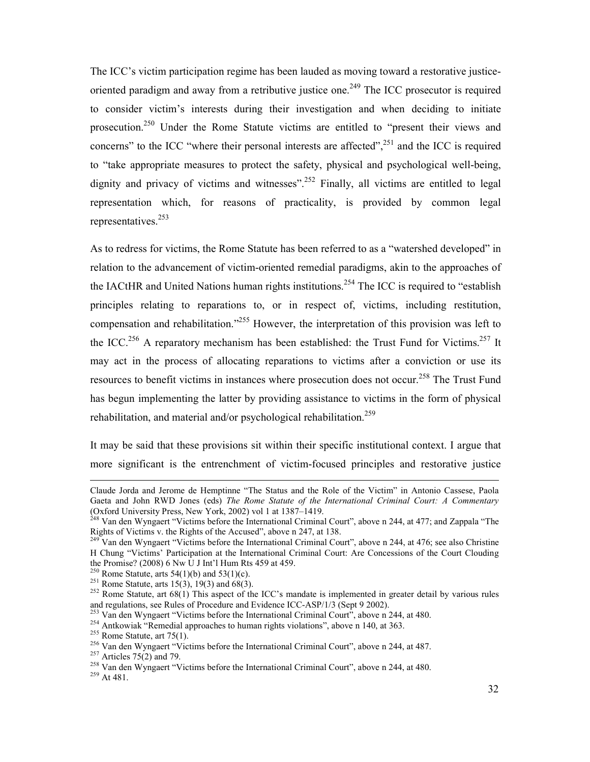The ICC's victim participation regime has been lauded as moving toward a restorative justiceoriented paradigm and away from a retributive justice one.<sup>249</sup> The ICC prosecutor is required to consider victim's interests during their investigation and when deciding to initiate prosecution.<sup>250</sup> Under the Rome Statute victims are entitled to "present their views and concerns" to the ICC "where their personal interests are affected",<sup>251</sup> and the ICC is required to "take appropriate measures to protect the safety, physical and psychological well-being, dignity and privacy of victims and witnesses".<sup>252</sup> Finally, all victims are entitled to legal representation which, for reasons of practicality, is provided by common legal representatives.<sup>253</sup>

As to redress for victims, the Rome Statute has been referred to as a "watershed developed" in relation to the advancement of victim-oriented remedial paradigms, akin to the approaches of the IACtHR and United Nations human rights institutions.<sup>254</sup> The ICC is required to "establish" principles relating to reparations to, or in respect of, victims, including restitution, compensation and rehabilitation."<sup>255</sup> However, the interpretation of this provision was left to the ICC.<sup>256</sup> A reparatory mechanism has been established: the Trust Fund for Victims.<sup>257</sup> It may act in the process of allocating reparations to victims after a conviction or use its resources to benefit victims in instances where prosecution does not occur.<sup>258</sup> The Trust Fund has begun implementing the latter by providing assistance to victims in the form of physical rehabilitation, and material and/or psychological rehabilitation.<sup>259</sup>

It may be said that these provisions sit within their specific institutional context. I argue that more significant is the entrenchment of victim-focused principles and restorative justice

Claude Jorda and Jerome de Hemptinne "The Status and the Role of the Victim" in Antonio Cassese, Paola Gaeta and John RWD Jones (eds) *The Rome Statute of the International Criminal Court: A Commentary* (Oxford University Press, New York, 2002) vol 1 at 1387–1419.

<sup>&</sup>lt;sup>248</sup> Van den Wyngaert "Victims before the International Criminal Court", above n 244, at 477; and Zappala "The Rights of Victims v. the Rights of the Accused", above n 247, at 138.

 $^{249}$  Van den Wyngaert "Victims before the International Criminal Court", above n 244, at 476; see also Christine H Chung "Victims' Participation at the International Criminal Court: Are Concessions of the Court Clouding the Promise? (2008) 6 Nw U J Int'l Hum Rts 459 at 459.

<sup>&</sup>lt;sup>250</sup> Rome Statute, arts 54(1)(b) and 53(1)(c).

<sup>&</sup>lt;sup>251</sup> Rome Statute, arts 15(3), 19(3) and 68(3).

<sup>&</sup>lt;sup>252</sup> Rome Statute, art 68(1) This aspect of the ICC's mandate is implemented in greater detail by various rules and regulations, see Rules of Procedure and Evidence ICC-ASP/1/3 (Sept 9 2002).

<sup>&</sup>lt;sup>253</sup> Van den Wyngaert "Victims before the International Criminal Court", above n 244, at 480.

<sup>&</sup>lt;sup>254</sup> Antkowiak "Remedial approaches to human rights violations", above n 140, at 363.

 $255$  Rome Statute, art 75(1).

<sup>256</sup> Van den Wyngaert "Victims before the International Criminal Court", above n 244, at 487.

<sup>&</sup>lt;sup>257</sup> Articles  $75(2)$  and 79.

<sup>&</sup>lt;sup>258</sup> Van den Wyngaert "Victims before the International Criminal Court", above n 244, at 480.

<sup>&</sup>lt;sup>259</sup> At 481.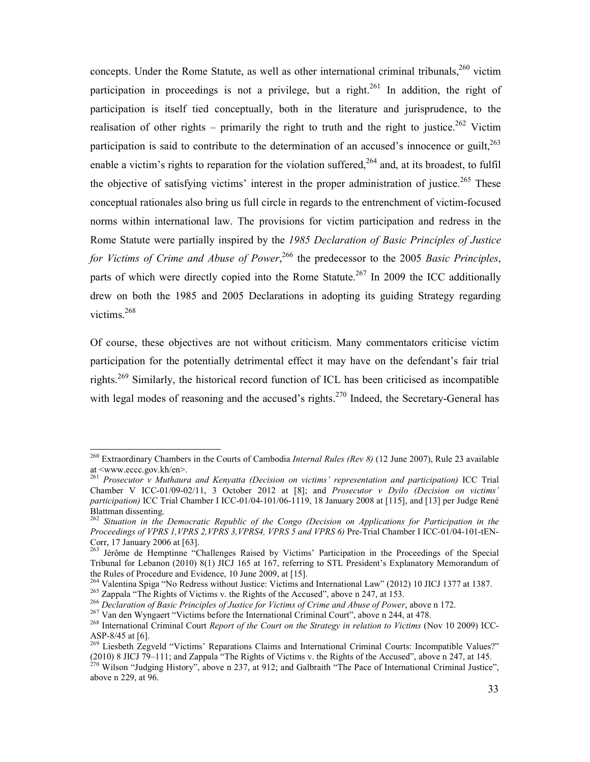concepts. Under the Rome Statute, as well as other international criminal tribunals,  $260$  victim participation in proceedings is not a privilege, but a right.<sup>261</sup> In addition, the right of participation is itself tied conceptually, both in the literature and jurisprudence, to the realisation of other rights – primarily the right to truth and the right to justice.<sup>262</sup> Victim participation is said to contribute to the determination of an accused's innocence or guilt,  $^{263}$ enable a victim's rights to reparation for the violation suffered,  $2^{64}$  and, at its broadest, to fulfil the objective of satisfying victims' interest in the proper administration of justice.<sup>265</sup> These conceptual rationales also bring us full circle in regards to the entrenchment of victim-focused norms within international law. The provisions for victim participation and redress in the Rome Statute were partially inspired by the *1985 Declaration of Basic Principles of Justice*  for Victims of Crime and Abuse of Power,<sup>266</sup> the predecessor to the 2005 *Basic Principles*, parts of which were directly copied into the Rome Statute.<sup>267</sup> In 2009 the ICC additionally drew on both the 1985 and 2005 Declarations in adopting its guiding Strategy regarding victims.<sup>268</sup>

Of course, these objectives are not without criticism. Many commentators criticise victim participation for the potentially detrimental effect it may have on the defendant's fair trial rights.<sup>269</sup> Similarly, the historical record function of ICL has been criticised as incompatible with legal modes of reasoning and the accused's rights.<sup>270</sup> Indeed, the Secretary-General has

<u>.</u>

<sup>260</sup> Extraordinary Chambers in the Courts of Cambodia *Internal Rules (Rev 8)* (12 June 2007), Rule 23 available at <www.eccc.gov.kh/en>.

<sup>261</sup> *Prosecutor v Muthaura and Kenyatta (Decision on victims' representation and participation)* ICC Trial Chamber V ICC-01/09-02/11, 3 October 2012 at [8]; and *Prosecutor v Dyilo (Decision on victims' participation)* ICC Trial Chamber I ICC-01/04-101/06-1119, 18 January 2008 at [115], and [13] per Judge René Blattman dissenting.

<sup>262</sup> *Situation in the Democratic Republic of the Congo (Decision on Applications for Participation in the Proceedings of VPRS 1,VPRS 2,VPRS 3,VPRS4, VPRS 5 and VPRS 6)* Pre-Trial Chamber I ICC-01/04-101-tEN-Corr, 17 January 2006 at [63].

<sup>&</sup>lt;sup>263</sup> Jérôme de Hemptinne "Challenges Raised by Victims' Participation in the Proceedings of the Special Tribunal for Lebanon (2010) 8(1) JICJ 165 at 167, referring to STL President's Explanatory Memorandum of the Rules of Procedure and Evidence, 10 June 2009, at [15].

<sup>264</sup> Valentina Spiga "No Redress without Justice: Victims and International Law" (2012) 10 JICJ 1377 at 1387.

<sup>&</sup>lt;sup>265</sup> Zappala "The Rights of Victims v. the Rights of the Accused", above n 247, at 153.

<sup>266</sup> *Declaration of Basic Principles of Justice for Victims of Crime and Abuse of Power*, above n 172.

<sup>267</sup> Van den Wyngaert "Victims before the International Criminal Court", above n 244, at 478.

<sup>268</sup> International Criminal Court *Report of the Court on the Strategy in relation to Victims* (Nov 10 2009) ICC-ASP-8/45 at [6].

<sup>&</sup>lt;sup>269</sup> Liesbeth Zegveld "Victims' Reparations Claims and International Criminal Courts: Incompatible Values?" (2010) 8 JICJ 79–111; and Zappala "The Rights of Victims v. the Rights of the Accused", above n 247, at 145. (2010) 8 JICJ 79–111; and Zappala "The Rights of Victims v. the Rights of the Accused", above n 247, at 145.<br><sup>270</sup> Wilson "Judging History", above n 237, at 912; and Galbraith "The Pace of International Criminal Justice",

above n 229, at 96.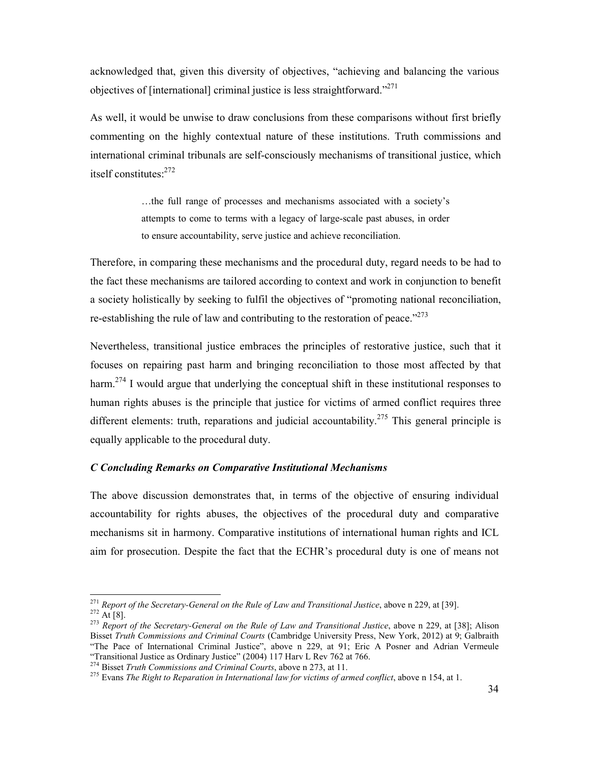acknowledged that, given this diversity of objectives, "achieving and balancing the various objectives of [international] criminal justice is less straightforward."<sup>271</sup>

As well, it would be unwise to draw conclusions from these comparisons without first briefly commenting on the highly contextual nature of these institutions. Truth commissions and international criminal tribunals are self-consciously mechanisms of transitional justice, which itself constitutes:<sup>272</sup>

> …the full range of processes and mechanisms associated with a society's attempts to come to terms with a legacy of large-scale past abuses, in order to ensure accountability, serve justice and achieve reconciliation.

Therefore, in comparing these mechanisms and the procedural duty, regard needs to be had to the fact these mechanisms are tailored according to context and work in conjunction to benefit a society holistically by seeking to fulfil the objectives of "promoting national reconciliation, re-establishing the rule of law and contributing to the restoration of peace."<sup>273</sup>

Nevertheless, transitional justice embraces the principles of restorative justice, such that it focuses on repairing past harm and bringing reconciliation to those most affected by that harm.<sup>274</sup> I would argue that underlying the conceptual shift in these institutional responses to human rights abuses is the principle that justice for victims of armed conflict requires three different elements: truth, reparations and judicial accountability.<sup>275</sup> This general principle is equally applicable to the procedural duty.

#### *C Concluding Remarks on Comparative Institutional Mechanisms*

The above discussion demonstrates that, in terms of the objective of ensuring individual accountability for rights abuses, the objectives of the procedural duty and comparative mechanisms sit in harmony. Comparative institutions of international human rights and ICL aim for prosecution. Despite the fact that the ECHR's procedural duty is one of means not

<sup>271</sup> *Report of the Secretary-General on the Rule of Law and Transitional Justice*, above n 229, at [39].  $^{272}$  At [8].

<sup>273</sup> *Report of the Secretary-General on the Rule of Law and Transitional Justice*, above n 229, at [38]; Alison Bisset *Truth Commissions and Criminal Courts* (Cambridge University Press, New York, 2012) at 9; Galbraith "The Pace of International Criminal Justice", above n 229, at 91; Eric A Posner and Adrian Vermeule "Transitional Justice as Ordinary Justice" (2004) 117 Harv L Rev 762 at 766.

<sup>274</sup> Bisset *Truth Commissions and Criminal Courts*, above n 273, at 11.

<sup>275</sup> Evans *The Right to Reparation in International law for victims of armed conflict*, above n 154, at 1.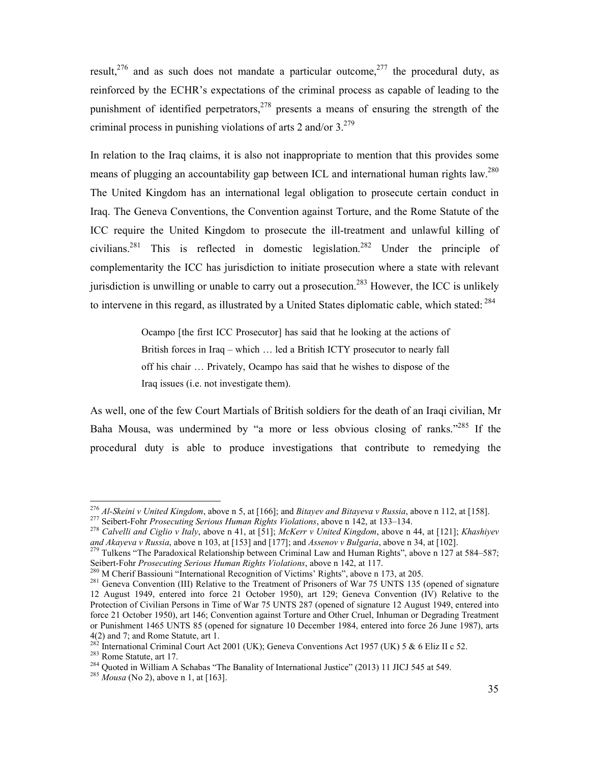result.<sup>276</sup> and as such does not mandate a particular outcome.<sup>277</sup> the procedural duty, as reinforced by the ECHR's expectations of the criminal process as capable of leading to the punishment of identified perpetrators,  $278$  presents a means of ensuring the strength of the criminal process in punishing violations of arts 2 and/or  $3.^{279}$ 

In relation to the Iraq claims, it is also not inappropriate to mention that this provides some means of plugging an accountability gap between ICL and international human rights law.<sup>280</sup> The United Kingdom has an international legal obligation to prosecute certain conduct in Iraq. The Geneva Conventions, the Convention against Torture, and the Rome Statute of the ICC require the United Kingdom to prosecute the ill-treatment and unlawful killing of civilians.<sup>281</sup> This is reflected in domestic legislation.<sup>282</sup> Under the principle of complementarity the ICC has jurisdiction to initiate prosecution where a state with relevant jurisdiction is unwilling or unable to carry out a prosecution.<sup>283</sup> However, the ICC is unlikely to intervene in this regard, as illustrated by a United States diplomatic cable, which stated: <sup>284</sup>

> Ocampo [the first ICC Prosecutor] has said that he looking at the actions of British forces in Iraq – which … led a British ICTY prosecutor to nearly fall off his chair … Privately, Ocampo has said that he wishes to dispose of the Iraq issues (i.e. not investigate them).

As well, one of the few Court Martials of British soldiers for the death of an Iraqi civilian, Mr Baha Mousa, was undermined by "a more or less obvious closing of ranks."<sup>285</sup> If the procedural duty is able to produce investigations that contribute to remedying the

<sup>276</sup> *Al-Skeini v United Kingdom*, above n 5, at [166]; and *Bitayev and Bitayeva v Russia*, above n 112, at [158].

<sup>277</sup> Seibert-Fohr *Prosecuting Serious Human Rights Violations*, above n 142, at 133–134.

<sup>278</sup> *Calvelli and Ciglio v Italy*, above n 41, at [51]; *McKerr v United Kingdom*, above n 44, at [121]; *Khashiyev and Akayeva v Russia*, above n 103, at [153] and [177]; and *Assenov v Bulgaria*, above n 34, at [102].

<sup>&</sup>lt;sup>279</sup> Tulkens "The Paradoxical Relationship between Criminal Law and Human Rights", above n 127 at 584–587; Seibert-Fohr *Prosecuting Serious Human Rights Violations*, above n 142, at 117.

<sup>&</sup>lt;sup>280</sup> M Cherif Bassiouni "International Recognition of Victims' Rights", above n 173, at 205.

<sup>&</sup>lt;sup>281</sup> Geneva Convention (III) Relative to the Treatment of Prisoners of War 75 UNTS 135 (opened of signature 12 August 1949, entered into force 21 October 1950), art 129; Geneva Convention (IV) Relative to the Protection of Civilian Persons in Time of War 75 UNTS 287 (opened of signature 12 August 1949, entered into force 21 October 1950), art 146; Convention against Torture and Other Cruel, Inhuman or Degrading Treatment or Punishment 1465 UNTS 85 (opened for signature 10 December 1984, entered into force 26 June 1987), arts  $4(2)$  and 7; and Rome Statute, art 1.<br>  $282$  Letom 1.

<sup>282</sup> International Criminal Court Act 2001 (UK); Geneva Conventions Act 1957 (UK) 5 & 6 Eliz II c 52.

<sup>283</sup> Rome Statute, art 17.

<sup>&</sup>lt;sup>284</sup> Quoted in William A Schabas "The Banality of International Justice" (2013) 11 JICJ 545 at 549.

<sup>285</sup> *Mousa* (No 2), above n 1, at [163].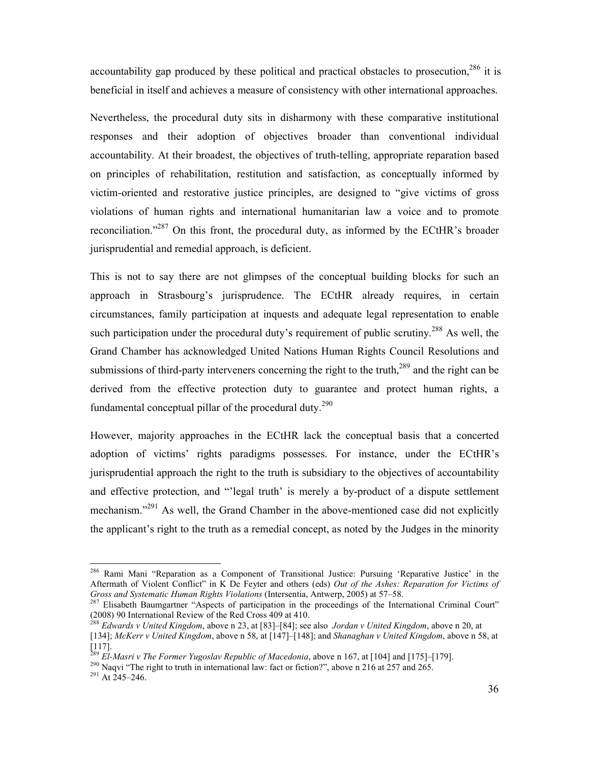accountability gap produced by these political and practical obstacles to prosecution,  $286$  it is beneficial in itself and achieves a measure of consistency with other international approaches.

Nevertheless, the procedural duty sits in disharmony with these comparative institutional responses and their adoption of objectives broader than conventional individual accountability. At their broadest, the objectives of truth-telling, appropriate reparation based on principles of rehabilitation, restitution and satisfaction, as conceptually informed by victim-oriented and restorative justice principles, are designed to "give victims of gross violations of human rights and international humanitarian law a voice and to promote reconciliation."<sup>287</sup> On this front, the procedural duty, as informed by the ECtHR's broader jurisprudential and remedial approach, is deficient.

This is not to say there are not glimpses of the conceptual building blocks for such an approach in Strasbourg's jurisprudence. The ECtHR already requires, in certain circumstances, family participation at inquests and adequate legal representation to enable such participation under the procedural duty's requirement of public scrutiny.<sup>288</sup> As well, the Grand Chamber has acknowledged United Nations Human Rights Council Resolutions and submissions of third-party interveners concerning the right to the truth,<sup>289</sup> and the right can be derived from the effective protection duty to guarantee and protect human rights, a fundamental conceptual pillar of the procedural duty.<sup>290</sup>

However, majority approaches in the ECtHR lack the conceptual basis that a concerted adoption of victims' rights paradigms possesses. For instance, under the ECtHR's jurisprudential approach the right to the truth is subsidiary to the objectives of accountability and effective protection, and "'legal truth' is merely a by-product of a dispute settlement mechanism.<sup>"291</sup> As well, the Grand Chamber in the above-mentioned case did not explicitly the applicant's right to the truth as a remedial concept, as noted by the Judges in the minority

<sup>286</sup> Rami Mani "Reparation as a Component of Transitional Justice: Pursuing 'Reparative Justice' in the Aftermath of Violent Conflict" in K De Feyter and others (eds) *Out of the Ashes: Reparation for Victims of Gross and Systematic Human Rights Violations* (Intersentia, Antwerp, 2005) at 57–58.

<sup>&</sup>lt;sup>287</sup> Elisabeth Baumgartner "Aspects of participation in the proceedings of the International Criminal Court" (2008) 90 International Review of the Red Cross 409 at 410.

<sup>288</sup> *Edwards v United Kingdom*, above n 23, at [83]–[84]; see also *Jordan v United Kingdom*, above n 20, at

<sup>[134];</sup> *McKerr v United Kingdom*, above n 58, at [147]–[148]; and *Shanaghan v United Kingdom*, above n 58, at [117].

<sup>289</sup> *El-Masri v The Former Yugoslav Republic of Macedonia*, above n 167, at [104] and [175]–[179].

<sup>&</sup>lt;sup>290</sup> Naqvi "The right to truth in international law: fact or fiction?", above n 216 at 257 and 265.

 $291$  At 245–246.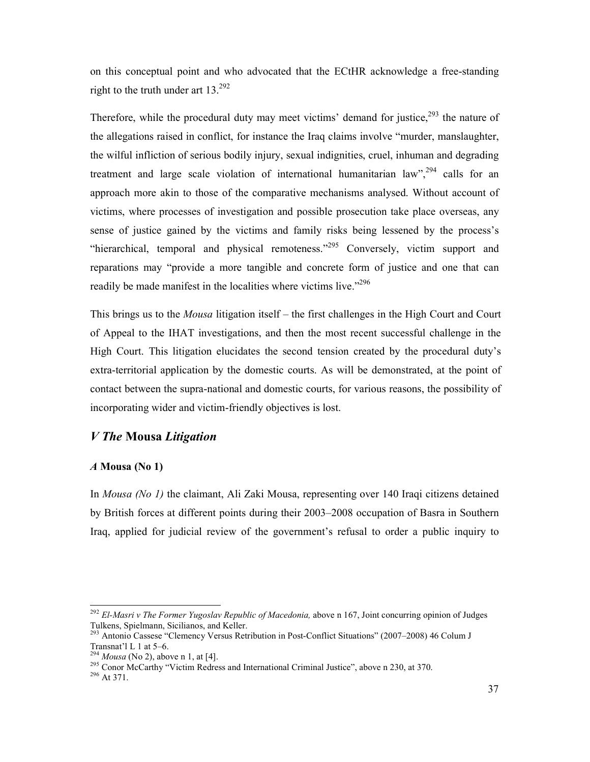on this conceptual point and who advocated that the ECtHR acknowledge a free-standing right to the truth under art  $13.^{292}$ 

Therefore, while the procedural duty may meet victims' demand for justice,  $293$  the nature of the allegations raised in conflict, for instance the Iraq claims involve "murder, manslaughter, the wilful infliction of serious bodily injury, sexual indignities, cruel, inhuman and degrading treatment and large scale violation of international humanitarian law",  $^{294}$  calls for an approach more akin to those of the comparative mechanisms analysed. Without account of victims, where processes of investigation and possible prosecution take place overseas, any sense of justice gained by the victims and family risks being lessened by the process's "hierarchical, temporal and physical remoteness."<sup>295</sup> Conversely, victim support and reparations may "provide a more tangible and concrete form of justice and one that can readily be made manifest in the localities where victims live."<sup>296</sup>

This brings us to the *Mousa* litigation itself – the first challenges in the High Court and Court of Appeal to the IHAT investigations, and then the most recent successful challenge in the High Court. This litigation elucidates the second tension created by the procedural duty's extra-territorial application by the domestic courts. As will be demonstrated, at the point of contact between the supra-national and domestic courts, for various reasons, the possibility of incorporating wider and victim-friendly objectives is lost.

## *V The* **Mousa** *Litigation*

#### *A* **Mousa (No 1)**

In *Mousa (No 1)* the claimant, Ali Zaki Mousa, representing over 140 Iraqi citizens detained by British forces at different points during their 2003–2008 occupation of Basra in Southern Iraq, applied for judicial review of the government's refusal to order a public inquiry to

<sup>&</sup>lt;sup>292</sup> El-Masri v The Former Yugoslav Republic of Macedonia, above n 167, Joint concurring opinion of Judges Tulkens, Spielmann, Sicilianos, and Keller.

<sup>293</sup> Antonio Cassese "Clemency Versus Retribution in Post-Conflict Situations" (2007–2008) 46 Colum J Transnat'l L 1 at 5–6.

<sup>294</sup> *Mousa* (No 2), above n 1, at [4].

<sup>295</sup> Conor McCarthy "Victim Redress and International Criminal Justice", above n 230, at 370.

<sup>296</sup> At 371.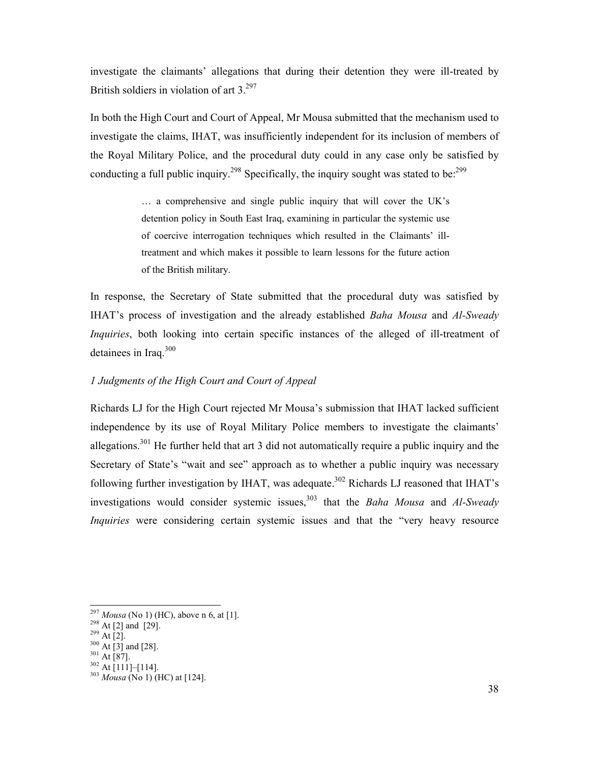investigate the claimants' allegations that during their detention they were ill-treated by British soldiers in violation of art  $3.^{297}$ 

In both the High Court and Court of Appeal, Mr Mousa submitted that the mechanism used to investigate the claims, IHAT, was insufficiently independent for its inclusion of members of the Royal Military Police, and the procedural duty could in any case only be satisfied by conducting a full public inquiry.<sup>298</sup> Specifically, the inquiry sought was stated to be: $299$ 

> … a comprehensive and single public inquiry that will cover the UK's detention policy in South East Iraq, examining in particular the systemic use of coercive interrogation techniques which resulted in the Claimants' illtreatment and which makes it possible to learn lessons for the future action of the British military.

In response, the Secretary of State submitted that the procedural duty was satisfied by IHAT's process of investigation and the already established *Baha Mousa* and *Al-Sweady Inquiries*, both looking into certain specific instances of the alleged of ill-treatment of detainees in Iraq.<sup>300</sup>

## *1 Judgments of the High Court and Court of Appeal*

Richards LJ for the High Court rejected Mr Mousa's submission that IHAT lacked sufficient independence by its use of Royal Military Police members to investigate the claimants' allegations.<sup>301</sup> He further held that art 3 did not automatically require a public inquiry and the Secretary of State's "wait and see" approach as to whether a public inquiry was necessary following further investigation by IHAT, was adequate.<sup>302</sup> Richards LJ reasoned that IHAT's investigations would consider systemic issues,<sup>303</sup> that the *Baha Mousa* and *Al-Sweady Inquiries* were considering certain systemic issues and that the "very heavy resource

<sup>297</sup> *Mousa* (No 1) (HC), above n 6, at [1].

 $^{298}$  At [2] and [29].

 $^{299}$  At [2].

 $300 \text{ At } 2$ .<br>At [3] and [28].  $301$  At [87].

 $302$  At [111]–[114].

<sup>303</sup> *Mousa* (No 1) (HC) at [124].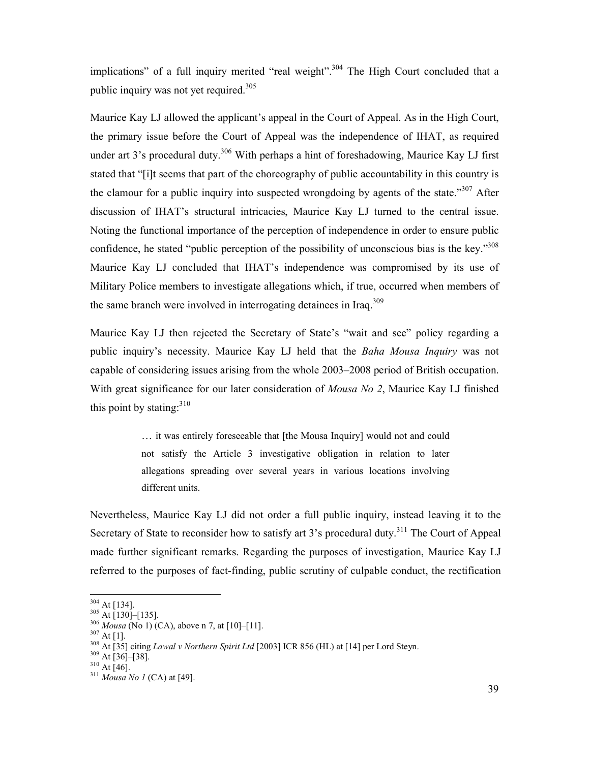implications" of a full inquiry merited "real weight".<sup>304</sup> The High Court concluded that a public inquiry was not yet required. $305$ 

Maurice Kay LJ allowed the applicant's appeal in the Court of Appeal. As in the High Court, the primary issue before the Court of Appeal was the independence of IHAT, as required under art  $3$ 's procedural duty.<sup>306</sup> With perhaps a hint of foreshadowing, Maurice Kay LJ first stated that "[i]t seems that part of the choreography of public accountability in this country is the clamour for a public inquiry into suspected wrongdoing by agents of the state.<sup>307</sup> After discussion of IHAT's structural intricacies, Maurice Kay LJ turned to the central issue. Noting the functional importance of the perception of independence in order to ensure public confidence, he stated "public perception of the possibility of unconscious bias is the key."<sup>308</sup> Maurice Kay LJ concluded that IHAT's independence was compromised by its use of Military Police members to investigate allegations which, if true, occurred when members of the same branch were involved in interrogating detainees in Iraq.<sup>309</sup>

Maurice Kay LJ then rejected the Secretary of State's "wait and see" policy regarding a public inquiry's necessity. Maurice Kay LJ held that the *Baha Mousa Inquiry* was not capable of considering issues arising from the whole 2003–2008 period of British occupation. With great significance for our later consideration of *Mousa No 2*, Maurice Kay LJ finished this point by stating: $310$ 

> … it was entirely foreseeable that [the Mousa Inquiry] would not and could not satisfy the Article 3 investigative obligation in relation to later allegations spreading over several years in various locations involving different units.

Nevertheless, Maurice Kay LJ did not order a full public inquiry, instead leaving it to the Secretary of State to reconsider how to satisfy art 3's procedural duty.<sup>311</sup> The Court of Appeal made further significant remarks. Regarding the purposes of investigation, Maurice Kay LJ referred to the purposes of fact-finding, public scrutiny of culpable conduct, the rectification

 $304$  At [134].

 $305$  At [130]–[135].

<sup>306</sup> *Mousa* (No 1) (CA), above n 7, at [10]–[11].

 $307$  At [1].

<sup>&</sup>lt;sup>308</sup> At [<sup>11</sup>].<br><sup>308</sup> At [35] citing *Lawal v Northern Spirit Ltd* [2003] ICR 856 (HL) at [14] per Lord Steyn.

 $309$  At [36]–[38].

 $310 \text{ At } 1$  <br> At [46].

<sup>311</sup> *Mousa No 1* (CA) at [49].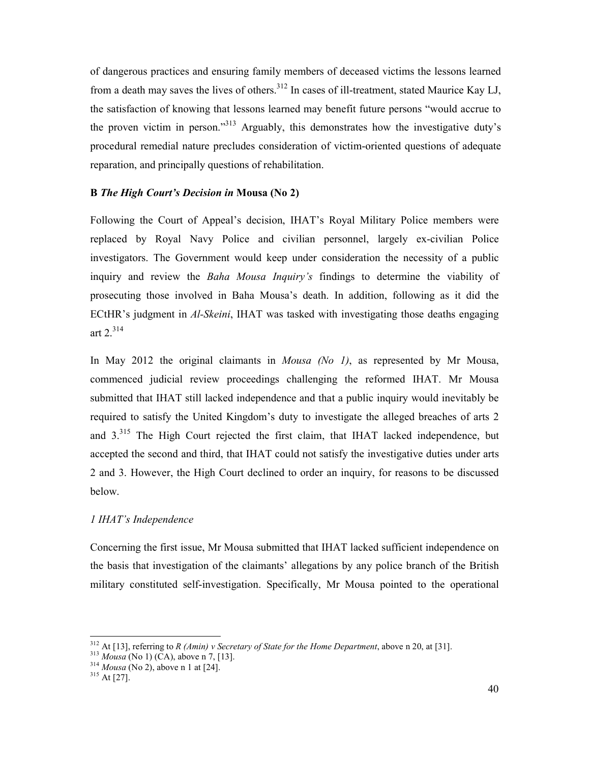of dangerous practices and ensuring family members of deceased victims the lessons learned from a death may saves the lives of others.<sup>312</sup> In cases of ill-treatment, stated Maurice Kay LJ, the satisfaction of knowing that lessons learned may benefit future persons "would accrue to the proven victim in person."<sup>313</sup> Arguably, this demonstrates how the investigative duty's procedural remedial nature precludes consideration of victim-oriented questions of adequate reparation, and principally questions of rehabilitation.

## **B** *The High Court's Decision in* **Mousa (No 2)**

Following the Court of Appeal's decision, IHAT's Royal Military Police members were replaced by Royal Navy Police and civilian personnel, largely ex-civilian Police investigators. The Government would keep under consideration the necessity of a public inquiry and review the *Baha Mousa Inquiry's* findings to determine the viability of prosecuting those involved in Baha Mousa's death. In addition, following as it did the ECtHR's judgment in *Al-Skeini*, IHAT was tasked with investigating those deaths engaging art 2.<sup>314</sup>

In May 2012 the original claimants in *Mousa (No 1)*, as represented by Mr Mousa, commenced judicial review proceedings challenging the reformed IHAT. Mr Mousa submitted that IHAT still lacked independence and that a public inquiry would inevitably be required to satisfy the United Kingdom's duty to investigate the alleged breaches of arts 2 and 3.<sup>315</sup> The High Court rejected the first claim, that IHAT lacked independence, but accepted the second and third, that IHAT could not satisfy the investigative duties under arts 2 and 3. However, the High Court declined to order an inquiry, for reasons to be discussed below.

## *1 IHAT's Independence*

Concerning the first issue, Mr Mousa submitted that IHAT lacked sufficient independence on the basis that investigation of the claimants' allegations by any police branch of the British military constituted self-investigation. Specifically, Mr Mousa pointed to the operational

<u>.</u>

<sup>&</sup>lt;sup>312</sup> At [13], referring to *R (Amin) v Secretary of State for the Home Department*, above n 20, at [31].

<sup>313</sup> *Mousa* (No 1) (CA), above n 7, [13].

<sup>314</sup> *Mousa* (No 2), above n 1 at [24].

 $315$  At [27].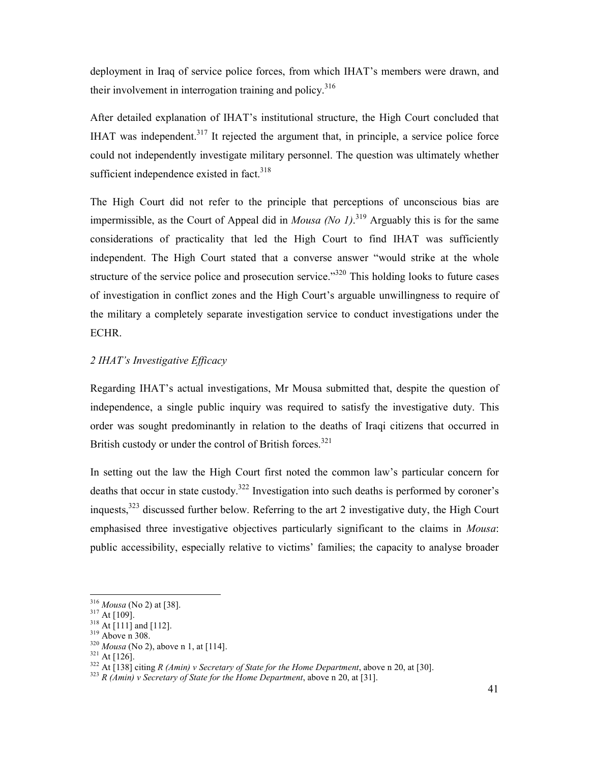deployment in Iraq of service police forces, from which IHAT's members were drawn, and their involvement in interrogation training and policy.<sup>316</sup>

After detailed explanation of IHAT's institutional structure, the High Court concluded that IHAT was independent.<sup>317</sup> It rejected the argument that, in principle, a service police force could not independently investigate military personnel. The question was ultimately whether sufficient independence existed in fact. $318$ 

The High Court did not refer to the principle that perceptions of unconscious bias are impermissible, as the Court of Appeal did in *Mousa (No 1)*.<sup>319</sup> Arguably this is for the same considerations of practicality that led the High Court to find IHAT was sufficiently independent. The High Court stated that a converse answer "would strike at the whole structure of the service police and prosecution service.<sup> $320$ </sup> This holding looks to future cases of investigation in conflict zones and the High Court's arguable unwillingness to require of the military a completely separate investigation service to conduct investigations under the ECHR.

## *2 IHAT's Investigative Efficacy*

Regarding IHAT's actual investigations, Mr Mousa submitted that, despite the question of independence, a single public inquiry was required to satisfy the investigative duty. This order was sought predominantly in relation to the deaths of Iraqi citizens that occurred in British custody or under the control of British forces.<sup>321</sup>

In setting out the law the High Court first noted the common law's particular concern for deaths that occur in state custody.<sup>322</sup> Investigation into such deaths is performed by coroner's inquests,<sup>323</sup> discussed further below. Referring to the art 2 investigative duty, the High Court emphasised three investigative objectives particularly significant to the claims in *Mousa*: public accessibility, especially relative to victims' families; the capacity to analyse broader

<sup>316</sup> *Mousa* (No 2) at [38].

 $317$  At [109].

 $318$  At [111] and [112].

<sup>319</sup> Above n 308.

<sup>320</sup> *Mousa* (No 2), above n 1, at [114].

<sup>321</sup> At [126].

<sup>322</sup> At [138] citing *R (Amin) v Secretary of State for the Home Department*, above n 20, at [30].

<sup>&</sup>lt;sup>323</sup> *R (Amin) v Secretary of State for the Home Department*, above n 20, at [31].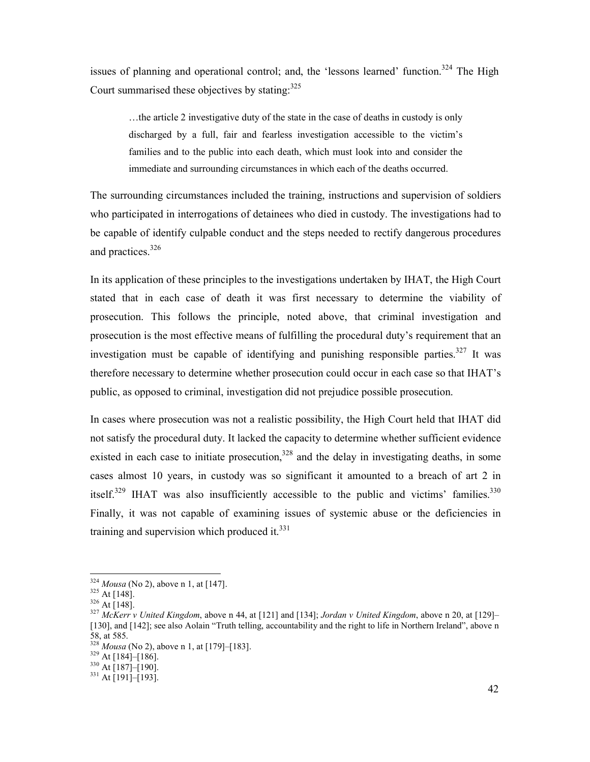issues of planning and operational control; and, the 'lessons learned' function.<sup>324</sup> The High Court summarised these objectives by stating: $325$ 

…the article 2 investigative duty of the state in the case of deaths in custody is only discharged by a full, fair and fearless investigation accessible to the victim's families and to the public into each death, which must look into and consider the immediate and surrounding circumstances in which each of the deaths occurred.

The surrounding circumstances included the training, instructions and supervision of soldiers who participated in interrogations of detainees who died in custody. The investigations had to be capable of identify culpable conduct and the steps needed to rectify dangerous procedures and practices.<sup>326</sup>

In its application of these principles to the investigations undertaken by IHAT, the High Court stated that in each case of death it was first necessary to determine the viability of prosecution. This follows the principle, noted above, that criminal investigation and prosecution is the most effective means of fulfilling the procedural duty's requirement that an investigation must be capable of identifying and punishing responsible parties.<sup>327</sup> It was therefore necessary to determine whether prosecution could occur in each case so that IHAT's public, as opposed to criminal, investigation did not prejudice possible prosecution.

In cases where prosecution was not a realistic possibility, the High Court held that IHAT did not satisfy the procedural duty. It lacked the capacity to determine whether sufficient evidence existed in each case to initiate prosecution,  $328$  and the delay in investigating deaths, in some cases almost 10 years, in custody was so significant it amounted to a breach of art 2 in itself.<sup>329</sup> IHAT was also insufficiently accessible to the public and victims' families.<sup>330</sup> Finally, it was not capable of examining issues of systemic abuse or the deficiencies in training and supervision which produced it. $331$ 

<u>.</u>

<sup>324</sup> *Mousa* (No 2), above n 1, at [147].

 $325$  At [148].

 $326$  At [148].

<sup>327</sup> *McKerr v United Kingdom*, above n 44, at [121] and [134]; *Jordan v United Kingdom*, above n 20, at [129]– [130], and [142]; see also Aolain "Truth telling, accountability and the right to life in Northern Ireland", above n  $\frac{1}{58}$ , at 585.

*Mousa* (No 2), above n 1, at [179]–[183].

 $329$  At [184]–[186].

 $330$  At [187]–[190].

 $331$  At [191]–[193].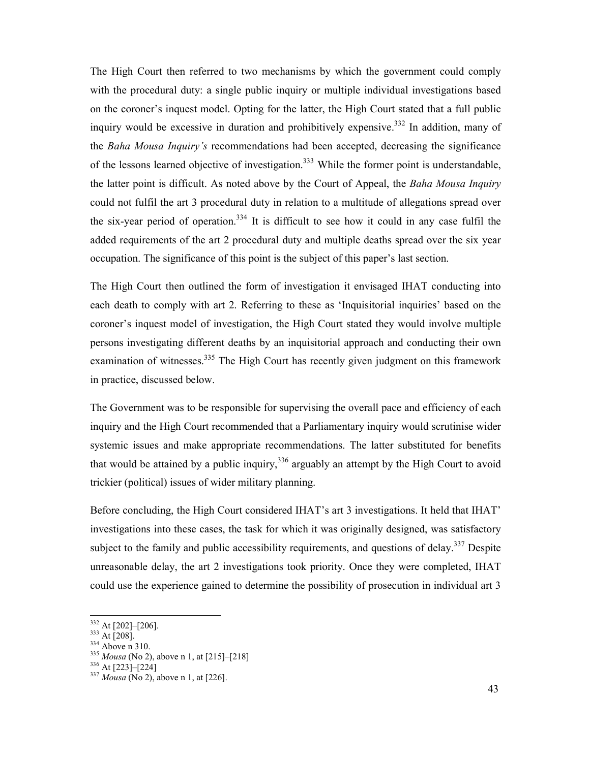The High Court then referred to two mechanisms by which the government could comply with the procedural duty: a single public inquiry or multiple individual investigations based on the coroner's inquest model. Opting for the latter, the High Court stated that a full public inquiry would be excessive in duration and prohibitively expensive.<sup>332</sup> In addition, many of the *Baha Mousa Inquiry's* recommendations had been accepted, decreasing the significance of the lessons learned objective of investigation.<sup>333</sup> While the former point is understandable, the latter point is difficult. As noted above by the Court of Appeal, the *Baha Mousa Inquiry* could not fulfil the art 3 procedural duty in relation to a multitude of allegations spread over the six-year period of operation.<sup>334</sup> It is difficult to see how it could in any case fulfil the added requirements of the art 2 procedural duty and multiple deaths spread over the six year occupation. The significance of this point is the subject of this paper's last section.

The High Court then outlined the form of investigation it envisaged IHAT conducting into each death to comply with art 2. Referring to these as 'Inquisitorial inquiries' based on the coroner's inquest model of investigation, the High Court stated they would involve multiple persons investigating different deaths by an inquisitorial approach and conducting their own examination of witnesses.<sup>335</sup> The High Court has recently given judgment on this framework in practice, discussed below.

The Government was to be responsible for supervising the overall pace and efficiency of each inquiry and the High Court recommended that a Parliamentary inquiry would scrutinise wider systemic issues and make appropriate recommendations. The latter substituted for benefits that would be attained by a public inquiry,  $336$  arguably an attempt by the High Court to avoid trickier (political) issues of wider military planning.

Before concluding, the High Court considered IHAT's art 3 investigations. It held that IHAT' investigations into these cases, the task for which it was originally designed, was satisfactory subject to the family and public accessibility requirements, and questions of delay.<sup>337</sup> Despite unreasonable delay, the art 2 investigations took priority. Once they were completed, IHAT could use the experience gained to determine the possibility of prosecution in individual art 3

<sup>&</sup>lt;sup>332</sup> At [202]–[206].

 $333$  At [208].

 $334$  Above n 310.

<sup>335</sup> *Mousa* (No 2), above n 1, at [215]–[218]

<sup>336</sup> At [223]–[224]

<sup>337</sup> *Mousa* (No 2), above n 1, at [226].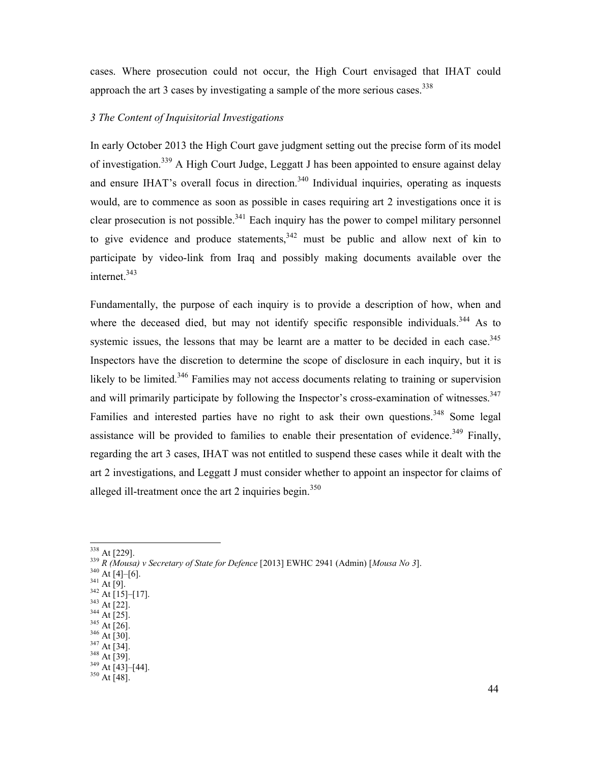cases. Where prosecution could not occur, the High Court envisaged that IHAT could approach the art 3 cases by investigating a sample of the more serious cases.<sup>338</sup>

## *3 The Content of Inquisitorial Investigations*

In early October 2013 the High Court gave judgment setting out the precise form of its model of investigation.<sup>339</sup> A High Court Judge, Leggatt J has been appointed to ensure against delay and ensure IHAT's overall focus in direction.<sup>340</sup> Individual inquiries, operating as inquests would, are to commence as soon as possible in cases requiring art 2 investigations once it is clear prosecution is not possible.<sup>341</sup> Each inquiry has the power to compel military personnel to give evidence and produce statements,  $342$  must be public and allow next of kin to participate by video-link from Iraq and possibly making documents available over the internet.<sup>343</sup>

Fundamentally, the purpose of each inquiry is to provide a description of how, when and where the deceased died, but may not identify specific responsible individuals.<sup>344</sup> As to systemic issues, the lessons that may be learnt are a matter to be decided in each case.<sup>345</sup> Inspectors have the discretion to determine the scope of disclosure in each inquiry, but it is likely to be limited.<sup>346</sup> Families may not access documents relating to training or supervision and will primarily participate by following the Inspector's cross-examination of witnesses.<sup>347</sup> Families and interested parties have no right to ask their own questions.<sup>348</sup> Some legal assistance will be provided to families to enable their presentation of evidence.<sup>349</sup> Finally, regarding the art 3 cases, IHAT was not entitled to suspend these cases while it dealt with the art 2 investigations, and Leggatt J must consider whether to appoint an inspector for claims of alleged ill-treatment once the art 2 inquiries begin.<sup>350</sup>

<sup>338</sup> At [229].

- $340$  At [4]–[6].
- $341$  At [9].  $342$  At [15]-[17].
- $343$  At [22].
- $344$  At [25].
- <sup>345</sup> At [26].
- $346$  At [30].
- $347$  At [34].  $348$  At [39].
- $349$  At [43]–[44].

<sup>339</sup> *R (Mousa) v Secretary of State for Defence* [2013] EWHC 2941 (Admin) [*Mousa No 3*].

 $350 \text{ At } 1$ <br> $350 \text{ At } 48$ ].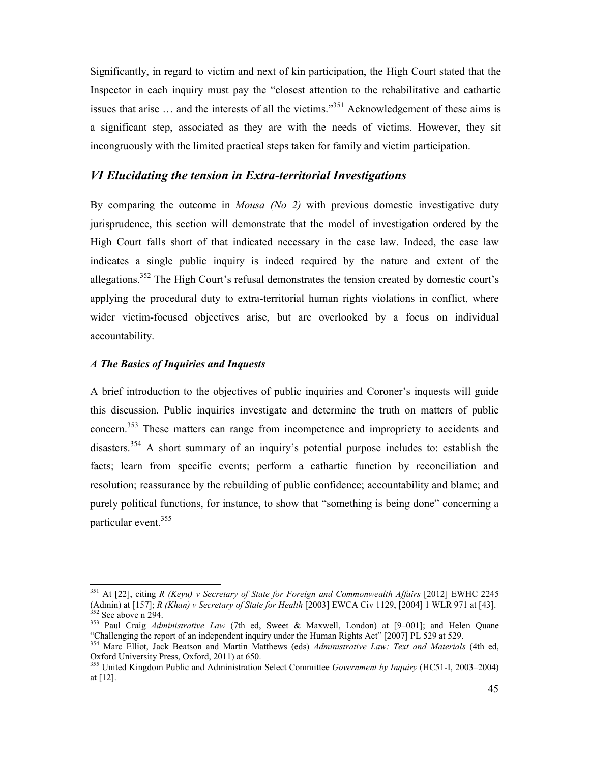Significantly, in regard to victim and next of kin participation, the High Court stated that the Inspector in each inquiry must pay the "closest attention to the rehabilitative and cathartic issues that arise … and the interests of all the victims."<sup>351</sup> Acknowledgement of these aims is a significant step, associated as they are with the needs of victims. However, they sit incongruously with the limited practical steps taken for family and victim participation.

## *VI Elucidating the tension in Extra-territorial Investigations*

By comparing the outcome in *Mousa (No 2)* with previous domestic investigative duty jurisprudence, this section will demonstrate that the model of investigation ordered by the High Court falls short of that indicated necessary in the case law. Indeed, the case law indicates a single public inquiry is indeed required by the nature and extent of the allegations.<sup>352</sup> The High Court's refusal demonstrates the tension created by domestic court's applying the procedural duty to extra-territorial human rights violations in conflict, where wider victim-focused objectives arise, but are overlooked by a focus on individual accountability.

#### *A The Basics of Inquiries and Inquests*

<u>.</u>

A brief introduction to the objectives of public inquiries and Coroner's inquests will guide this discussion. Public inquiries investigate and determine the truth on matters of public concern.<sup>353</sup> These matters can range from incompetence and impropriety to accidents and disasters.<sup>354</sup> A short summary of an inquiry's potential purpose includes to: establish the facts; learn from specific events; perform a cathartic function by reconciliation and resolution; reassurance by the rebuilding of public confidence; accountability and blame; and purely political functions, for instance, to show that "something is being done" concerning a particular event.<sup>355</sup>

<sup>351</sup> At [22], citing *R (Keyu) v Secretary of State for Foreign and Commonwealth Affairs* [2012] EWHC 2245 (Admin) at [157]; *R (Khan) v Secretary of State for Health* [2003] EWCA Civ 1129, [2004] 1 WLR 971 at [43].  $352$  See above n 294.

<sup>353</sup> Paul Craig *Administrative Law* (7th ed, Sweet & Maxwell, London) at [9–001]; and Helen Quane "Challenging the report of an independent inquiry under the Human Rights Act" [2007] PL 529 at 529.

<sup>354</sup> Marc Elliot, Jack Beatson and Martin Matthews (eds) *Administrative Law: Text and Materials* (4th ed, Oxford University Press, Oxford, 2011) at 650.

<sup>355</sup> United Kingdom Public and Administration Select Committee *Government by Inquiry* (HC51-I, 2003–2004) at [12].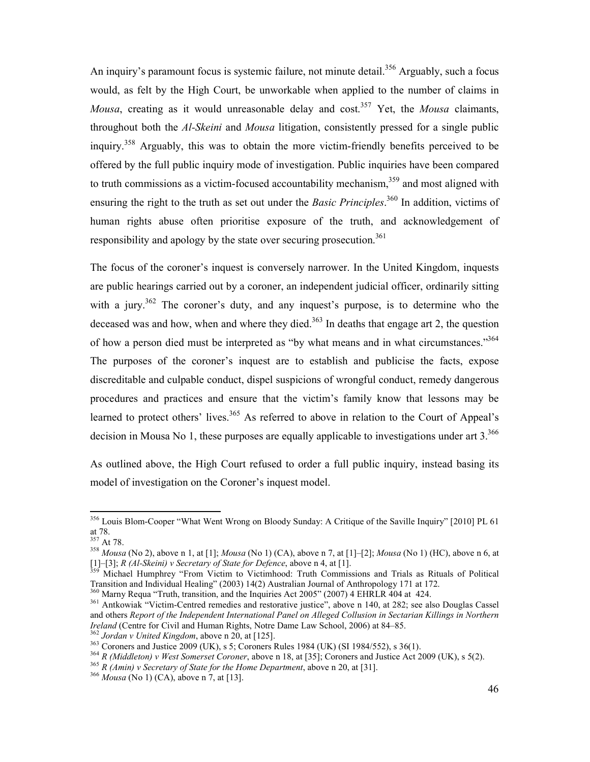An inquiry's paramount focus is systemic failure, not minute detail.<sup>356</sup> Arguably, such a focus would, as felt by the High Court, be unworkable when applied to the number of claims in *Mousa*, creating as it would unreasonable delay and cost.<sup>357</sup> Yet, the *Mousa* claimants, throughout both the *Al-Skeini* and *Mousa* litigation, consistently pressed for a single public inquiry.<sup>358</sup> Arguably, this was to obtain the more victim-friendly benefits perceived to be offered by the full public inquiry mode of investigation. Public inquiries have been compared to truth commissions as a victim-focused accountability mechanism,<sup>359</sup> and most aligned with ensuring the right to the truth as set out under the *Basic Principles*. <sup>360</sup> In addition, victims of human rights abuse often prioritise exposure of the truth, and acknowledgement of responsibility and apology by the state over securing prosecution.<sup>361</sup>

The focus of the coroner's inquest is conversely narrower. In the United Kingdom, inquests are public hearings carried out by a coroner, an independent judicial officer, ordinarily sitting with a jury.<sup>362</sup> The coroner's duty, and any inquest's purpose, is to determine who the deceased was and how, when and where they died.<sup>363</sup> In deaths that engage art 2, the question of how a person died must be interpreted as "by what means and in what circumstances."<sup>364</sup> The purposes of the coroner's inquest are to establish and publicise the facts, expose discreditable and culpable conduct, dispel suspicions of wrongful conduct, remedy dangerous procedures and practices and ensure that the victim's family know that lessons may be learned to protect others' lives.<sup>365</sup> As referred to above in relation to the Court of Appeal's decision in Mousa No 1, these purposes are equally applicable to investigations under art  $3^{366}$ 

As outlined above, the High Court refused to order a full public inquiry, instead basing its model of investigation on the Coroner's inquest model.

<sup>356</sup> Louis Blom-Cooper "What Went Wrong on Bloody Sunday: A Critique of the Saville Inquiry" [2010] PL 61 at 78.

 $357$  At 78.

<sup>358</sup> *Mousa* (No 2), above n 1, at [1]; *Mousa* (No 1) (CA), above n 7, at [1]–[2]; *Mousa* (No 1) (HC), above n 6, at [1]–[3]; *R (Al-Skeini) v Secretary of State for Defence*, above n 4, at [1].  $[1]$ -[3]; R (Al-Skeini) v Secretary of State for Defence, above n 4, at [1].<br><sup>359</sup> Michael Humphrey "From Victim to Victimhood: Truth Commissions and Trials as Rituals of Political

Transition and Individual Healing" (2003) 14(2) Australian Journal of Anthropology 171 at 172.

<sup>&</sup>lt;sup>360</sup> Marny Requa "Truth, transition, and the Inquiries Act 2005" (2007) 4 EHRLR 404 at 424.

<sup>&</sup>lt;sup>361</sup> Antkowiak "Victim-Centred remedies and restorative justice", above n 140, at 282; see also Douglas Cassel and others *Report of the Independent International Panel on Alleged Collusion in Sectarian Killings in Northern Ireland* (Centre for Civil and Human Rights, Notre Dame Law School, 2006) at 84–85.

<sup>362</sup> *Jordan v United Kingdom*, above n 20, at [125].

<sup>363</sup> Coroners and Justice 2009 (UK), s 5; Coroners Rules 1984 (UK) (SI 1984/552), s 36(1).

<sup>364</sup> *R (Middleton) v West Somerset Coroner*, above n 18, at [35]; Coroners and Justice Act 2009 (UK), s 5(2).

<sup>365</sup> *R (Amin) v Secretary of State for the Home Department*, above n 20, at [31].

<sup>366</sup> *Mousa* (No 1) (CA), above n 7, at [13].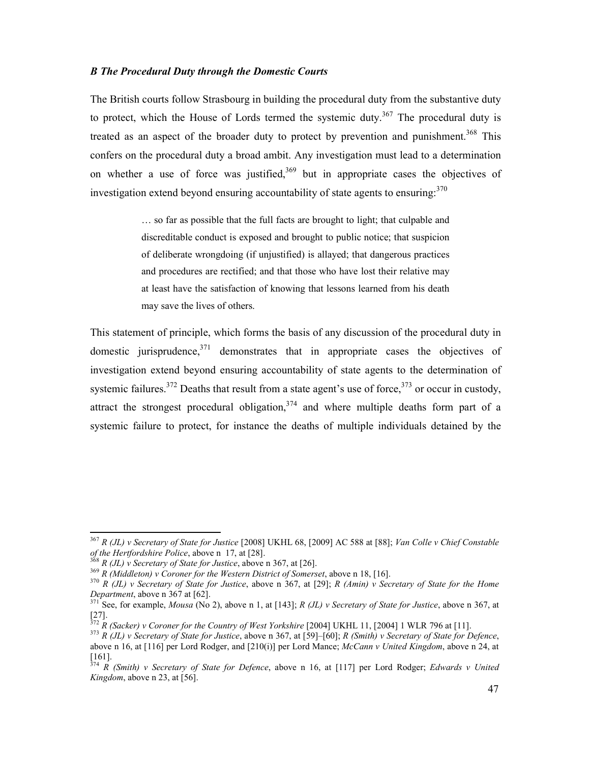#### *B The Procedural Duty through the Domestic Courts*

The British courts follow Strasbourg in building the procedural duty from the substantive duty to protect, which the House of Lords termed the systemic duty.<sup>367</sup> The procedural duty is treated as an aspect of the broader duty to protect by prevention and punishment.<sup>368</sup> This confers on the procedural duty a broad ambit. Any investigation must lead to a determination on whether a use of force was justified,  $369$  but in appropriate cases the objectives of investigation extend beyond ensuring accountability of state agents to ensuring:<sup>370</sup>

> … so far as possible that the full facts are brought to light; that culpable and discreditable conduct is exposed and brought to public notice; that suspicion of deliberate wrongdoing (if unjustified) is allayed; that dangerous practices and procedures are rectified; and that those who have lost their relative may at least have the satisfaction of knowing that lessons learned from his death may save the lives of others.

This statement of principle, which forms the basis of any discussion of the procedural duty in domestic jurisprudence,  $3^{71}$  demonstrates that in appropriate cases the objectives of investigation extend beyond ensuring accountability of state agents to the determination of systemic failures.<sup>372</sup> Deaths that result from a state agent's use of force,  $373$  or occur in custody, attract the strongest procedural obligation,  $374$  and where multiple deaths form part of a systemic failure to protect, for instance the deaths of multiple individuals detained by the

<sup>367</sup> *R (JL) v Secretary of State for Justice* [2008] UKHL 68, [2009] AC 588 at [88]; *Van Colle v Chief Constable of the Hertfordshire Police*, above n 17, at [28].

<sup>368</sup> *R (JL) v Secretary of State for Justice*, above n 367, at [26].

<sup>369</sup> *R (Middleton) v Coroner for the Western District of Somerset*, above n 18, [16].

<sup>370</sup> *R (JL) v Secretary of State for Justice*, above n 367, at [29]; *R (Amin) v Secretary of State for the Home Department*, above n 367 at [62].

<sup>371</sup> See, for example, *Mousa* (No 2), above n 1, at [143]; *R (JL) v Secretary of State for Justice*, above n 367, at [27].

<sup>372</sup> *R (Sacker) v Coroner for the Country of West Yorkshire* [2004] UKHL 11, [2004] 1 WLR 796 at [11].

<sup>373</sup> *R (JL) v Secretary of State for Justice*, above n 367, at [59]–[60]; *R (Smith) v Secretary of State for Defence*, above n 16, at [116] per Lord Rodger, and [210(i)] per Lord Mance; *McCann v United Kingdom*, above n 24, at [161].

<sup>374</sup> *R (Smith) v Secretary of State for Defence*, above n 16, at [117] per Lord Rodger; *Edwards v United Kingdom*, above n 23, at [56].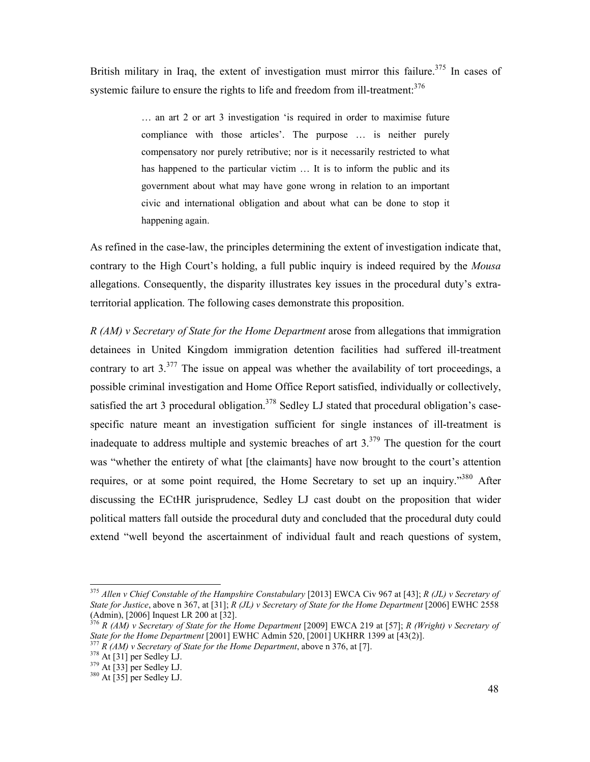British military in Iraq, the extent of investigation must mirror this failure.<sup>375</sup> In cases of systemic failure to ensure the rights to life and freedom from ill-treatment.<sup>376</sup>

> … an art 2 or art 3 investigation 'is required in order to maximise future compliance with those articles'. The purpose … is neither purely compensatory nor purely retributive; nor is it necessarily restricted to what has happened to the particular victim ... It is to inform the public and its government about what may have gone wrong in relation to an important civic and international obligation and about what can be done to stop it happening again.

As refined in the case-law, the principles determining the extent of investigation indicate that, contrary to the High Court's holding, a full public inquiry is indeed required by the *Mousa*  allegations. Consequently, the disparity illustrates key issues in the procedural duty's extraterritorial application. The following cases demonstrate this proposition.

*R (AM) v Secretary of State for the Home Department* arose from allegations that immigration detainees in United Kingdom immigration detention facilities had suffered ill-treatment contrary to art  $3.377$  The issue on appeal was whether the availability of tort proceedings, a possible criminal investigation and Home Office Report satisfied, individually or collectively, satisfied the art 3 procedural obligation.<sup>378</sup> Sedley LJ stated that procedural obligation's casespecific nature meant an investigation sufficient for single instances of ill-treatment is inadequate to address multiple and systemic breaches of art  $3.379$  The question for the court was "whether the entirety of what [the claimants] have now brought to the court's attention requires, or at some point required, the Home Secretary to set up an inquiry.<sup>380</sup> After discussing the ECtHR jurisprudence, Sedley LJ cast doubt on the proposition that wider political matters fall outside the procedural duty and concluded that the procedural duty could extend "well beyond the ascertainment of individual fault and reach questions of system,

<u>.</u>

<sup>375</sup> *Allen v Chief Constable of the Hampshire Constabulary* [2013] EWCA Civ 967 at [43]; *R (JL) v Secretary of State for Justice*, above n 367, at [31]; *R (JL) v Secretary of State for the Home Department* [2006] EWHC 2558 (Admin), [2006] Inquest LR 200 at [32].

<sup>376</sup> *R (AM) v Secretary of State for the Home Department* [2009] EWCA 219 at [57]; *R (Wright) v Secretary of State for the Home Department* [2001] EWHC Admin 520, [2001] UKHRR 1399 at [43(2)].

<sup>377</sup> *R (AM) v Secretary of State for the Home Department*, above n 376, at [7].

 $378$  At [31] per Sedley LJ.

 $379$  At [33] per Sedley LJ.

 $380$  At  $\left[35\right]$  per Sedley LJ.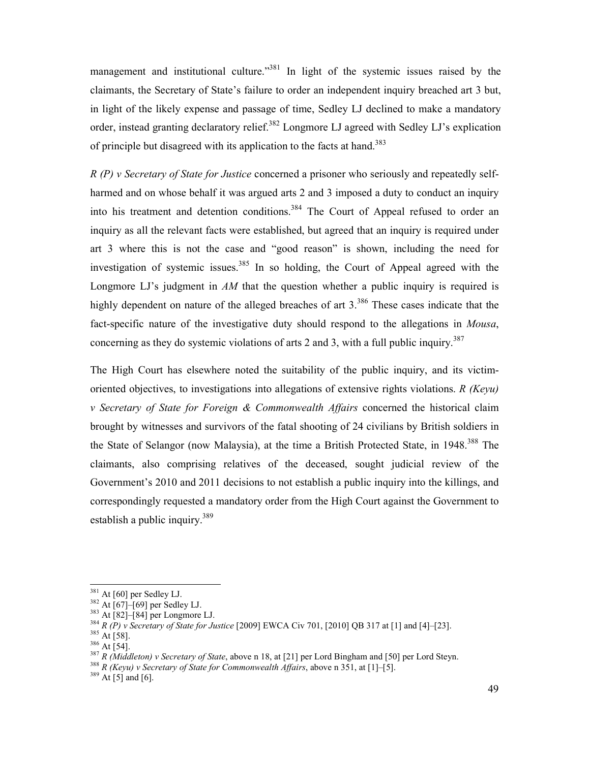management and institutional culture.<sup>3381</sup> In light of the systemic issues raised by the claimants, the Secretary of State's failure to order an independent inquiry breached art 3 but, in light of the likely expense and passage of time, Sedley LJ declined to make a mandatory order, instead granting declaratory relief.<sup>382</sup> Longmore LJ agreed with Sedley LJ's explication of principle but disagreed with its application to the facts at hand.<sup>383</sup>

*R (P) v Secretary of State for Justice* concerned a prisoner who seriously and repeatedly selfharmed and on whose behalf it was argued arts 2 and 3 imposed a duty to conduct an inquiry into his treatment and detention conditions.<sup>384</sup> The Court of Appeal refused to order an inquiry as all the relevant facts were established, but agreed that an inquiry is required under art 3 where this is not the case and "good reason" is shown, including the need for investigation of systemic issues.<sup>385</sup> In so holding, the Court of Appeal agreed with the Longmore LJ's judgment in *AM* that the question whether a public inquiry is required is highly dependent on nature of the alleged breaches of art 3.<sup>386</sup> These cases indicate that the fact-specific nature of the investigative duty should respond to the allegations in *Mousa*, concerning as they do systemic violations of arts 2 and 3, with a full public inquiry.<sup>387</sup>

The High Court has elsewhere noted the suitability of the public inquiry, and its victimoriented objectives, to investigations into allegations of extensive rights violations. *R (Keyu) v Secretary of State for Foreign & Commonwealth Affairs* concerned the historical claim brought by witnesses and survivors of the fatal shooting of 24 civilians by British soldiers in the State of Selangor (now Malaysia), at the time a British Protected State, in 1948.<sup>388</sup> The claimants, also comprising relatives of the deceased, sought judicial review of the Government's 2010 and 2011 decisions to not establish a public inquiry into the killings, and correspondingly requested a mandatory order from the High Court against the Government to establish a public inquiry.<sup>389</sup>

<u>.</u>

<sup>388</sup> *R (Keyu) v Secretary of State for Commonwealth Affairs*, above n 351, at [1]–[5].

 $389$  At [5] and [6].

 $381$  At [60] per Sedley LJ.

 $382$  At [67]–[69] per Sedley LJ.

<sup>383</sup> At [82]–[84] per Longmore LJ.

<sup>384</sup> *R (P) v Secretary of State for Justice* [2009] EWCA Civ 701, [2010] QB 317 at [1] and [4]–[23].

 $385$  At [58].  $386$  At [54].

<sup>387</sup> *R (Middleton) v Secretary of State*, above n 18, at [21] per Lord Bingham and [50] per Lord Steyn.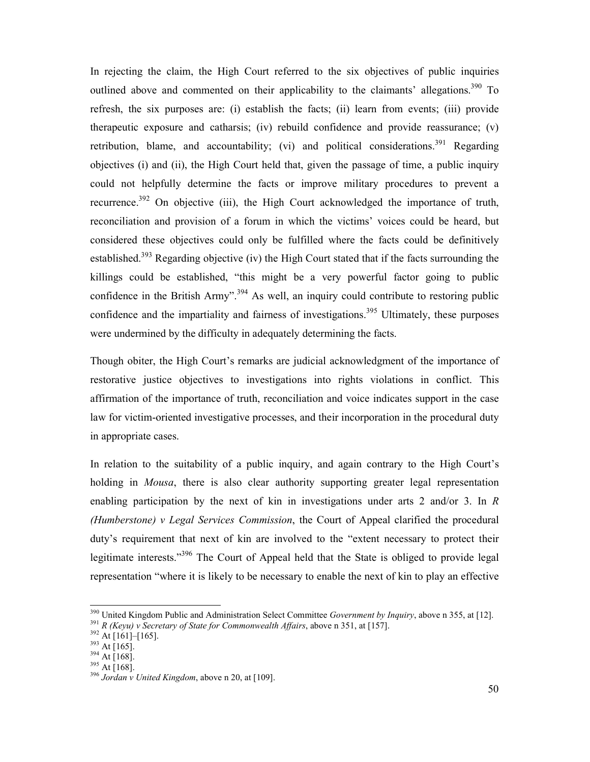In rejecting the claim, the High Court referred to the six objectives of public inquiries outlined above and commented on their applicability to the claimants' allegations.<sup>390</sup> To refresh, the six purposes are: (i) establish the facts; (ii) learn from events; (iii) provide therapeutic exposure and catharsis; (iv) rebuild confidence and provide reassurance; (v) retribution, blame, and accountability; (vi) and political considerations.<sup>391</sup> Regarding objectives (i) and (ii), the High Court held that, given the passage of time, a public inquiry could not helpfully determine the facts or improve military procedures to prevent a recurrence.<sup>392</sup> On objective (iii), the High Court acknowledged the importance of truth, reconciliation and provision of a forum in which the victims' voices could be heard, but considered these objectives could only be fulfilled where the facts could be definitively established.<sup>393</sup> Regarding objective (iv) the High Court stated that if the facts surrounding the killings could be established, "this might be a very powerful factor going to public confidence in the British Army".<sup>394</sup> As well, an inquiry could contribute to restoring public confidence and the impartiality and fairness of investigations.<sup>395</sup> Ultimately, these purposes were undermined by the difficulty in adequately determining the facts.

Though obiter, the High Court's remarks are judicial acknowledgment of the importance of restorative justice objectives to investigations into rights violations in conflict. This affirmation of the importance of truth, reconciliation and voice indicates support in the case law for victim-oriented investigative processes, and their incorporation in the procedural duty in appropriate cases.

In relation to the suitability of a public inquiry, and again contrary to the High Court's holding in *Mousa*, there is also clear authority supporting greater legal representation enabling participation by the next of kin in investigations under arts 2 and/or 3. In *R (Humberstone) v Legal Services Commission*, the Court of Appeal clarified the procedural duty's requirement that next of kin are involved to the "extent necessary to protect their legitimate interests."<sup>396</sup> The Court of Appeal held that the State is obliged to provide legal representation "where it is likely to be necessary to enable the next of kin to play an effective

<sup>390</sup> United Kingdom Public and Administration Select Committee *Government by Inquiry*, above n 355, at [12]. <sup>391</sup> *R (Keyu) v Secretary of State for Commonwealth Affairs*, above n 351, at [157].

 $392$  At [161]–[165].

 $393$  At [165].

 $394$  At [168].

<sup>395</sup> At [168].

<sup>396</sup> *Jordan v United Kingdom*, above n 20, at [109].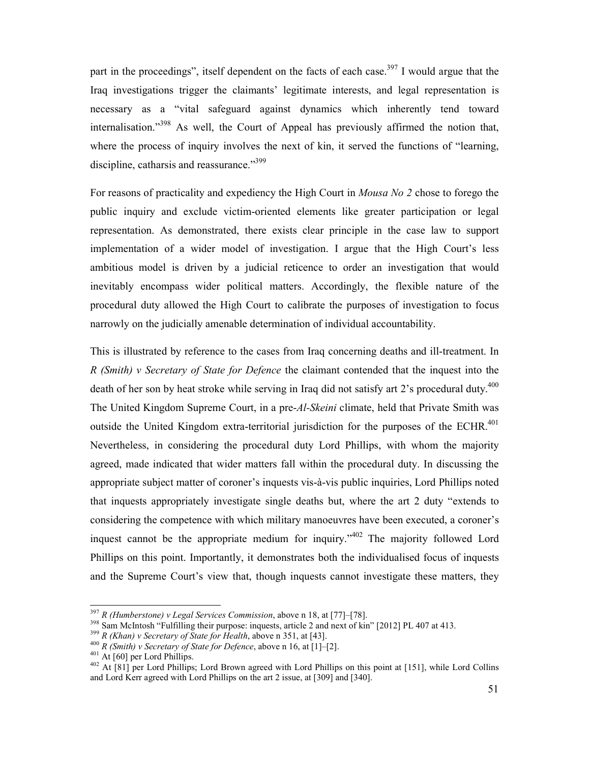part in the proceedings", itself dependent on the facts of each case.<sup>397</sup> I would argue that the Iraq investigations trigger the claimants' legitimate interests, and legal representation is necessary as a "vital safeguard against dynamics which inherently tend toward internalisation."<sup>398</sup> As well, the Court of Appeal has previously affirmed the notion that, where the process of inquiry involves the next of kin, it served the functions of "learning, discipline, catharsis and reassurance."<sup>399</sup>

For reasons of practicality and expediency the High Court in *Mousa No 2* chose to forego the public inquiry and exclude victim-oriented elements like greater participation or legal representation. As demonstrated, there exists clear principle in the case law to support implementation of a wider model of investigation. I argue that the High Court's less ambitious model is driven by a judicial reticence to order an investigation that would inevitably encompass wider political matters. Accordingly, the flexible nature of the procedural duty allowed the High Court to calibrate the purposes of investigation to focus narrowly on the judicially amenable determination of individual accountability.

This is illustrated by reference to the cases from Iraq concerning deaths and ill-treatment. In *R (Smith) v Secretary of State for Defence* the claimant contended that the inquest into the death of her son by heat stroke while serving in Iraq did not satisfy art 2's procedural duty.<sup>400</sup> The United Kingdom Supreme Court, in a pre-*Al-Skeini* climate, held that Private Smith was outside the United Kingdom extra-territorial jurisdiction for the purposes of the ECHR.<sup>401</sup> Nevertheless, in considering the procedural duty Lord Phillips, with whom the majority agreed, made indicated that wider matters fall within the procedural duty. In discussing the appropriate subject matter of coroner's inquests vis-à-vis public inquiries, Lord Phillips noted that inquests appropriately investigate single deaths but, where the art 2 duty "extends to considering the competence with which military manoeuvres have been executed, a coroner's inquest cannot be the appropriate medium for inquiry." $402$  The majority followed Lord Phillips on this point. Importantly, it demonstrates both the individualised focus of inquests and the Supreme Court's view that, though inquests cannot investigate these matters, they

<sup>397</sup> *R (Humberstone) v Legal Services Commission*, above n 18, at [77]–[78].

<sup>&</sup>lt;sup>398</sup> Sam McIntosh "Fulfilling their purpose: inquests, article 2 and next of kin" [2012] PL 407 at 413.

<sup>399</sup> *R (Khan) v Secretary of State for Health*, above n 351, at [43].

<sup>400</sup> *R (Smith) v Secretary of State for Defence*, above n 16, at [1]–[2].

 $401$  At [60] per Lord Phillips.

<sup>&</sup>lt;sup>402</sup> At [81] per Lord Phillips; Lord Brown agreed with Lord Phillips on this point at [151], while Lord Collins and Lord Kerr agreed with Lord Phillips on the art 2 issue, at [309] and [340].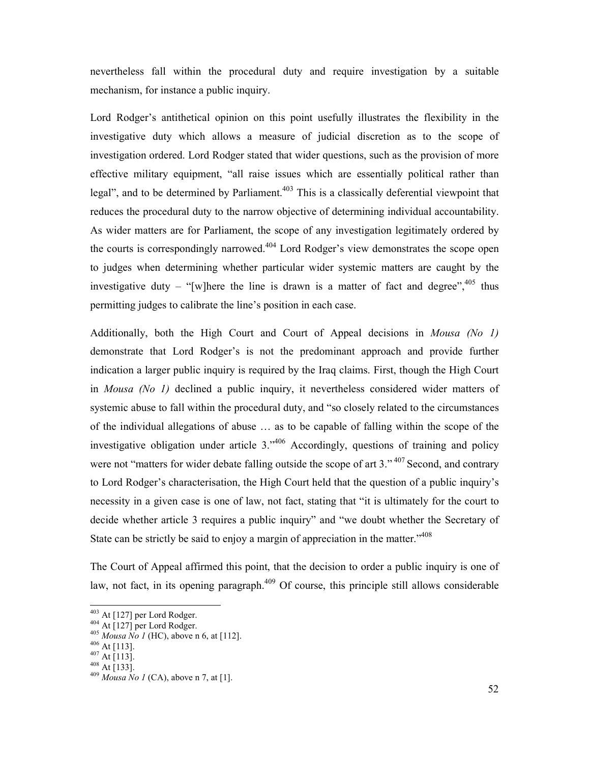nevertheless fall within the procedural duty and require investigation by a suitable mechanism, for instance a public inquiry.

Lord Rodger's antithetical opinion on this point usefully illustrates the flexibility in the investigative duty which allows a measure of judicial discretion as to the scope of investigation ordered. Lord Rodger stated that wider questions, such as the provision of more effective military equipment, "all raise issues which are essentially political rather than legal", and to be determined by Parliament.<sup>403</sup> This is a classically deferential viewpoint that reduces the procedural duty to the narrow objective of determining individual accountability. As wider matters are for Parliament, the scope of any investigation legitimately ordered by the courts is correspondingly narrowed.<sup>404</sup> Lord Rodger's view demonstrates the scope open to judges when determining whether particular wider systemic matters are caught by the investigative duty – "[w]here the line is drawn is a matter of fact and degree",  $405$  thus permitting judges to calibrate the line's position in each case.

Additionally, both the High Court and Court of Appeal decisions in *Mousa (No 1)* demonstrate that Lord Rodger's is not the predominant approach and provide further indication a larger public inquiry is required by the Iraq claims. First, though the High Court in *Mousa (No 1)* declined a public inquiry, it nevertheless considered wider matters of systemic abuse to fall within the procedural duty, and "so closely related to the circumstances of the individual allegations of abuse … as to be capable of falling within the scope of the investigative obligation under article 3."<sup>406</sup> Accordingly, questions of training and policy were not "matters for wider debate falling outside the scope of art 3."<sup>407</sup> Second, and contrary to Lord Rodger's characterisation, the High Court held that the question of a public inquiry's necessity in a given case is one of law, not fact, stating that "it is ultimately for the court to decide whether article 3 requires a public inquiry" and "we doubt whether the Secretary of State can be strictly be said to enjoy a margin of appreciation in the matter."<sup>408</sup>

The Court of Appeal affirmed this point, that the decision to order a public inquiry is one of law, not fact, in its opening paragraph. $409$  Of course, this principle still allows considerable

 $403$  At [127] per Lord Rodger.

 $404$  At [127] per Lord Rodger.

<sup>405</sup> *Mousa No 1* (HC), above n 6, at [112].

 $^{406}$  At [113].

 $^{407}$  At [113].

<sup>408</sup> At [133].

<sup>409</sup> *Mousa No 1* (CA), above n 7, at [1].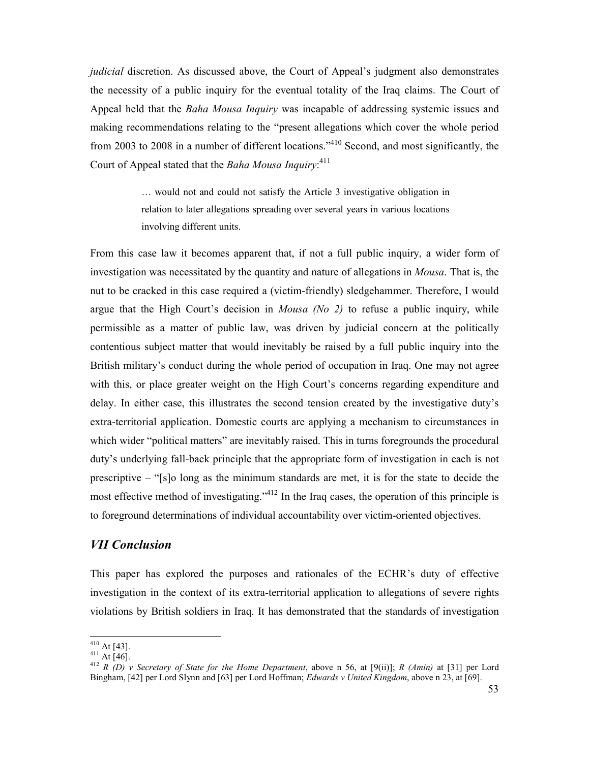*judicial* discretion. As discussed above, the Court of Appeal's judgment also demonstrates the necessity of a public inquiry for the eventual totality of the Iraq claims. The Court of Appeal held that the *Baha Mousa Inquiry* was incapable of addressing systemic issues and making recommendations relating to the "present allegations which cover the whole period from 2003 to 2008 in a number of different locations."<sup>410</sup> Second, and most significantly, the Court of Appeal stated that the *Baha Mousa Inquiry*: 411

> … would not and could not satisfy the Article 3 investigative obligation in relation to later allegations spreading over several years in various locations involving different units.

From this case law it becomes apparent that, if not a full public inquiry, a wider form of investigation was necessitated by the quantity and nature of allegations in *Mousa*. That is, the nut to be cracked in this case required a (victim-friendly) sledgehammer. Therefore, I would argue that the High Court's decision in *Mousa (No 2)* to refuse a public inquiry, while permissible as a matter of public law, was driven by judicial concern at the politically contentious subject matter that would inevitably be raised by a full public inquiry into the British military's conduct during the whole period of occupation in Iraq. One may not agree with this, or place greater weight on the High Court's concerns regarding expenditure and delay. In either case, this illustrates the second tension created by the investigative duty's extra-territorial application. Domestic courts are applying a mechanism to circumstances in which wider "political matters" are inevitably raised. This in turns foregrounds the procedural duty's underlying fall-back principle that the appropriate form of investigation in each is not prescriptive – "[s]o long as the minimum standards are met, it is for the state to decide the most effective method of investigating."<sup>412</sup> In the Iraq cases, the operation of this principle is to foreground determinations of individual accountability over victim-oriented objectives.

## *VII Conclusion*

This paper has explored the purposes and rationales of the ECHR's duty of effective investigation in the context of its extra-territorial application to allegations of severe rights violations by British soldiers in Iraq. It has demonstrated that the standards of investigation

<u>.</u>

 $410$  At [43].

 $411$  At [46].

<sup>412</sup> *R (D) v Secretary of State for the Home Department*, above n 56, at [9(ii)]; *R (Amin)* at [31] per Lord Bingham, [42] per Lord Slynn and [63] per Lord Hoffman; *Edwards v United Kingdom*, above n 23, at [69].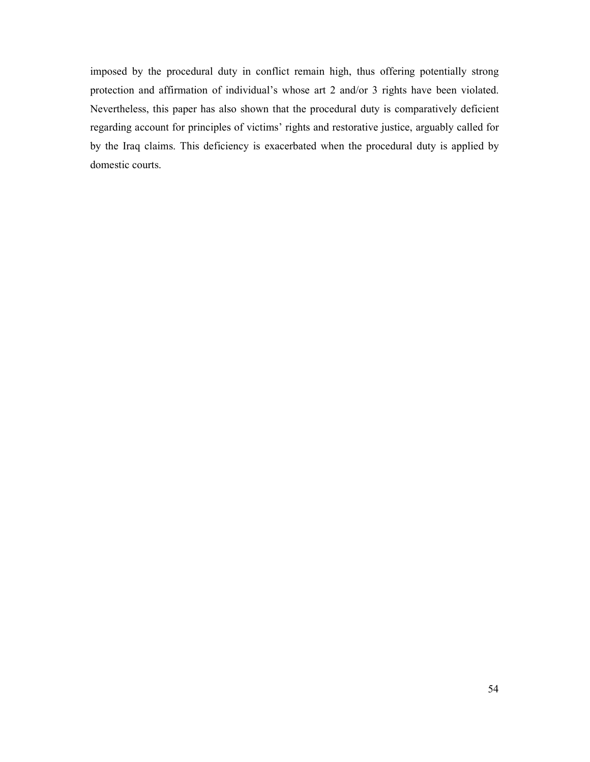imposed by the procedural duty in conflict remain high, thus offering potentially strong protection and affirmation of individual's whose art 2 and/or 3 rights have been violated. Nevertheless, this paper has also shown that the procedural duty is comparatively deficient regarding account for principles of victims' rights and restorative justice, arguably called for by the Iraq claims. This deficiency is exacerbated when the procedural duty is applied by domestic courts.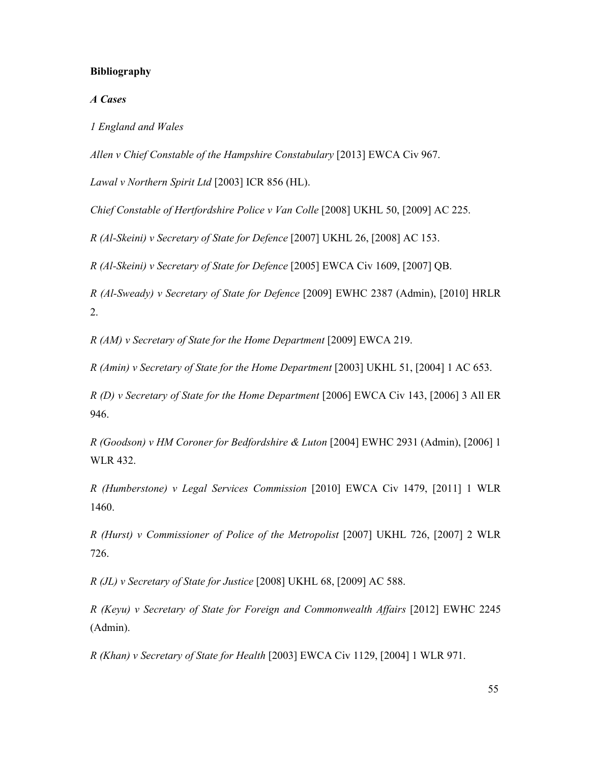### **Bibliography**

#### *A Cases*

*1 England and Wales* 

*Allen v Chief Constable of the Hampshire Constabulary* [2013] EWCA Civ 967.

*Lawal v Northern Spirit Ltd* [2003] ICR 856 (HL).

*Chief Constable of Hertfordshire Police v Van Colle* [2008] UKHL 50, [2009] AC 225.

*R (Al-Skeini) v Secretary of State for Defence* [2007] UKHL 26, [2008] AC 153.

*R (Al-Skeini) v Secretary of State for Defence* [2005] EWCA Civ 1609, [2007] QB.

*R (Al-Sweady) v Secretary of State for Defence* [2009] EWHC 2387 (Admin), [2010] HRLR 2.

*R (AM) v Secretary of State for the Home Department* [2009] EWCA 219.

*R (Amin) v Secretary of State for the Home Department* [2003] UKHL 51, [2004] 1 AC 653.

*R (D) v Secretary of State for the Home Department* [2006] EWCA Civ 143, [2006] 3 All ER 946.

*R (Goodson) v HM Coroner for Bedfordshire & Luton* [2004] EWHC 2931 (Admin), [2006] 1 WLR 432.

*R (Humberstone) v Legal Services Commission* [2010] EWCA Civ 1479, [2011] 1 WLR 1460.

*R (Hurst) v Commissioner of Police of the Metropolist* [2007] UKHL 726, [2007] 2 WLR 726.

*R (JL) v Secretary of State for Justice* [2008] UKHL 68, [2009] AC 588.

*R (Keyu) v Secretary of State for Foreign and Commonwealth Affairs* [2012] EWHC 2245 (Admin).

*R (Khan) v Secretary of State for Health* [2003] EWCA Civ 1129, [2004] 1 WLR 971.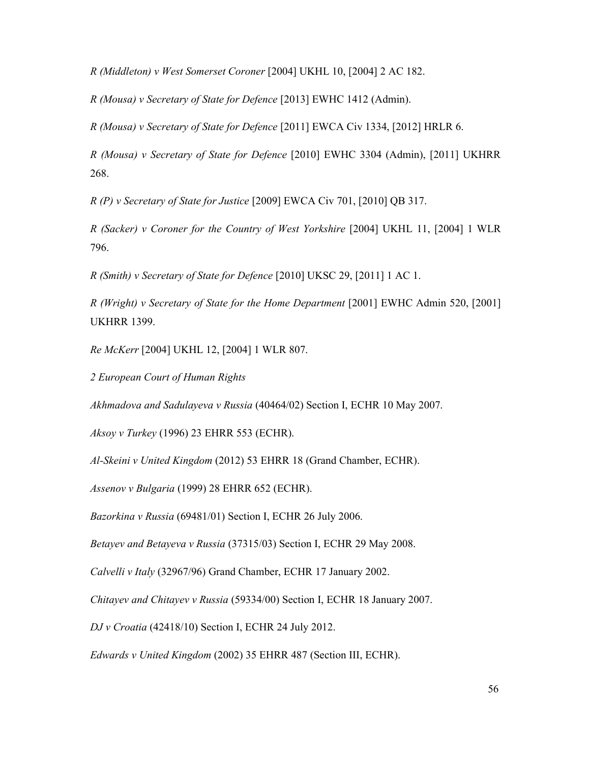*R (Middleton) v West Somerset Coroner* [2004] UKHL 10, [2004] 2 AC 182.

*R (Mousa) v Secretary of State for Defence* [2013] EWHC 1412 (Admin).

*R (Mousa) v Secretary of State for Defence* [2011] EWCA Civ 1334, [2012] HRLR 6.

*R (Mousa) v Secretary of State for Defence* [2010] EWHC 3304 (Admin), [2011] UKHRR 268.

*R (P) v Secretary of State for Justice* [2009] EWCA Civ 701, [2010] QB 317.

*R (Sacker) v Coroner for the Country of West Yorkshire* [2004] UKHL 11, [2004] 1 WLR 796.

*R (Smith) v Secretary of State for Defence* [2010] UKSC 29, [2011] 1 AC 1.

*R (Wright) v Secretary of State for the Home Department* [2001] EWHC Admin 520, [2001] UKHRR 1399.

*Re McKerr* [2004] UKHL 12, [2004] 1 WLR 807.

*2 European Court of Human Rights* 

*Akhmadova and Sadulayeva v Russia* (40464/02) Section I, ECHR 10 May 2007.

*Aksoy v Turkey* (1996) 23 EHRR 553 (ECHR).

*Al-Skeini v United Kingdom* (2012) 53 EHRR 18 (Grand Chamber, ECHR).

*Assenov v Bulgaria* (1999) 28 EHRR 652 (ECHR).

*Bazorkina v Russia* (69481/01) Section I, ECHR 26 July 2006.

*Betayev and Betayeva v Russia* (37315/03) Section I, ECHR 29 May 2008.

*Calvelli v Italy* (32967/96) Grand Chamber, ECHR 17 January 2002.

*Chitayev and Chitayev v Russia* (59334/00) Section I, ECHR 18 January 2007.

*DJ v Croatia* (42418/10) Section I, ECHR 24 July 2012.

*Edwards v United Kingdom* (2002) 35 EHRR 487 (Section III, ECHR).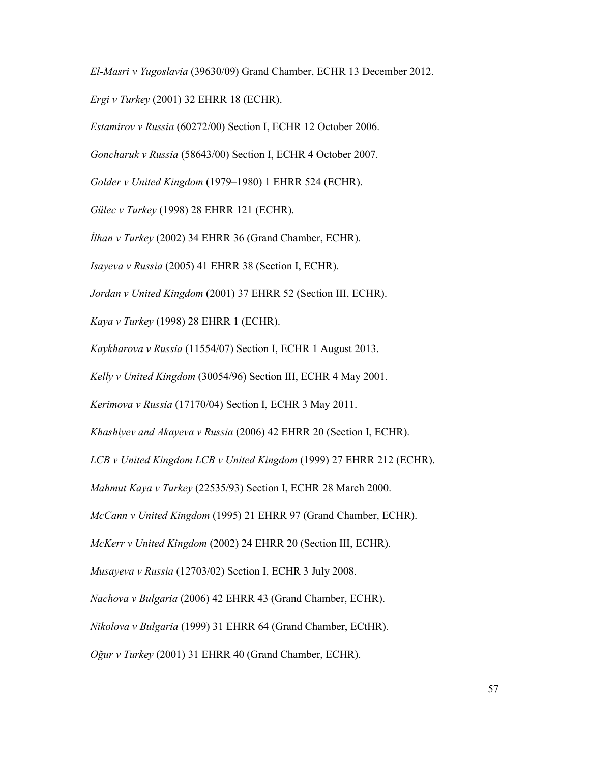*El-Masri v Yugoslavia* (39630/09) Grand Chamber, ECHR 13 December 2012. *Ergi v Turkey* (2001) 32 EHRR 18 (ECHR).

*Estamirov v Russia* (60272/00) Section I, ECHR 12 October 2006.

*Goncharuk v Russia* (58643/00) Section I, ECHR 4 October 2007.

*Golder v United Kingdom* (1979–1980) 1 EHRR 524 (ECHR).

*Gülec v Turkey* (1998) 28 EHRR 121 (ECHR).

*Đlhan v Turkey* (2002) 34 EHRR 36 (Grand Chamber, ECHR).

*Isayeva v Russia* (2005) 41 EHRR 38 (Section I, ECHR).

*Jordan v United Kingdom* (2001) 37 EHRR 52 (Section III, ECHR).

*Kaya v Turkey* (1998) 28 EHRR 1 (ECHR).

*Kaykharova v Russia* (11554/07) Section I, ECHR 1 August 2013.

*Kelly v United Kingdom* (30054/96) Section III, ECHR 4 May 2001.

*Kerimova v Russia* (17170/04) Section I, ECHR 3 May 2011.

*Khashiyev and Akayeva v Russia* (2006) 42 EHRR 20 (Section I, ECHR).

*LCB v United Kingdom LCB v United Kingdom* (1999) 27 EHRR 212 (ECHR).

*Mahmut Kaya v Turkey* (22535/93) Section I, ECHR 28 March 2000.

*McCann v United Kingdom* (1995) 21 EHRR 97 (Grand Chamber, ECHR).

*McKerr v United Kingdom* (2002) 24 EHRR 20 (Section III, ECHR).

*Musayeva v Russia* (12703/02) Section I, ECHR 3 July 2008.

*Nachova v Bulgaria* (2006) 42 EHRR 43 (Grand Chamber, ECHR).

*Nikolova v Bulgaria* (1999) 31 EHRR 64 (Grand Chamber, ECtHR).

*Oğur v Turkey* (2001) 31 EHRR 40 (Grand Chamber, ECHR).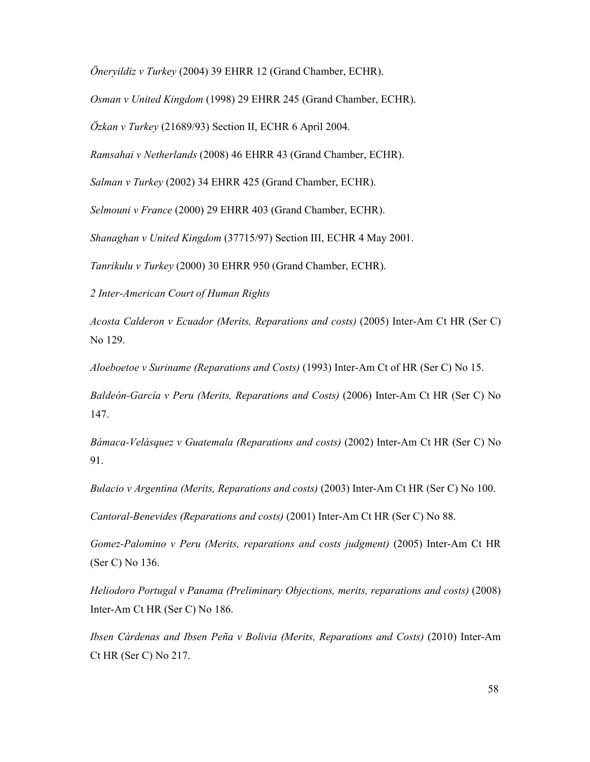*Öneryildiz v Turkey* (2004) 39 EHRR 12 (Grand Chamber, ECHR).

*Osman v United Kingdom* (1998) 29 EHRR 245 (Grand Chamber, ECHR).

*Özkan v Turkey* (21689/93) Section II, ECHR 6 April 2004.

*Ramsahai v Netherlands* (2008) 46 EHRR 43 (Grand Chamber, ECHR).

*Salman v Turkey* (2002) 34 EHRR 425 (Grand Chamber, ECHR).

*Selmouni v France* (2000) 29 EHRR 403 (Grand Chamber, ECHR).

*Shanaghan v United Kingdom* (37715/97) Section III, ECHR 4 May 2001.

*Tanrikulu v Turkey* (2000) 30 EHRR 950 (Grand Chamber, ECHR).

*2 Inter-American Court of Human Rights* 

*Acosta Calderon v Ecuador (Merits, Reparations and costs)* (2005) Inter-Am Ct HR (Ser C) No 129.

*Aloeboetoe v Suriname (Reparations and Costs)* (1993) Inter-Am Ct of HR (Ser C) No 15.

*Baldeón-García v Peru (Merits, Reparations and Costs)* (2006) Inter-Am Ct HR (Ser C) No 147.

*Bámaca-Velásquez v Guatemala (Reparations and costs)* (2002) Inter-Am Ct HR (Ser C) No 91.

*Bulacio v Argentina (Merits, Reparations and costs)* (2003) Inter-Am Ct HR (Ser C) No 100.

*Cantoral-Benevides (Reparations and costs)* (2001) Inter-Am Ct HR (Ser C) No 88.

*Gomez-Palomino v Peru (Merits, reparations and costs judgment)* (2005) Inter-Am Ct HR (Ser C) No 136.

*Heliodoro Portugal v Panama (Preliminary Objections, merits, reparations and costs)* (2008) Inter-Am Ct HR (Ser C) No 186.

*Ibsen Cárdenas and Ibsen Peña v Bolivia (Merits, Reparations and Costs)* (2010) Inter-Am Ct HR (Ser C) No 217.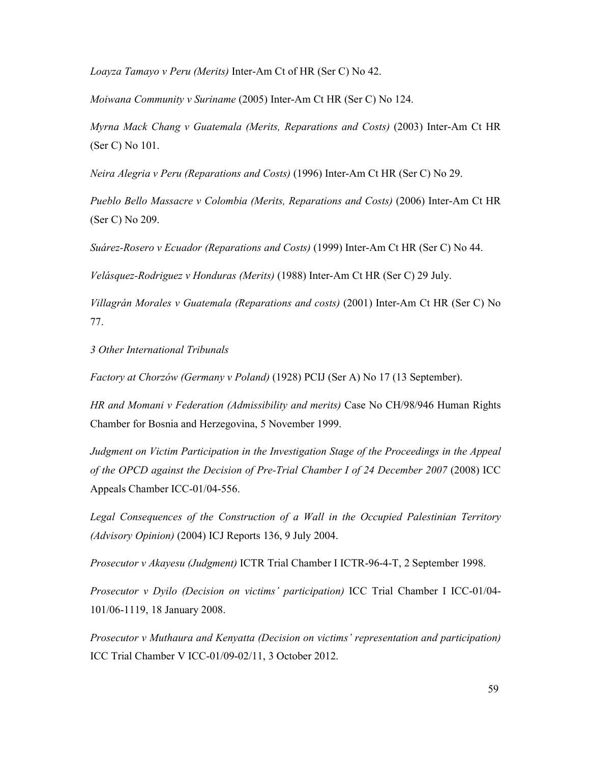*Loayza Tamayo v Peru (Merits)* Inter-Am Ct of HR (Ser C) No 42.

*Moiwana Community v Suriname* (2005) Inter-Am Ct HR (Ser C) No 124.

*Myrna Mack Chang v Guatemala (Merits, Reparations and Costs)* (2003) Inter-Am Ct HR (Ser C) No 101.

*Neira Alegria v Peru (Reparations and Costs)* (1996) Inter-Am Ct HR (Ser C) No 29.

*Pueblo Bello Massacre v Colombia (Merits, Reparations and Costs)* (2006) Inter-Am Ct HR (Ser C) No 209.

*Suárez-Rosero v Ecuador (Reparations and Costs)* (1999) Inter-Am Ct HR (Ser C) No 44.

*Velásquez-Rodriguez v Honduras (Merits)* (1988) Inter-Am Ct HR (Ser C) 29 July.

*Villagrán Morales v Guatemala (Reparations and costs)* (2001) Inter-Am Ct HR (Ser C) No 77.

*3 Other International Tribunals* 

*Factory at Chorzów (Germany v Poland)* (1928) PCIJ (Ser A) No 17 (13 September).

*HR and Momani v Federation (Admissibility and merits)* Case No CH/98/946 Human Rights Chamber for Bosnia and Herzegovina, 5 November 1999.

*Judgment on Victim Participation in the Investigation Stage of the Proceedings in the Appeal of the OPCD against the Decision of Pre-Trial Chamber I of 24 December 2007* (2008) ICC Appeals Chamber ICC-01/04-556.

*Legal Consequences of the Construction of a Wall in the Occupied Palestinian Territory (Advisory Opinion)* (2004) ICJ Reports 136, 9 July 2004.

*Prosecutor v Akayesu (Judgment)* ICTR Trial Chamber I ICTR-96-4-T, 2 September 1998.

*Prosecutor v Dyilo (Decision on victims' participation)* ICC Trial Chamber I ICC-01/04- 101/06-1119, 18 January 2008.

*Prosecutor v Muthaura and Kenyatta (Decision on victims' representation and participation)*  ICC Trial Chamber V ICC-01/09-02/11, 3 October 2012.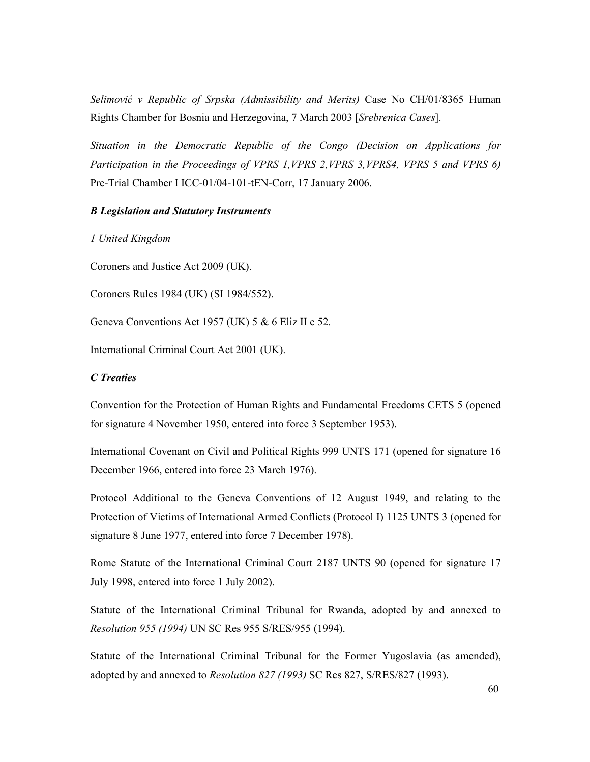*Selimović v Republic of Srpska (Admissibility and Merits)* Case No CH/01/8365 Human Rights Chamber for Bosnia and Herzegovina, 7 March 2003 [*Srebrenica Cases*].

*Situation in the Democratic Republic of the Congo (Decision on Applications for Participation in the Proceedings of VPRS 1,VPRS 2,VPRS 3,VPRS4, VPRS 5 and VPRS 6)* Pre-Trial Chamber I ICC-01/04-101-tEN-Corr, 17 January 2006.

### *B Legislation and Statutory Instruments*

*1 United Kingdom* 

Coroners and Justice Act 2009 (UK).

Coroners Rules 1984 (UK) (SI 1984/552).

Geneva Conventions Act 1957 (UK) 5 & 6 Eliz II c 52.

International Criminal Court Act 2001 (UK).

## *C Treaties*

Convention for the Protection of Human Rights and Fundamental Freedoms CETS 5 (opened for signature 4 November 1950, entered into force 3 September 1953).

International Covenant on Civil and Political Rights 999 UNTS 171 (opened for signature 16 December 1966, entered into force 23 March 1976).

Protocol Additional to the Geneva Conventions of 12 August 1949, and relating to the Protection of Victims of International Armed Conflicts (Protocol I) 1125 UNTS 3 (opened for signature 8 June 1977, entered into force 7 December 1978).

Rome Statute of the International Criminal Court 2187 UNTS 90 (opened for signature 17 July 1998, entered into force 1 July 2002).

Statute of the International Criminal Tribunal for Rwanda, adopted by and annexed to *Resolution 955 (1994)* UN SC Res 955 S/RES/955 (1994).

Statute of the International Criminal Tribunal for the Former Yugoslavia (as amended), adopted by and annexed to *Resolution 827 (1993)* SC Res 827, S/RES/827 (1993).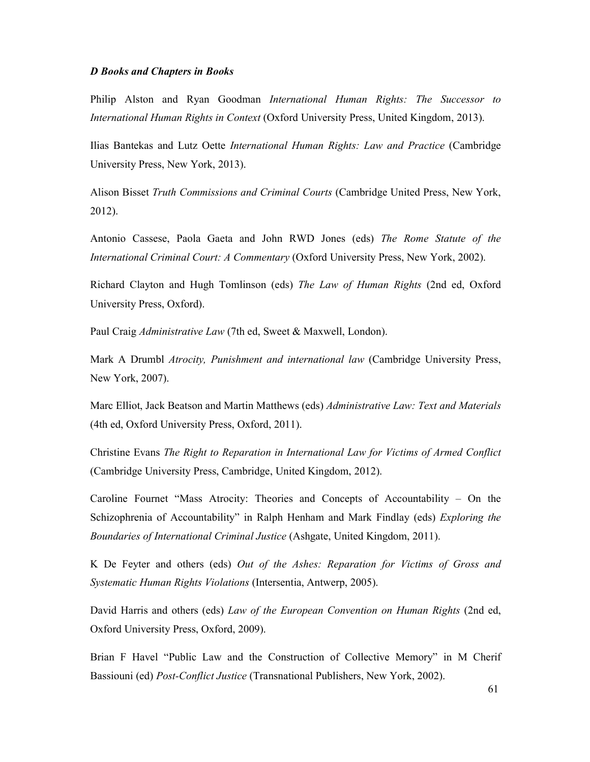#### *D Books and Chapters in Books*

Philip Alston and Ryan Goodman *International Human Rights: The Successor to International Human Rights in Context* (Oxford University Press, United Kingdom, 2013).

Ilias Bantekas and Lutz Oette *International Human Rights: Law and Practice* (Cambridge University Press, New York, 2013).

Alison Bisset *Truth Commissions and Criminal Courts* (Cambridge United Press, New York, 2012).

Antonio Cassese, Paola Gaeta and John RWD Jones (eds) *The Rome Statute of the International Criminal Court: A Commentary* (Oxford University Press, New York, 2002).

Richard Clayton and Hugh Tomlinson (eds) *The Law of Human Rights* (2nd ed, Oxford University Press, Oxford).

Paul Craig *Administrative Law* (7th ed, Sweet & Maxwell, London).

Mark A Drumbl *Atrocity, Punishment and international law* (Cambridge University Press, New York, 2007).

Marc Elliot, Jack Beatson and Martin Matthews (eds) *Administrative Law: Text and Materials*  (4th ed, Oxford University Press, Oxford, 2011).

Christine Evans *The Right to Reparation in International Law for Victims of Armed Conflict*  (Cambridge University Press, Cambridge, United Kingdom, 2012).

Caroline Fournet "Mass Atrocity: Theories and Concepts of Accountability – On the Schizophrenia of Accountability" in Ralph Henham and Mark Findlay (eds) *Exploring the Boundaries of International Criminal Justice* (Ashgate, United Kingdom, 2011).

K De Feyter and others (eds) *Out of the Ashes: Reparation for Victims of Gross and Systematic Human Rights Violations* (Intersentia, Antwerp, 2005).

David Harris and others (eds) *Law of the European Convention on Human Rights* (2nd ed, Oxford University Press, Oxford, 2009).

Brian F Havel "Public Law and the Construction of Collective Memory" in M Cherif Bassiouni (ed) *Post-Conflict Justice* (Transnational Publishers, New York, 2002).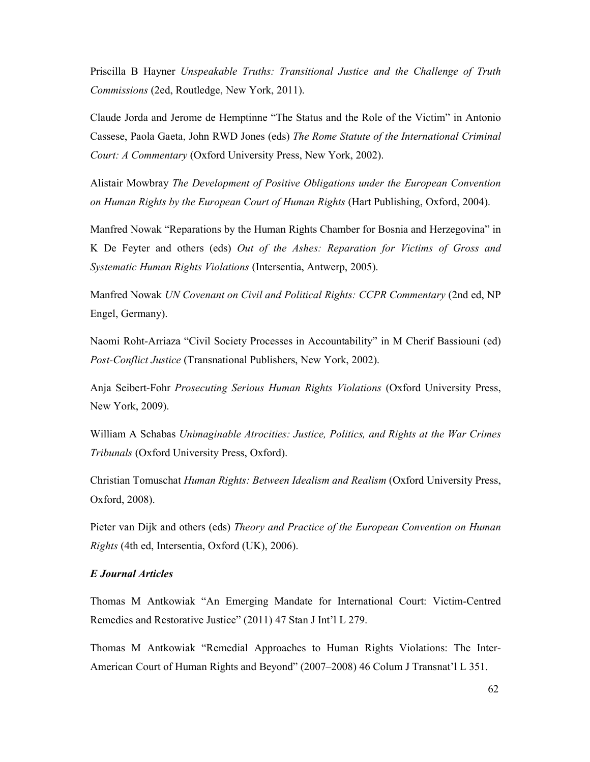Priscilla B Hayner *Unspeakable Truths: Transitional Justice and the Challenge of Truth Commissions* (2ed, Routledge, New York, 2011).

Claude Jorda and Jerome de Hemptinne "The Status and the Role of the Victim" in Antonio Cassese, Paola Gaeta, John RWD Jones (eds) *The Rome Statute of the International Criminal Court: A Commentary* (Oxford University Press, New York, 2002).

Alistair Mowbray *The Development of Positive Obligations under the European Convention on Human Rights by the European Court of Human Rights* (Hart Publishing, Oxford, 2004).

Manfred Nowak "Reparations by the Human Rights Chamber for Bosnia and Herzegovina" in K De Feyter and others (eds) *Out of the Ashes: Reparation for Victims of Gross and Systematic Human Rights Violations* (Intersentia, Antwerp, 2005).

Manfred Nowak *UN Covenant on Civil and Political Rights: CCPR Commentary* (2nd ed, NP Engel, Germany).

Naomi Roht-Arriaza "Civil Society Processes in Accountability" in M Cherif Bassiouni (ed) *Post-Conflict Justice* (Transnational Publishers, New York, 2002).

Anja Seibert-Fohr *Prosecuting Serious Human Rights Violations* (Oxford University Press, New York, 2009).

William A Schabas *Unimaginable Atrocities: Justice, Politics, and Rights at the War Crimes Tribunals* (Oxford University Press, Oxford).

Christian Tomuschat *Human Rights: Between Idealism and Realism* (Oxford University Press, Oxford, 2008).

Pieter van Dijk and others (eds) *Theory and Practice of the European Convention on Human Rights* (4th ed, Intersentia, Oxford (UK), 2006).

## *E Journal Articles*

Thomas M Antkowiak "An Emerging Mandate for International Court: Victim-Centred Remedies and Restorative Justice" (2011) 47 Stan J Int'l L 279.

Thomas M Antkowiak "Remedial Approaches to Human Rights Violations: The Inter-American Court of Human Rights and Beyond" (2007–2008) 46 Colum J Transnat'l L 351.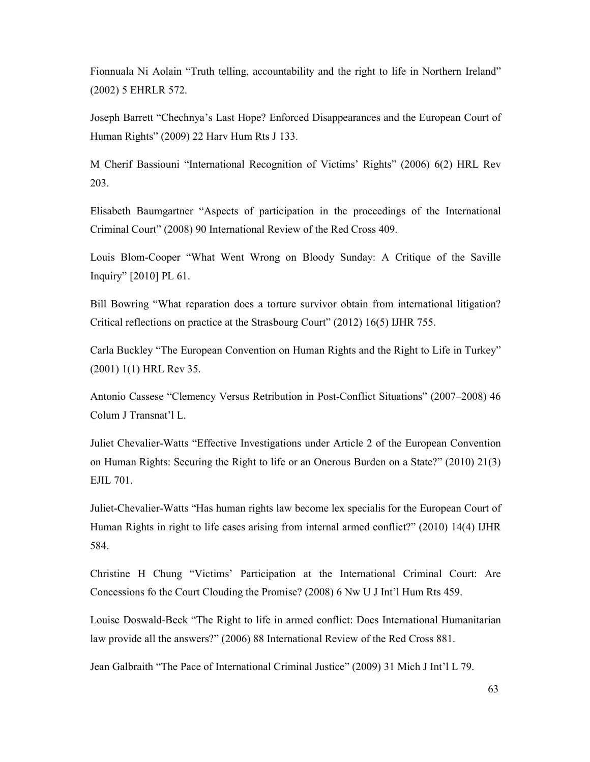Fionnuala Ni Aolain "Truth telling, accountability and the right to life in Northern Ireland" (2002) 5 EHRLR 572.

Joseph Barrett "Chechnya's Last Hope? Enforced Disappearances and the European Court of Human Rights" (2009) 22 Harv Hum Rts J 133.

M Cherif Bassiouni "International Recognition of Victims' Rights" (2006) 6(2) HRL Rev 203.

Elisabeth Baumgartner "Aspects of participation in the proceedings of the International Criminal Court" (2008) 90 International Review of the Red Cross 409.

Louis Blom-Cooper "What Went Wrong on Bloody Sunday: A Critique of the Saville Inquiry" [2010] PL 61.

Bill Bowring "What reparation does a torture survivor obtain from international litigation? Critical reflections on practice at the Strasbourg Court" (2012) 16(5) IJHR 755.

Carla Buckley "The European Convention on Human Rights and the Right to Life in Turkey" (2001) 1(1) HRL Rev 35.

Antonio Cassese "Clemency Versus Retribution in Post-Conflict Situations" (2007–2008) 46 Colum J Transnat'l L.

Juliet Chevalier-Watts "Effective Investigations under Article 2 of the European Convention on Human Rights: Securing the Right to life or an Onerous Burden on a State?" (2010) 21(3) EJIL 701.

Juliet-Chevalier-Watts "Has human rights law become lex specialis for the European Court of Human Rights in right to life cases arising from internal armed conflict?" (2010) 14(4) IJHR 584.

Christine H Chung "Victims' Participation at the International Criminal Court: Are Concessions fo the Court Clouding the Promise? (2008) 6 Nw U J Int'l Hum Rts 459.

Louise Doswald-Beck "The Right to life in armed conflict: Does International Humanitarian law provide all the answers?" (2006) 88 International Review of the Red Cross 881.

Jean Galbraith "The Pace of International Criminal Justice" (2009) 31 Mich J Int'l L 79.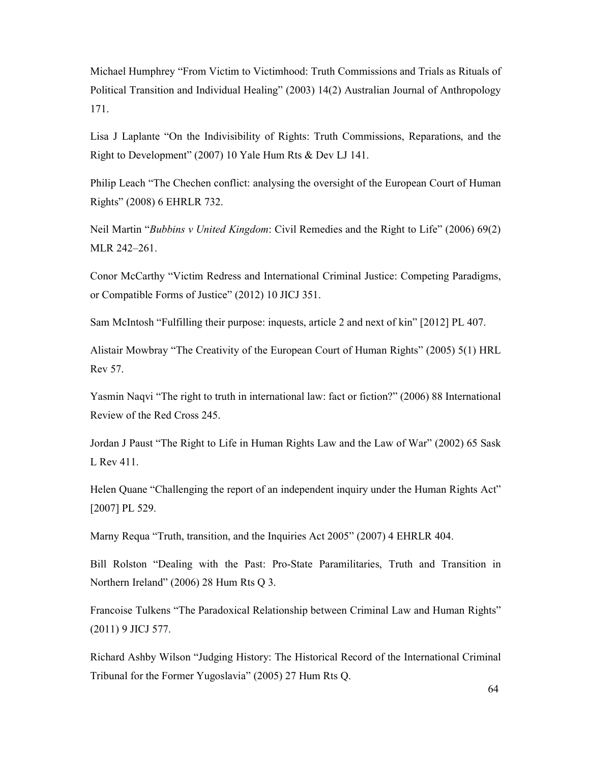Michael Humphrey "From Victim to Victimhood: Truth Commissions and Trials as Rituals of Political Transition and Individual Healing" (2003) 14(2) Australian Journal of Anthropology 171.

Lisa J Laplante "On the Indivisibility of Rights: Truth Commissions, Reparations, and the Right to Development" (2007) 10 Yale Hum Rts & Dev LJ 141.

Philip Leach "The Chechen conflict: analysing the oversight of the European Court of Human Rights" (2008) 6 EHRLR 732.

Neil Martin "*Bubbins v United Kingdom*: Civil Remedies and the Right to Life" (2006) 69(2) MLR 242–261.

Conor McCarthy "Victim Redress and International Criminal Justice: Competing Paradigms, or Compatible Forms of Justice" (2012) 10 JICJ 351.

Sam McIntosh "Fulfilling their purpose: inquests, article 2 and next of kin" [2012] PL 407.

Alistair Mowbray "The Creativity of the European Court of Human Rights" (2005) 5(1) HRL Rev 57.

Yasmin Naqvi "The right to truth in international law: fact or fiction?" (2006) 88 International Review of the Red Cross 245.

Jordan J Paust "The Right to Life in Human Rights Law and the Law of War" (2002) 65 Sask L Rev 411.

Helen Quane "Challenging the report of an independent inquiry under the Human Rights Act" [2007] PL 529.

Marny Requa "Truth, transition, and the Inquiries Act 2005" (2007) 4 EHRLR 404.

Bill Rolston "Dealing with the Past: Pro-State Paramilitaries, Truth and Transition in Northern Ireland" (2006) 28 Hum Rts Q 3.

Francoise Tulkens "The Paradoxical Relationship between Criminal Law and Human Rights" (2011) 9 JICJ 577.

Richard Ashby Wilson "Judging History: The Historical Record of the International Criminal Tribunal for the Former Yugoslavia" (2005) 27 Hum Rts Q.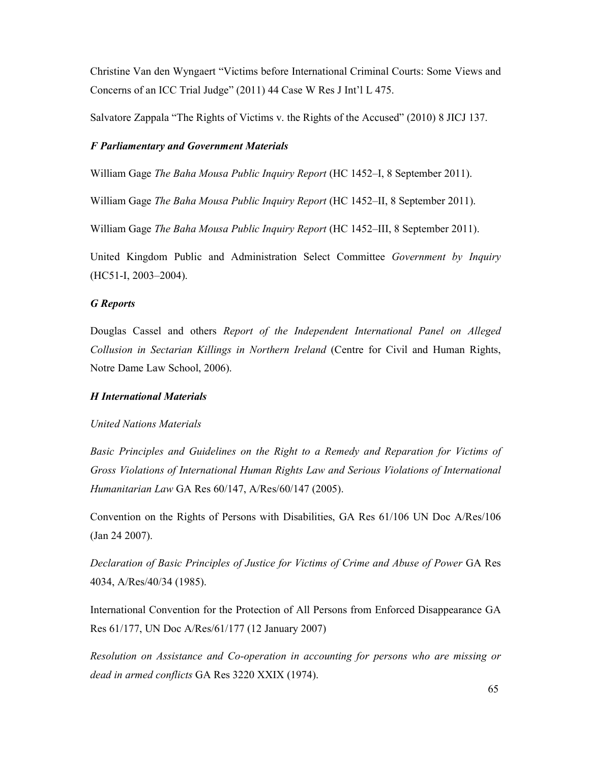Christine Van den Wyngaert "Victims before International Criminal Courts: Some Views and Concerns of an ICC Trial Judge" (2011) 44 Case W Res J Int'l L 475.

Salvatore Zappala "The Rights of Victims v. the Rights of the Accused" (2010) 8 JICJ 137.

### *F Parliamentary and Government Materials*

William Gage *The Baha Mousa Public Inquiry Report* (HC 1452–I, 8 September 2011).

William Gage *The Baha Mousa Public Inquiry Report* (HC 1452–II, 8 September 2011).

William Gage *The Baha Mousa Public Inquiry Report* (HC 1452–III, 8 September 2011).

United Kingdom Public and Administration Select Committee *Government by Inquiry* (HC51-I, 2003–2004).

### *G Reports*

Douglas Cassel and others *Report of the Independent International Panel on Alleged Collusion in Sectarian Killings in Northern Ireland* (Centre for Civil and Human Rights, Notre Dame Law School, 2006).

#### *H International Materials*

#### *United Nations Materials*

*Basic Principles and Guidelines on the Right to a Remedy and Reparation for Victims of Gross Violations of International Human Rights Law and Serious Violations of International Humanitarian Law* GA Res 60/147, A/Res/60/147 (2005).

Convention on the Rights of Persons with Disabilities, GA Res 61/106 UN Doc A/Res/106 (Jan 24 2007).

*Declaration of Basic Principles of Justice for Victims of Crime and Abuse of Power GA Res* 4034, A/Res/40/34 (1985).

International Convention for the Protection of All Persons from Enforced Disappearance GA Res 61/177, UN Doc A/Res/61/177 (12 January 2007)

*Resolution on Assistance and Co-operation in accounting for persons who are missing or dead in armed conflicts* GA Res 3220 XXIX (1974).